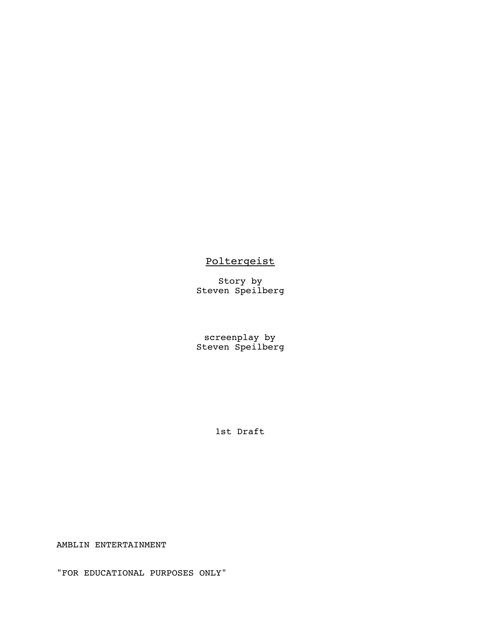# **Poltergeist**

Story by Steven Speilberg

screenplay by Steven Speilberg

1st Draft

AMBLIN ENTERTAINMENT

"FOR EDUCATIONAL PURPOSES ONLY"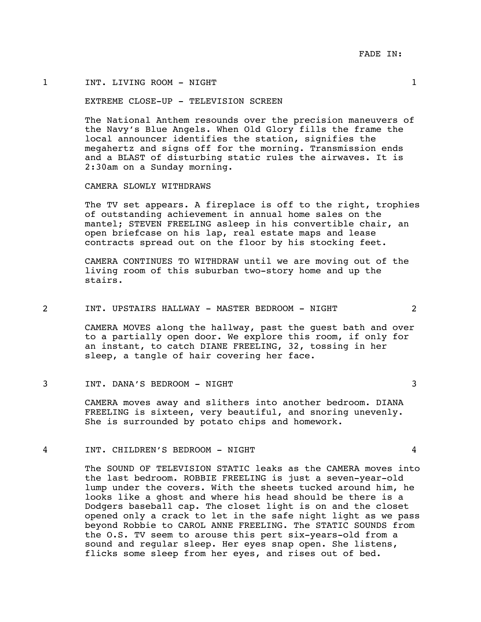#### 1 INT. LIVING ROOM - NIGHT 1

#### EXTREME CLOSE-UP - TELEVISION SCREEN

The National Anthem resounds over the precision maneuvers of the Navy's Blue Angels. When Old Glory fills the frame the local announcer identifies the station, signifies the megahertz and signs off for the morning. Transmission ends and a BLAST of disturbing static rules the airwaves. It is 2:30am on a Sunday morning.

CAMERA SLOWLY WITHDRAWS

The TV set appears. A fireplace is off to the right, trophies of outstanding achievement in annual home sales on the mantel; STEVEN FREELING asleep in his convertible chair, an open briefcase on his lap, real estate maps and lease contracts spread out on the floor by his stocking feet.

CAMERA CONTINUES TO WITHDRAW until we are moving out of the living room of this suburban two-story home and up the stairs.

#### 2 INT. UPSTAIRS HALLWAY - MASTER BEDROOM - NIGHT 2

CAMERA MOVES along the hallway, past the guest bath and over to a partially open door. We explore this room, if only for an instant, to catch DIANE FREELING, 32, tossing in her sleep, a tangle of hair covering her face.

#### 3 INT. DANA'S BEDROOM - NIGHT 3

CAMERA moves away and slithers into another bedroom. DIANA FREELING is sixteen, very beautiful, and snoring unevenly. She is surrounded by potato chips and homework.

#### 4 INT. CHILDREN'S BEDROOM - NIGHT 4

The SOUND OF TELEVISION STATIC leaks as the CAMERA moves into the last bedroom. ROBBIE FREELING is just a seven-year-old lump under the covers. With the sheets tucked around him, he looks like a ghost and where his head should be there is a Dodgers baseball cap. The closet light is on and the closet opened only a crack to let in the safe night light as we pass beyond Robbie to CAROL ANNE FREELING. The STATIC SOUNDS from the O.S. TV seem to arouse this pert six-years-old from a sound and regular sleep. Her eyes snap open. She listens, flicks some sleep from her eyes, and rises out of bed.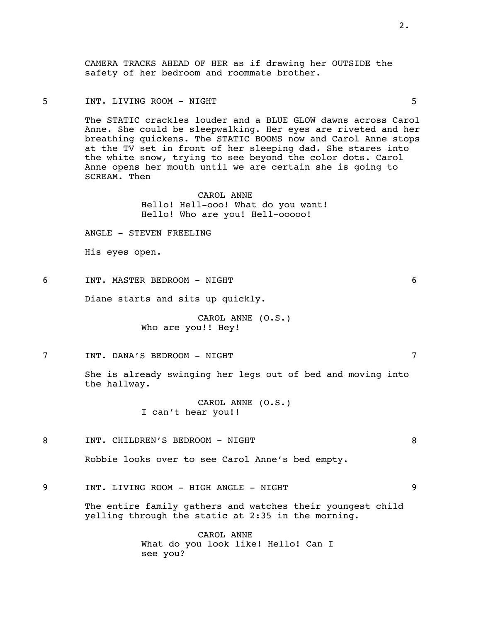CAMERA TRACKS AHEAD OF HER as if drawing her OUTSIDE the safety of her bedroom and roommate brother.

#### 5 INT. LIVING ROOM - NIGHT 5

The STATIC crackles louder and a BLUE GLOW dawns across Carol Anne. She could be sleepwalking. Her eyes are riveted and her breathing quickens. The STATIC BOOMS now and Carol Anne stops at the TV set in front of her sleeping dad. She stares into the white snow, trying to see beyond the color dots. Carol Anne opens her mouth until we are certain she is going to SCREAM. Then

> CAROL ANNE Hello! Hell-ooo! What do you want! Hello! Who are you! Hell-ooooo!

ANGLE - STEVEN FREELING

His eyes open.

6 INT. MASTER BEDROOM - NIGHT 6

Diane starts and sits up quickly.

CAROL ANNE (O.S.) Who are you!! Hey!

7 INT. DANA'S BEDROOM - NIGHT 7

She is already swinging her legs out of bed and moving into the hallway.

> CAROL ANNE (O.S.) I can't hear you!!

8 INT. CHILDREN'S BEDROOM - NIGHT 8

Robbie looks over to see Carol Anne's bed empty.

9 INT. LIVING ROOM - HIGH ANGLE - NIGHT 9

The entire family gathers and watches their youngest child yelling through the static at 2:35 in the morning.

> CAROL ANNE What do you look like! Hello! Can I see you?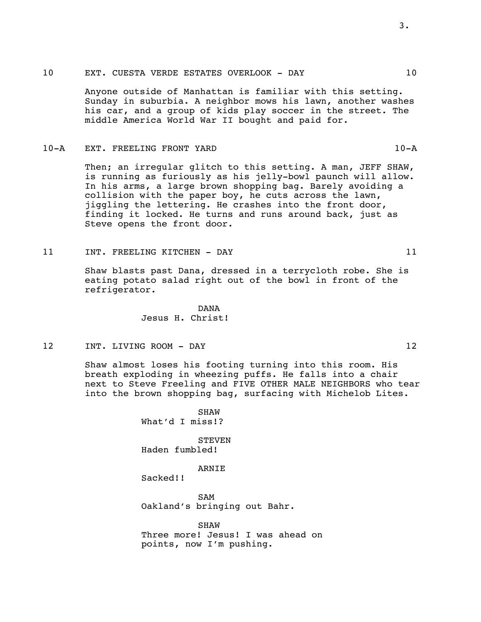#### 10 EXT. CUESTA VERDE ESTATES OVERLOOK - DAY 10

Anyone outside of Manhattan is familiar with this setting. Sunday in suburbia. A neighbor mows his lawn, another washes his car, and a group of kids play soccer in the street. The middle America World War II bought and paid for.

#### 10-A EXT. FREELING FRONT YARD 10-A

Then; an irregular glitch to this setting. A man, JEFF SHAW, is running as furiously as his jelly-bowl paunch will allow. In his arms, a large brown shopping bag. Barely avoiding a collision with the paper boy, he cuts across the lawn, jiggling the lettering. He crashes into the front door, finding it locked. He turns and runs around back, just as Steve opens the front door.

11 INT. FREELING KITCHEN - DAY 11

Shaw blasts past Dana, dressed in a terrycloth robe. She is eating potato salad right out of the bowl in front of the refrigerator.

> DANA Jesus H. Christ!

12 INT. LIVING ROOM - DAY 12

Shaw almost loses his footing turning into this room. His breath exploding in wheezing puffs. He falls into a chair next to Steve Freeling and FIVE OTHER MALE NEIGHBORS who tear into the brown shopping bag, surfacing with Michelob Lites.

> SHAW What'd I miss!?

**STEVEN** Haden fumbled!

ARNIE

Sacked!!

SAM Oakland's bringing out Bahr.

**SHAW** Three more! Jesus! I was ahead on points, now I'm pushing.

3.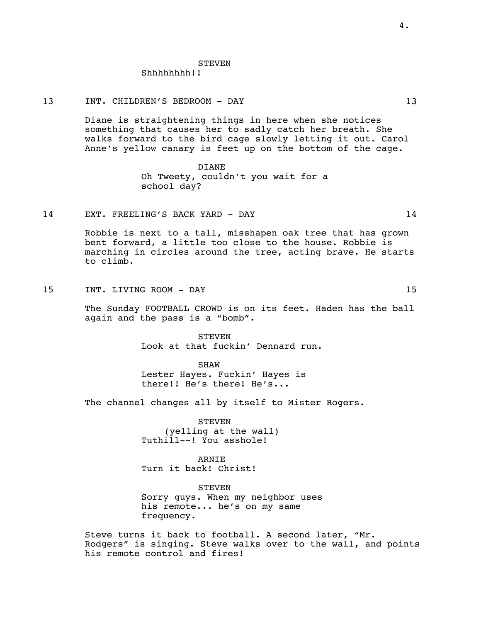#### STEVEN

Shhhhhhhh!!

#### 13 INT. CHILDREN'S BEDROOM - DAY 13

Diane is straightening things in here when she notices something that causes her to sadly catch her breath. She walks forward to the bird cage slowly letting it out. Carol Anne's yellow canary is feet up on the bottom of the cage.

#### DIANE

Oh Tweety, couldn't you wait for a school day?

#### 14 EXT. FREELING'S BACK YARD - DAY 14

Robbie is next to a tall, misshapen oak tree that has grown bent forward, a little too close to the house. Robbie is marching in circles around the tree, acting brave. He starts to climb.

15 INT. LIVING ROOM - DAY 15

The Sunday FOOTBALL CROWD is on its feet. Haden has the ball again and the pass is a "bomb".

> **STEVEN** Look at that fuckin' Dennard run.

SHAW Lester Hayes. Fuckin' Hayes is there!! He's there! He's...

The channel changes all by itself to Mister Rogers.

**STEVEN** (yelling at the wall) Tuthill--! You asshole!

ARNIE Turn it back! Christ!

**STEVEN** Sorry guys. When my neighbor uses his remote... he's on my same frequency.

Steve turns it back to football. A second later, "Mr. Rodgers" is singing. Steve walks over to the wall, and points his remote control and fires!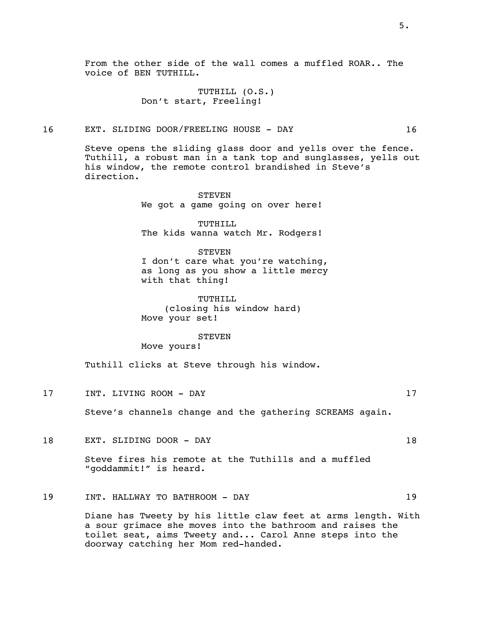From the other side of the wall comes a muffled ROAR.. The voice of BEN TUTHILL.

> TUTHILL (O.S.) Don't start, Freeling!

# 16 EXT. SLIDING DOOR/FREELING HOUSE - DAY 16

Steve opens the sliding glass door and yells over the fence. Tuthill, a robust man in a tank top and sunglasses, yells out his window, the remote control brandished in Steve's direction.

> **STEVEN** We got a game going on over here!

> TUTHILL The kids wanna watch Mr. Rodgers!

**STEVEN** I don't care what you're watching, as long as you show a little mercy with that thing!

TUTHILL (closing his window hard) Move your set!

**STEVEN** 

Move yours!

Tuthill clicks at Steve through his window.

17 INT. LIVING ROOM - DAY 17

Steve's channels change and the gathering SCREAMS again.

18 EXT. SLIDING DOOR - DAY 18

Steve fires his remote at the Tuthills and a muffled "goddammit!" is heard.

# 19 INT. HALLWAY TO BATHROOM - DAY 19

Diane has Tweety by his little claw feet at arms length. With a sour grimace she moves into the bathroom and raises the toilet seat, aims Tweety and... Carol Anne steps into the doorway catching her Mom red-handed.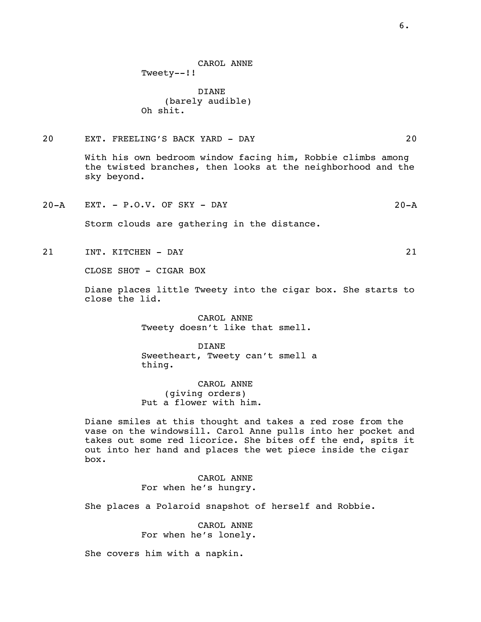DIANE (barely audible) Oh shit.

## 20 EXT. FREELING'S BACK YARD - DAY 20

With his own bedroom window facing him, Robbie climbs among the twisted branches, then looks at the neighborhood and the sky beyond.

20-A EXT. - P.O.V. OF SKY - DAY 20-A

Storm clouds are gathering in the distance.

21 INT. KITCHEN - DAY 21

CLOSE SHOT - CIGAR BOX

Diane places little Tweety into the cigar box. She starts to close the lid.

> CAROL ANNE Tweety doesn't like that smell.

DIANE Sweetheart, Tweety can't smell a thing.

CAROL ANNE (giving orders) Put a flower with him.

Diane smiles at this thought and takes a red rose from the vase on the windowsill. Carol Anne pulls into her pocket and takes out some red licorice. She bites off the end, spits it out into her hand and places the wet piece inside the cigar box.

> CAROL ANNE For when he's hungry.

She places a Polaroid snapshot of herself and Robbie.

CAROL ANNE For when he's lonely.

She covers him with a napkin.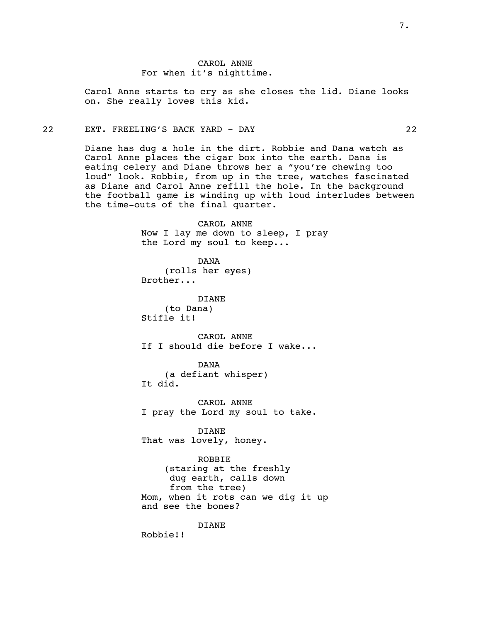Carol Anne starts to cry as she closes the lid. Diane looks on. She really loves this kid.

## 22 EXT. FREELING'S BACK YARD - DAY 22

Diane has dug a hole in the dirt. Robbie and Dana watch as Carol Anne places the cigar box into the earth. Dana is eating celery and Diane throws her a "you're chewing too loud" look. Robbie, from up in the tree, watches fascinated as Diane and Carol Anne refill the hole. In the background the football game is winding up with loud interludes between the time-outs of the final quarter.

> CAROL ANNE Now I lay me down to sleep, I pray the Lord my soul to keep...

DANA (rolls her eyes) Brother...

DIANE (to Dana) Stifle it!

CAROL ANNE If I should die before I wake...

DANA (a defiant whisper) It did.

CAROL ANNE I pray the Lord my soul to take.

DIANE That was lovely, honey.

ROBBIE (staring at the freshly dug earth, calls down from the tree) Mom, when it rots can we dig it up and see the bones?

DIANE

Robbie!!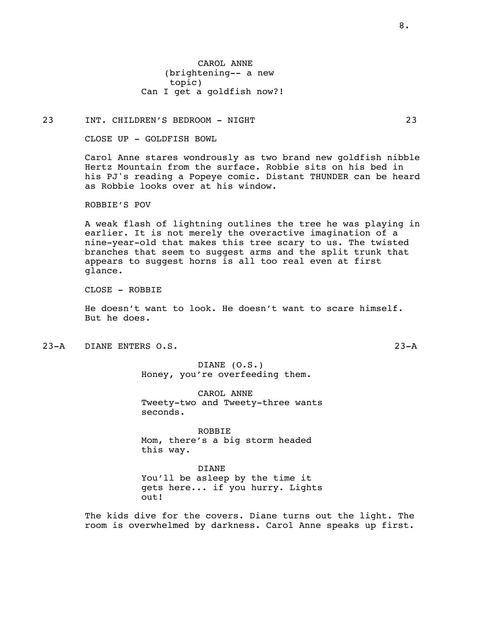CAROL ANNE (brightening-- a new topic) Can I get a goldfish now?!

23 INT. CHILDREN'S BEDROOM - NIGHT 23

CLOSE UP - GOLDFISH BOWL

Carol Anne stares wondrously as two brand new goldfish nibble Hertz Mountain from the surface. Robbie sits on his bed in his PJ's reading a Popeye comic. Distant THUNDER can be heard as Robbie looks over at his window.

ROBBIE'S POV

A weak flash of lightning outlines the tree he was playing in earlier. It is not merely the overactive imagination of a nine-year-old that makes this tree scary to us. The twisted branches that seem to suggest arms and the split trunk that appears to suggest horns is all too real even at first glance.

CLOSE - ROBBIE

He doesn't want to look. He doesn't want to scare himself. But he does.

23-A DIANE ENTERS O.S. 23-A

DIANE (O.S.) Honey, you're overfeeding them.

CAROL ANNE Tweety-two and Tweety-three wants seconds.

ROBBIE Mom, there's a big storm headed this way.

DIANE You'll be asleep by the time it gets here... if you hurry. Lights out!

The kids dive for the covers. Diane turns out the light. The room is overwhelmed by darkness. Carol Anne speaks up first.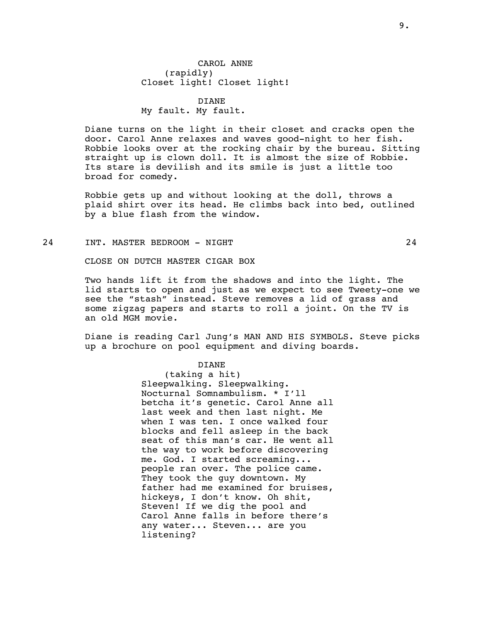## DIANE My fault. My fault.

Diane turns on the light in their closet and cracks open the door. Carol Anne relaxes and waves good-night to her fish. Robbie looks over at the rocking chair by the bureau. Sitting straight up is clown doll. It is almost the size of Robbie. Its stare is devilish and its smile is just a little too broad for comedy.

Robbie gets up and without looking at the doll, throws a plaid shirt over its head. He climbs back into bed, outlined by a blue flash from the window.

24 INT. MASTER BEDROOM - NIGHT 24

CLOSE ON DUTCH MASTER CIGAR BOX

Two hands lift it from the shadows and into the light. The lid starts to open and just as we expect to see Tweety-one we see the "stash" instead. Steve removes a lid of grass and some zigzag papers and starts to roll a joint. On the TV is an old MGM movie.

Diane is reading Carl Jung's MAN AND HIS SYMBOLS. Steve picks up a brochure on pool equipment and diving boards.

#### DIANE

(taking a hit) Sleepwalking. Sleepwalking. Nocturnal Somnambulism. \* I'll betcha it's genetic. Carol Anne all last week and then last night. Me when I was ten. I once walked four blocks and fell asleep in the back seat of this man's car. He went all the way to work before discovering me. God. I started screaming... people ran over. The police came. They took the guy downtown. My father had me examined for bruises, hickeys, I don't know. Oh shit, Steven! If we dig the pool and Carol Anne falls in before there's any water... Steven... are you listening?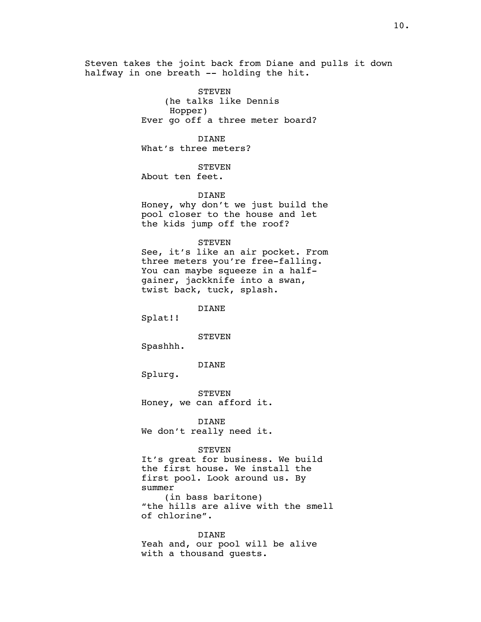Steven takes the joint back from Diane and pulls it down halfway in one breath -- holding the hit.

> STEVEN (he talks like Dennis Hopper) Ever go off a three meter board?

DIANE What's three meters?

**STEVEN** About ten feet.

DIANE

Honey, why don't we just build the pool closer to the house and let the kids jump off the roof?

STEVEN

See, it's like an air pocket. From three meters you're free-falling. You can maybe squeeze in a halfgainer, jackknife into a swan, twist back, tuck, splash.

DIANE

Splat!!

STEVEN

Spashhh.

DIANE

Splurg.

STEVEN Honey, we can afford it.

DIANE We don't really need it.

#### STEVEN

It's great for business. We build the first house. We install the first pool. Look around us. By summer (in bass baritone) "the hills are alive with the smell of chlorine".

DIANE Yeah and, our pool will be alive with a thousand guests.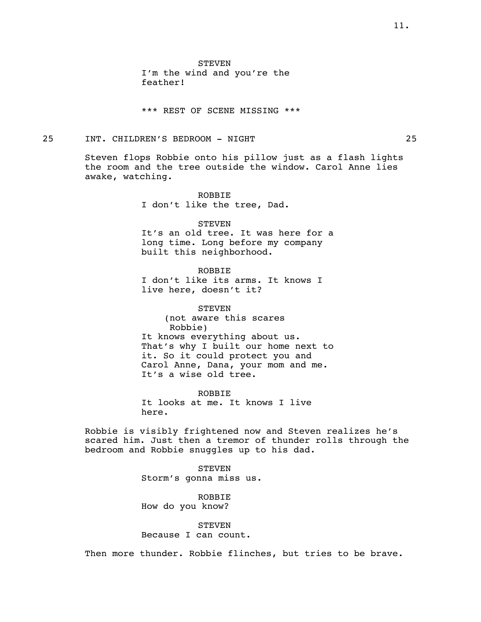\*\*\* REST OF SCENE MISSING \*\*\*

#### 25 INT. CHILDREN'S BEDROOM - NIGHT 25

Steven flops Robbie onto his pillow just as a flash lights the room and the tree outside the window. Carol Anne lies awake, watching.

> ROBBIE I don't like the tree, Dad.

**STEVEN** It's an old tree. It was here for a long time. Long before my company built this neighborhood.

ROBBIE I don't like its arms. It knows I live here, doesn't it?

**STEVEN** (not aware this scares Robbie) It knows everything about us. That's why I built our home next to it. So it could protect you and Carol Anne, Dana, your mom and me. It's a wise old tree.

ROBBIE It looks at me. It knows I live here.

Robbie is visibly frightened now and Steven realizes he's scared him. Just then a tremor of thunder rolls through the bedroom and Robbie snuggles up to his dad.

> **STEVEN** Storm's gonna miss us.

ROBBIE How do you know?

# **STEVEN**

Because I can count.

Then more thunder. Robbie flinches, but tries to be brave.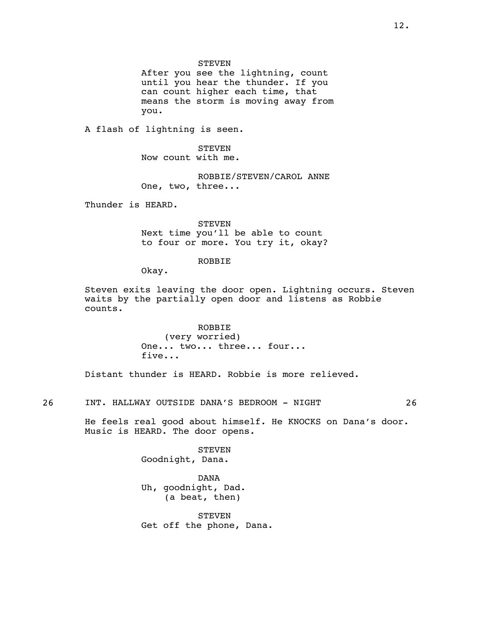STEVEN

After you see the lightning, count until you hear the thunder. If you can count higher each time, that means the storm is moving away from you.

A flash of lightning is seen.

**STEVEN** Now count with me.

ROBBIE/STEVEN/CAROL ANNE One, two, three...

Thunder is HEARD.

STEVEN Next time you'll be able to count to four or more. You try it, okay?

#### ROBBIE

Okay.

Steven exits leaving the door open. Lightning occurs. Steven waits by the partially open door and listens as Robbie counts.

> ROBBIE (very worried) One... two... three... four... five...

Distant thunder is HEARD. Robbie is more relieved.

26 INT. HALLWAY OUTSIDE DANA'S BEDROOM - NIGHT 26

He feels real good about himself. He KNOCKS on Dana's door. Music is HEARD. The door opens.

> STEVEN Goodnight, Dana.

DANA Uh, goodnight, Dad. (a beat, then)

**STEVEN** Get off the phone, Dana.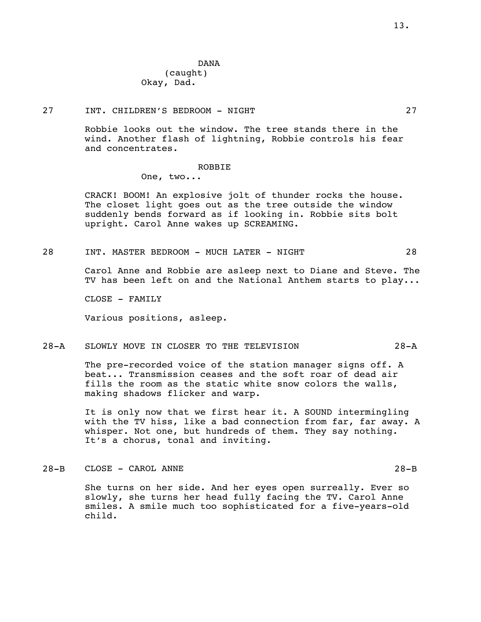DANA (caught) Okay, Dad.

#### 27 INT. CHILDREN'S BEDROOM - NIGHT 27

Robbie looks out the window. The tree stands there in the wind. Another flash of lightning, Robbie controls his fear and concentrates.

#### ROBBIE

One, two...

CRACK! BOOM! An explosive jolt of thunder rocks the house. The closet light goes out as the tree outside the window suddenly bends forward as if looking in. Robbie sits bolt upright. Carol Anne wakes up SCREAMING.

28 INT. MASTER BEDROOM - MUCH LATER - NIGHT 28

Carol Anne and Robbie are asleep next to Diane and Steve. The TV has been left on and the National Anthem starts to play...

CLOSE - FAMILY

Various positions, asleep.

#### 28-A SLOWLY MOVE IN CLOSER TO THE TELEVISION 28-A

The pre-recorded voice of the station manager signs off. A beat... Transmission ceases and the soft roar of dead air fills the room as the static white snow colors the walls, making shadows flicker and warp.

It is only now that we first hear it. A SOUND intermingling with the TV hiss, like a bad connection from far, far away. A whisper. Not one, but hundreds of them. They say nothing. It's a chorus, tonal and inviting.

#### 28-B CLOSE - CAROL ANNE 28-B

She turns on her side. And her eyes open surreally. Ever so slowly, she turns her head fully facing the TV. Carol Anne smiles. A smile much too sophisticated for a five-years-old child.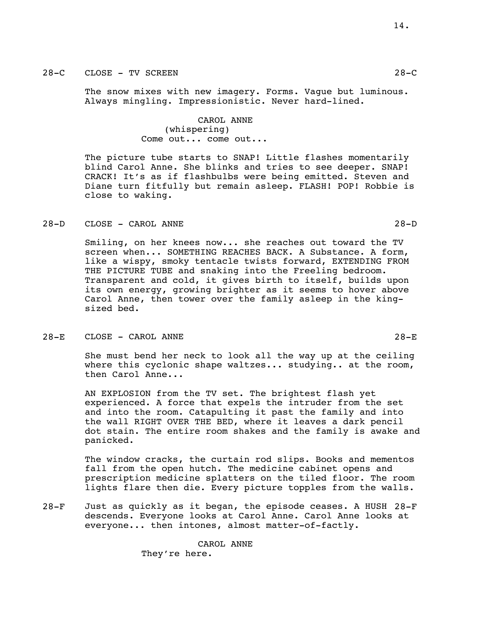#### 28-C CLOSE - TV SCREEN 28-C

The snow mixes with new imagery. Forms. Vague but luminous. Always mingling. Impressionistic. Never hard-lined.

> CAROL ANNE (whispering) Come out... come out...

The picture tube starts to SNAP! Little flashes momentarily blind Carol Anne. She blinks and tries to see deeper. SNAP! CRACK! It's as if flashbulbs were being emitted. Steven and Diane turn fitfully but remain asleep. FLASH! POP! Robbie is close to waking.

#### 28-D CLOSE - CAROL ANNE 28-D

Smiling, on her knees now... she reaches out toward the TV screen when... SOMETHING REACHES BACK. A Substance. A form, like a wispy, smoky tentacle twists forward, EXTENDING FROM THE PICTURE TUBE and snaking into the Freeling bedroom. Transparent and cold, it gives birth to itself, builds upon its own energy, growing brighter as it seems to hover above Carol Anne, then tower over the family asleep in the kingsized bed.

#### 28-E CLOSE - CAROL ANNE 28-E

She must bend her neck to look all the way up at the ceiling where this cyclonic shape waltzes... studying.. at the room, then Carol Anne...

AN EXPLOSION from the TV set. The brightest flash yet experienced. A force that expels the intruder from the set and into the room. Catapulting it past the family and into the wall RIGHT OVER THE BED, where it leaves a dark pencil dot stain. The entire room shakes and the family is awake and panicked.

The window cracks, the curtain rod slips. Books and mementos fall from the open hutch. The medicine cabinet opens and prescription medicine splatters on the tiled floor. The room lights flare then die. Every picture topples from the walls.

28-F Just as quickly as it began, the episode ceases. A HUSH 28-F descends. Everyone looks at Carol Anne. Carol Anne looks at everyone... then intones, almost matter-of-factly.

> CAROL ANNE They're here.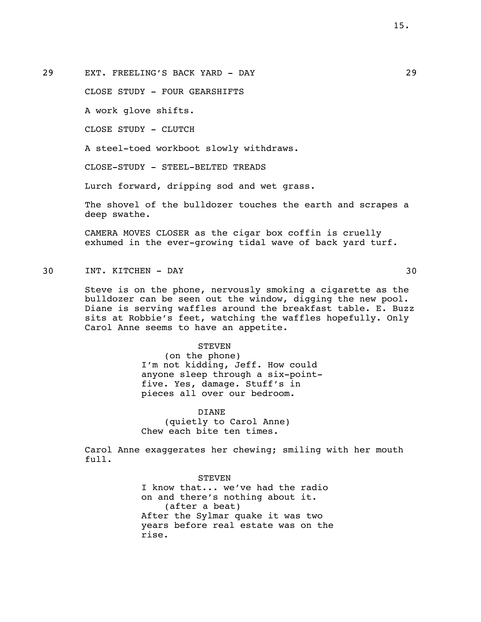29 EXT. FREELING'S BACK YARD - DAY 29

CLOSE STUDY - FOUR GEARSHIFTS

A work glove shifts.

CLOSE STUDY - CLUTCH

A steel-toed workboot slowly withdraws.

CLOSE-STUDY - STEEL-BELTED TREADS

Lurch forward, dripping sod and wet grass.

The shovel of the bulldozer touches the earth and scrapes a deep swathe.

CAMERA MOVES CLOSER as the cigar box coffin is cruelly exhumed in the ever-growing tidal wave of back yard turf.

30 INT. KITCHEN - DAY 30

Steve is on the phone, nervously smoking a cigarette as the bulldozer can be seen out the window, digging the new pool. Diane is serving waffles around the breakfast table. E. Buzz sits at Robbie's feet, watching the waffles hopefully. Only Carol Anne seems to have an appetite.

#### **STEVEN**

(on the phone) I'm not kidding, Jeff. How could anyone sleep through a six-pointfive. Yes, damage. Stuff's in pieces all over our bedroom.

DIANE (quietly to Carol Anne) Chew each bite ten times.

Carol Anne exaggerates her chewing; smiling with her mouth full.

> **STEVEN** I know that... we've had the radio on and there's nothing about it. (after a beat) After the Sylmar quake it was two years before real estate was on the rise.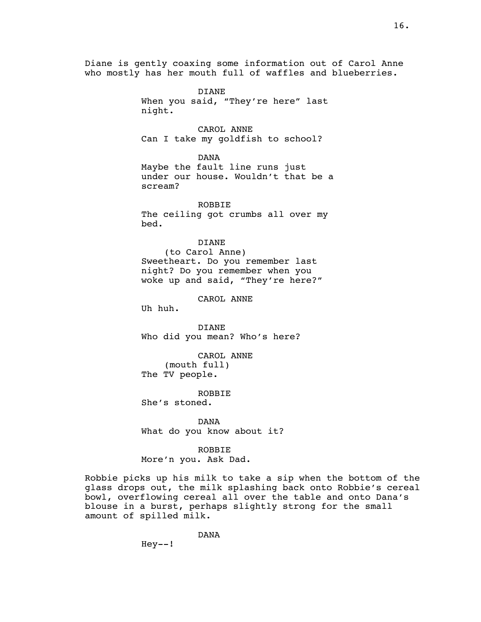Diane is gently coaxing some information out of Carol Anne who mostly has her mouth full of waffles and blueberries.

> DIANE When you said, "They're here" last night. CAROL ANNE

Can I take my goldfish to school?

DANA Maybe the fault line runs just under our house. Wouldn't that be a scream?

ROBBIE The ceiling got crumbs all over my bed.

DIANE

(to Carol Anne) Sweetheart. Do you remember last night? Do you remember when you woke up and said, "They're here?"

CAROL ANNE

Uh huh.

DIANE Who did you mean? Who's here?

CAROL ANNE (mouth full) The TV people.

ROBBIE She's stoned.

DANA What do you know about it?

ROBBIE More'n you. Ask Dad.

Robbie picks up his milk to take a sip when the bottom of the glass drops out, the milk splashing back onto Robbie's cereal bowl, overflowing cereal all over the table and onto Dana's blouse in a burst, perhaps slightly strong for the small amount of spilled milk.

> DANA  $Hey--!$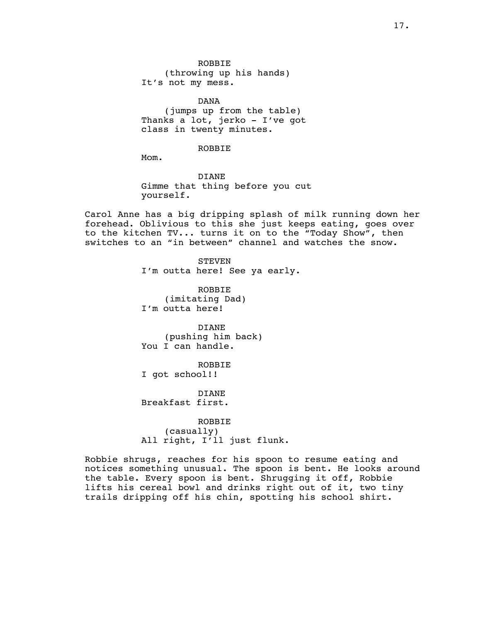ROBBIE (throwing up his hands) It's not my mess.

DANA (jumps up from the table) Thanks a lot, jerko - I've got class in twenty minutes.

# ROBBIE

Mom.

DIANE Gimme that thing before you cut yourself.

Carol Anne has a big dripping splash of milk running down her forehead. Oblivious to this she just keeps eating, goes over to the kitchen TV... turns it on to the "Today Show", then switches to an "in between" channel and watches the snow.

> STEVEN I'm outta here! See ya early.

ROBBIE (imitating Dad) I'm outta here!

DIANE (pushing him back) You I can handle.

ROBBIE I got school!!

DIANE Breakfast first.

ROBBIE (casually) All right, I'll just flunk.

Robbie shrugs, reaches for his spoon to resume eating and notices something unusual. The spoon is bent. He looks around the table. Every spoon is bent. Shrugging it off, Robbie lifts his cereal bowl and drinks right out of it, two tiny trails dripping off his chin, spotting his school shirt.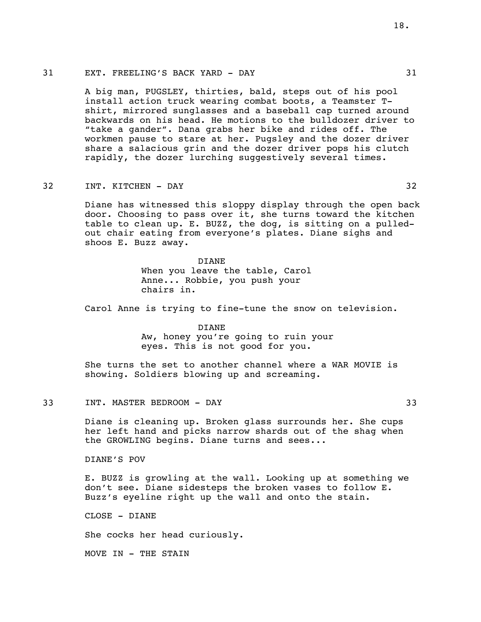A big man, PUGSLEY, thirties, bald, steps out of his pool install action truck wearing combat boots, a Teamster Tshirt, mirrored sunglasses and a baseball cap turned around backwards on his head. He motions to the bulldozer driver to "take a gander". Dana grabs her bike and rides off. The workmen pause to stare at her. Pugsley and the dozer driver share a salacious grin and the dozer driver pops his clutch rapidly, the dozer lurching suggestively several times.

## 32 INT. KITCHEN - DAY 32

Diane has witnessed this sloppy display through the open back door. Choosing to pass over it, she turns toward the kitchen table to clean up. E. BUZZ, the dog, is sitting on a pulledout chair eating from everyone's plates. Diane sighs and shoos E. Buzz away.

> DIANE When you leave the table, Carol Anne... Robbie, you push your chairs in.

Carol Anne is trying to fine-tune the snow on television.

#### DIANE Aw, honey you're going to ruin your eyes. This is not good for you.

She turns the set to another channel where a WAR MOVIE is showing. Soldiers blowing up and screaming.

#### 33 INT. MASTER BEDROOM - DAY 33

Diane is cleaning up. Broken glass surrounds her. She cups her left hand and picks narrow shards out of the shag when the GROWLING begins. Diane turns and sees...

DIANE'S POV

E. BUZZ is growling at the wall. Looking up at something we don't see. Diane sidesteps the broken vases to follow E. Buzz's eyeline right up the wall and onto the stain.

CLOSE - DIANE

She cocks her head curiously.

MOVE IN - THE STAIN

18.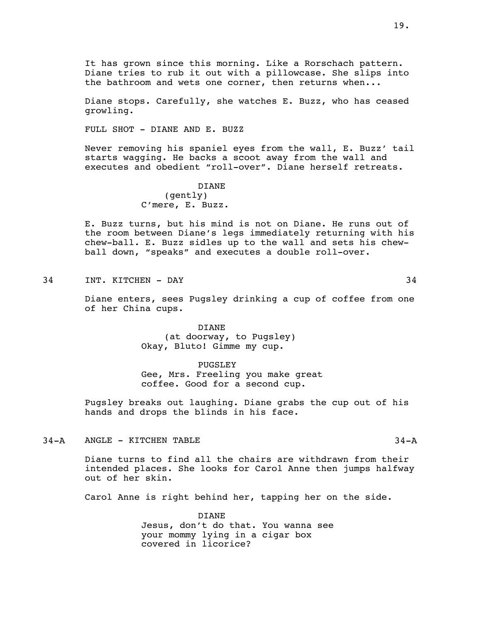It has grown since this morning. Like a Rorschach pattern. Diane tries to rub it out with a pillowcase. She slips into the bathroom and wets one corner, then returns when...

Diane stops. Carefully, she watches E. Buzz, who has ceased growling.

FULL SHOT - DIANE AND E. BUZZ

Never removing his spaniel eyes from the wall, E. Buzz' tail starts wagging. He backs a scoot away from the wall and executes and obedient "roll-over". Diane herself retreats.

# DIANE (gently) C'mere, E. Buzz.

E. Buzz turns, but his mind is not on Diane. He runs out of the room between Diane's legs immediately returning with his chew-ball. E. Buzz sidles up to the wall and sets his chewball down, "speaks" and executes a double roll-over.

34 INT. KITCHEN - DAY 34

Diane enters, sees Pugsley drinking a cup of coffee from one of her China cups.

> DIANE (at doorway, to Pugsley) Okay, Bluto! Gimme my cup.

PUGSLEY Gee, Mrs. Freeling you make great coffee. Good for a second cup.

Pugsley breaks out laughing. Diane grabs the cup out of his hands and drops the blinds in his face.

#### 34-A ANGLE - KITCHEN TABLE 34-A

Diane turns to find all the chairs are withdrawn from their intended places. She looks for Carol Anne then jumps halfway out of her skin.

Carol Anne is right behind her, tapping her on the side.

DIANE Jesus, don't do that. You wanna see your mommy lying in a cigar box covered in licorice?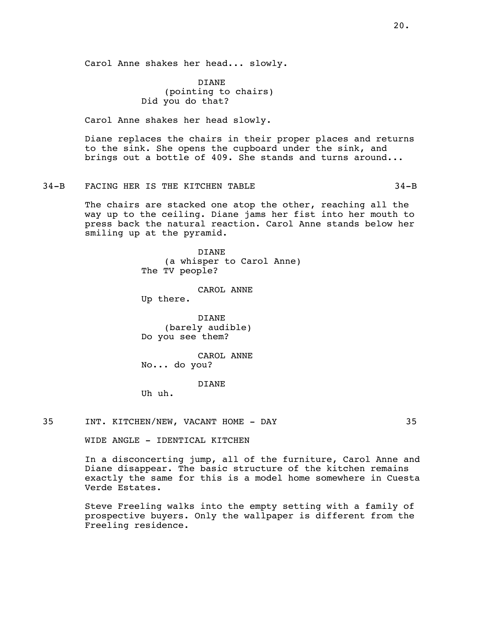Carol Anne shakes her head... slowly.

DIANE (pointing to chairs) Did you do that?

Carol Anne shakes her head slowly.

Diane replaces the chairs in their proper places and returns to the sink. She opens the cupboard under the sink, and brings out a bottle of 409. She stands and turns around...

34-B FACING HER IS THE KITCHEN TABLE 34-B

The chairs are stacked one atop the other, reaching all the way up to the ceiling. Diane jams her fist into her mouth to press back the natural reaction. Carol Anne stands below her smiling up at the pyramid.

> DIANE (a whisper to Carol Anne) The TV people?

> > CAROL ANNE

Up there.

DIANE (barely audible) Do you see them?

CAROL ANNE No... do you?

#### DIANE

Uh uh.

35 INT. KITCHEN/NEW, VACANT HOME - DAY 35

WIDE ANGLE - IDENTICAL KITCHEN

In a disconcerting jump, all of the furniture, Carol Anne and Diane disappear. The basic structure of the kitchen remains exactly the same for this is a model home somewhere in Cuesta Verde Estates.

Steve Freeling walks into the empty setting with a family of prospective buyers. Only the wallpaper is different from the Freeling residence.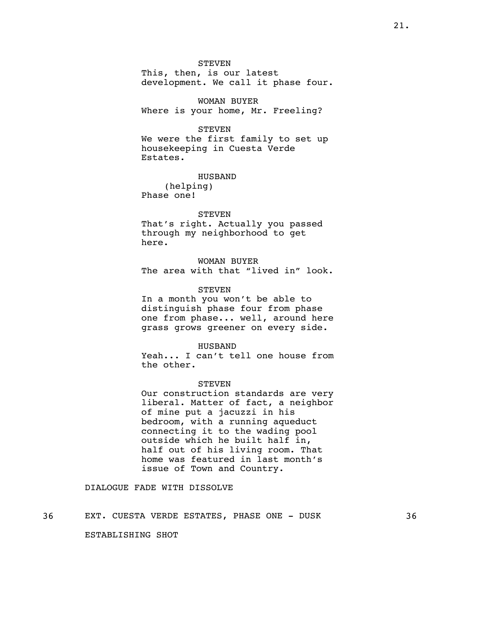STEVEN

This, then, is our latest development. We call it phase four.

WOMAN BUYER Where is your home, Mr. Freeling?

#### STEVEN

We were the first family to set up housekeeping in Cuesta Verde Estates.

HUSBAND

(helping) Phase one!

#### **STEVEN**

That's right. Actually you passed through my neighborhood to get here.

# WOMAN BUYER

The area with that "lived in" look.

# **STEVEN**

In a month you won't be able to distinguish phase four from phase one from phase... well, around here grass grows greener on every side.

#### HUSBAND

Yeah... I can't tell one house from the other.

#### STEVEN

Our construction standards are very liberal. Matter of fact, a neighbor of mine put a jacuzzi in his bedroom, with a running aqueduct connecting it to the wading pool outside which he built half in, half out of his living room. That home was featured in last month's issue of Town and Country.

#### DIALOGUE FADE WITH DISSOLVE

#### 36 EXT. CUESTA VERDE ESTATES, PHASE ONE - DUSK 36

ESTABLISHING SHOT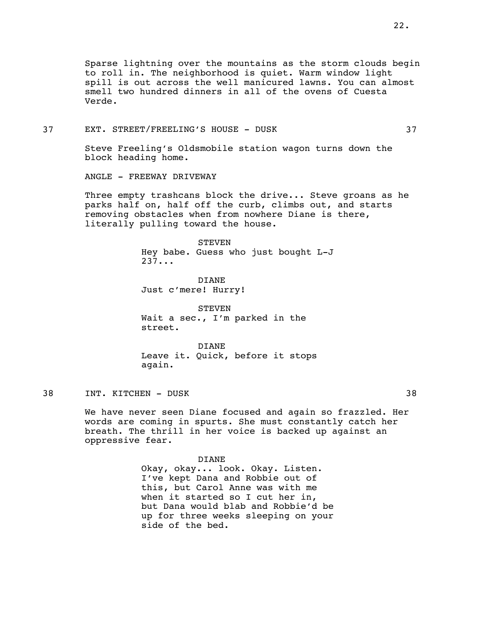Sparse lightning over the mountains as the storm clouds begin to roll in. The neighborhood is quiet. Warm window light spill is out across the well manicured lawns. You can almost smell two hundred dinners in all of the ovens of Cuesta Verde.

37 EXT. STREET/FREELING'S HOUSE - DUSK 37

Steve Freeling's Oldsmobile station wagon turns down the block heading home.

ANGLE - FREEWAY DRIVEWAY

Three empty trashcans block the drive... Steve groans as he parks half on, half off the curb, climbs out, and starts removing obstacles when from nowhere Diane is there, literally pulling toward the house.

#### STEVEN

Hey babe. Guess who just bought L-J 237...

DIANE Just c'mere! Hurry!

**STEVEN** Wait a sec., I'm parked in the street.

DIANE Leave it. Quick, before it stops again.

38 INT. KITCHEN – DUSK 38

We have never seen Diane focused and again so frazzled. Her words are coming in spurts. She must constantly catch her breath. The thrill in her voice is backed up against an oppressive fear.

> DIANE Okay, okay... look. Okay. Listen. I've kept Dana and Robbie out of this, but Carol Anne was with me when it started so I cut her in, but Dana would blab and Robbie'd be up for three weeks sleeping on your side of the bed.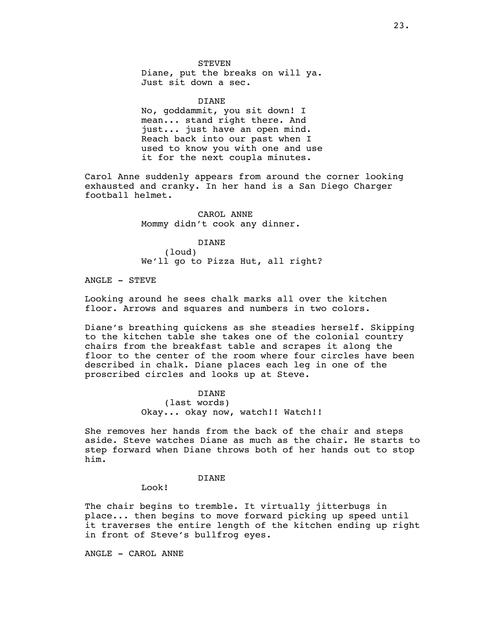#### STEVEN

Diane, put the breaks on will ya. Just sit down a sec.

#### DIANE

No, goddammit, you sit down! I mean... stand right there. And just... just have an open mind. Reach back into our past when I used to know you with one and use it for the next coupla minutes.

Carol Anne suddenly appears from around the corner looking exhausted and cranky. In her hand is a San Diego Charger football helmet.

> CAROL ANNE Mommy didn't cook any dinner.

DIANE (loud) We'll go to Pizza Hut, all right?

ANGLE - STEVE

Looking around he sees chalk marks all over the kitchen floor. Arrows and squares and numbers in two colors.

Diane's breathing quickens as she steadies herself. Skipping to the kitchen table she takes one of the colonial country chairs from the breakfast table and scrapes it along the floor to the center of the room where four circles have been described in chalk. Diane places each leg in one of the proscribed circles and looks up at Steve.

#### DIANE

(last words) Okay... okay now, watch!! Watch!!

She removes her hands from the back of the chair and steps aside. Steve watches Diane as much as the chair. He starts to step forward when Diane throws both of her hands out to stop him.

#### DIANE

Look!

The chair begins to tremble. It virtually jitterbugs in place... then begins to move forward picking up speed until it traverses the entire length of the kitchen ending up right in front of Steve's bullfrog eyes.

ANGLE - CAROL ANNE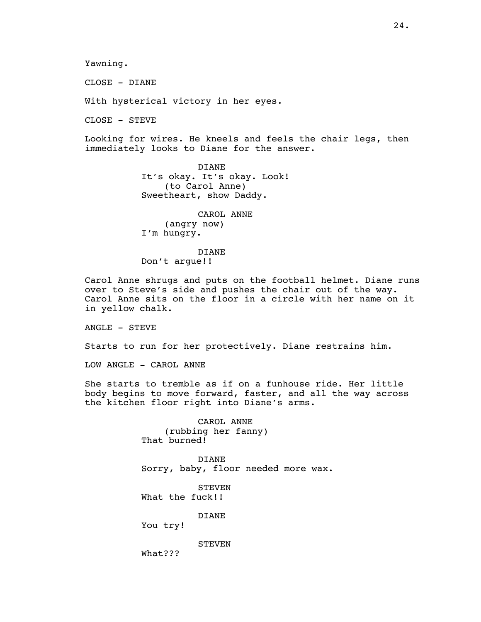Yawning.

CLOSE - DIANE

With hysterical victory in her eyes.

CLOSE - STEVE

Looking for wires. He kneels and feels the chair legs, then immediately looks to Diane for the answer.

> DIANE It's okay. It's okay. Look! (to Carol Anne) Sweetheart, show Daddy.

CAROL ANNE (angry now) I'm hungry.

DIANE Don't argue!!

Carol Anne shrugs and puts on the football helmet. Diane runs over to Steve's side and pushes the chair out of the way. Carol Anne sits on the floor in a circle with her name on it in yellow chalk.

ANGLE - STEVE

Starts to run for her protectively. Diane restrains him.

LOW ANGLE - CAROL ANNE

She starts to tremble as if on a funhouse ride. Her little body begins to move forward, faster, and all the way across the kitchen floor right into Diane's arms.

> CAROL ANNE (rubbing her fanny) That burned!

DIANE Sorry, baby, floor needed more wax.

**STEVEN** What the fuck!!

DIANE

You try!

**STEVEN** 

What???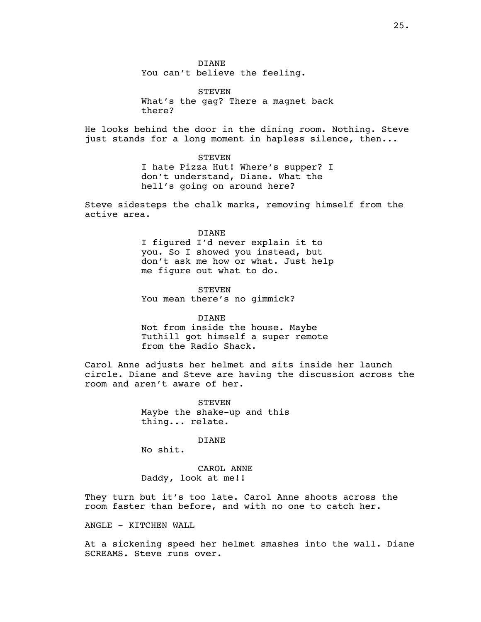DIANE You can't believe the feeling.

STEVEN What's the gag? There a magnet back there?

He looks behind the door in the dining room. Nothing. Steve just stands for a long moment in hapless silence, then...

> STEVEN I hate Pizza Hut! Where's supper? I don't understand, Diane. What the hell's going on around here?

Steve sidesteps the chalk marks, removing himself from the active area.

#### DIANE

I figured I'd never explain it to you. So I showed you instead, but don't ask me how or what. Just help me figure out what to do.

**STEVEN** You mean there's no gimmick?

#### DIANE

Not from inside the house. Maybe Tuthill got himself a super remote from the Radio Shack.

Carol Anne adjusts her helmet and sits inside her launch circle. Diane and Steve are having the discussion across the room and aren't aware of her.

> **STEVEN** Maybe the shake-up and this thing... relate.

> > DIANE

No shit.

CAROL ANNE Daddy, look at me!!

They turn but it's too late. Carol Anne shoots across the room faster than before, and with no one to catch her.

ANGLE - KITCHEN WALL

At a sickening speed her helmet smashes into the wall. Diane SCREAMS. Steve runs over.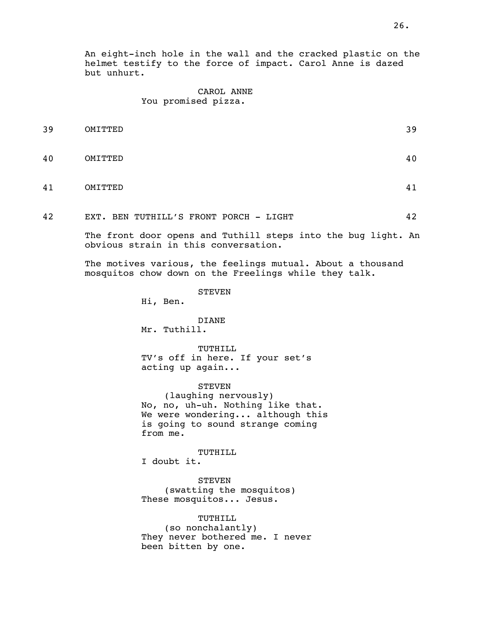An eight-inch hole in the wall and the cracked plastic on the helmet testify to the force of impact. Carol Anne is dazed but unhurt.

## CAROL ANNE You promised pizza.

| 39 | OMITTED | 39 |
|----|---------|----|
| 40 | OMITTED | 40 |
| 41 | OMITTED | 41 |

42 EXT. BEN TUTHILL'S FRONT PORCH - LIGHT 42

The front door opens and Tuthill steps into the bug light. An obvious strain in this conversation.

The motives various, the feelings mutual. About a thousand mosquitos chow down on the Freelings while they talk.

STEVEN

Hi, Ben.

DIANE Mr. Tuthill.

TUTHILL TV's off in here. If your set's acting up again...

STEVEN (laughing nervously) No, no, uh-uh. Nothing like that. We were wondering... although this is going to sound strange coming from me.

TUTHILL I doubt it.

STEVEN (swatting the mosquitos) These mosquitos... Jesus.

TUTHILL (so nonchalantly) They never bothered me. I never been bitten by one.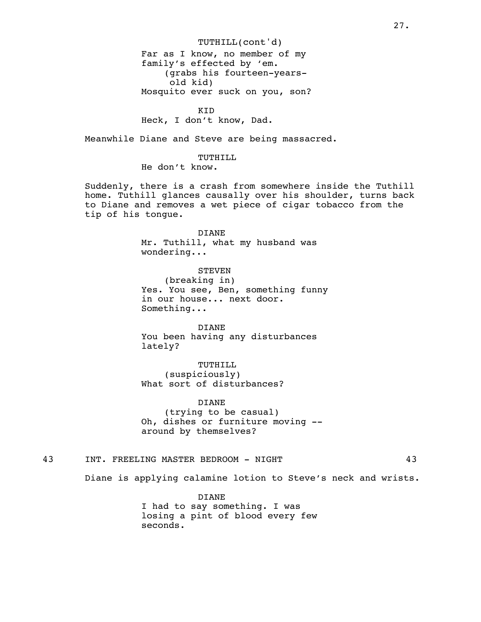TUTHILL(cont'd) Far as I know, no member of my family's effected by 'em. (grabs his fourteen-yearsold kid) Mosquito ever suck on you, son?

KID

Heck, I don't know, Dad.

Meanwhile Diane and Steve are being massacred.

TUTHILL. He don't know.

Suddenly, there is a crash from somewhere inside the Tuthill home. Tuthill glances causally over his shoulder, turns back to Diane and removes a wet piece of cigar tobacco from the tip of his tongue.

> DIANE Mr. Tuthill, what my husband was wondering...

STEVEN (breaking in) Yes. You see, Ben, something funny in our house... next door. Something...

DIANE You been having any disturbances lately?

TUTHILL (suspiciously) What sort of disturbances?

DIANE (trying to be casual) Oh, dishes or furniture moving - around by themselves?

43 INT. FREELING MASTER BEDROOM - NIGHT 43

Diane is applying calamine lotion to Steve's neck and wrists.

DIANE I had to say something. I was losing a pint of blood every few seconds.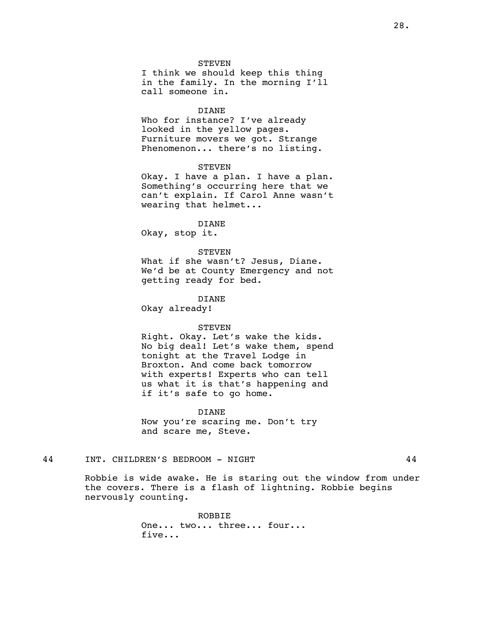#### STEVEN

I think we should keep this thing in the family. In the morning I'll call someone in.

#### DIANE

Who for instance? I've already looked in the yellow pages. Furniture movers we got. Strange Phenomenon... there's no listing.

#### STEVEN

Okay. I have a plan. I have a plan. Something's occurring here that we can't explain. If Carol Anne wasn't wearing that helmet...

#### DIANE

Okay, stop it.

#### **STEVEN**

What if she wasn't? Jesus, Diane. We'd be at County Emergency and not getting ready for bed.

#### DIANE

Okay already!

#### STEVEN

Right. Okay. Let's wake the kids. No big deal! Let's wake them, spend tonight at the Travel Lodge in Broxton. And come back tomorrow with experts! Experts who can tell us what it is that's happening and if it's safe to go home.

#### DIANE

Now you're scaring me. Don't try and scare me, Steve.

#### 44 INT. CHILDREN'S BEDROOM - NIGHT 44

Robbie is wide awake. He is staring out the window from under the covers. There is a flash of lightning. Robbie begins nervously counting.

> ROBBIE One... two... three... four... five...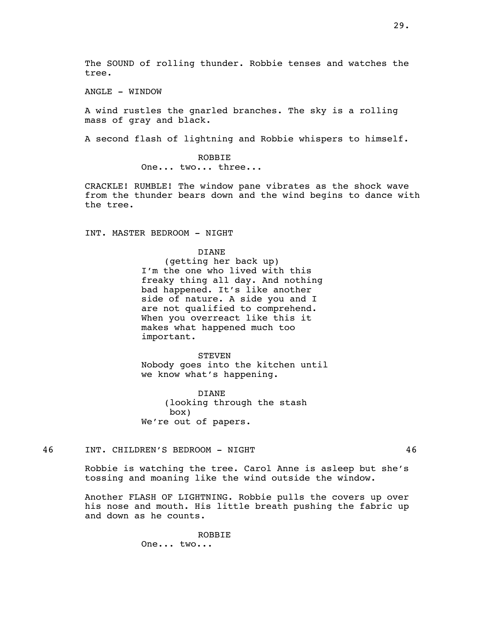ANGLE - WINDOW

A wind rustles the gnarled branches. The sky is a rolling mass of gray and black.

A second flash of lightning and Robbie whispers to himself.

ROBBIE One... two... three...

CRACKLE! RUMBLE! The window pane vibrates as the shock wave from the thunder bears down and the wind begins to dance with the tree.

INT. MASTER BEDROOM - NIGHT

DIANE (getting her back up) I'm the one who lived with this freaky thing all day. And nothing bad happened. It's like another side of nature. A side you and I are not qualified to comprehend. When you overreact like this it makes what happened much too important.

**STEVEN** Nobody goes into the kitchen until we know what's happening.

DIANE (looking through the stash box) We're out of papers.

46 INT. CHILDREN'S BEDROOM - NIGHT 46

Robbie is watching the tree. Carol Anne is asleep but she's tossing and moaning like the wind outside the window.

Another FLASH OF LIGHTNING. Robbie pulls the covers up over his nose and mouth. His little breath pushing the fabric up and down as he counts.

> ROBBIE One... two...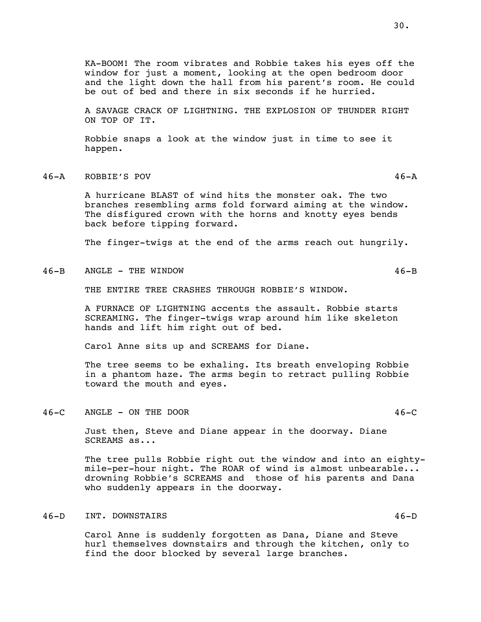KA-BOOM! The room vibrates and Robbie takes his eyes off the window for just a moment, looking at the open bedroom door and the light down the hall from his parent's room. He could be out of bed and there in six seconds if he hurried.

A SAVAGE CRACK OF LIGHTNING. THE EXPLOSION OF THUNDER RIGHT ON TOP OF IT.

Robbie snaps a look at the window just in time to see it happen.

#### 46-A ROBBIE'S POV 46-A

A hurricane BLAST of wind hits the monster oak. The two branches resembling arms fold forward aiming at the window. The disfigured crown with the horns and knotty eyes bends back before tipping forward.

The finger-twigs at the end of the arms reach out hungrily.

46-B ANGLE - THE WINDOW 46-B

THE ENTIRE TREE CRASHES THROUGH ROBBIE'S WINDOW.

A FURNACE OF LIGHTNING accents the assault. Robbie starts SCREAMING. The finger-twigs wrap around him like skeleton hands and lift him right out of bed.

Carol Anne sits up and SCREAMS for Diane.

The tree seems to be exhaling. Its breath enveloping Robbie in a phantom haze. The arms begin to retract pulling Robbie toward the mouth and eyes.

#### 46-C ANGLE - ON THE DOOR 46-C

Just then, Steve and Diane appear in the doorway. Diane SCREAMS as...

The tree pulls Robbie right out the window and into an eightymile-per-hour night. The ROAR of wind is almost unbearable... drowning Robbie's SCREAMS and those of his parents and Dana who suddenly appears in the doorway.

#### 46-D INT. DOWNSTAIRS 46-D

Carol Anne is suddenly forgotten as Dana, Diane and Steve hurl themselves downstairs and through the kitchen, only to find the door blocked by several large branches.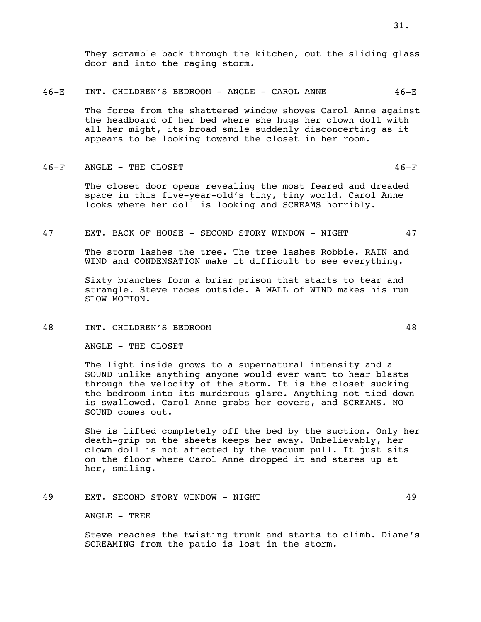They scramble back through the kitchen, out the sliding glass door and into the raging storm.

#### 46-E INT. CHILDREN'S BEDROOM - ANGLE - CAROL ANNE 46-E

The force from the shattered window shoves Carol Anne against the headboard of her bed where she hugs her clown doll with all her might, its broad smile suddenly disconcerting as it appears to be looking toward the closet in her room.

#### 46-F ANGLE - THE CLOSET 46-F

The closet door opens revealing the most feared and dreaded space in this five-year-old's tiny, tiny world. Carol Anne looks where her doll is looking and SCREAMS horribly.

#### 47 EXT. BACK OF HOUSE - SECOND STORY WINDOW - NIGHT 47

The storm lashes the tree. The tree lashes Robbie. RAIN and WIND and CONDENSATION make it difficult to see everything.

Sixty branches form a briar prison that starts to tear and strangle. Steve races outside. A WALL of WIND makes his run SLOW MOTION.

#### 48 INT. CHILDREN'S BEDROOM 48

ANGLE - THE CLOSET

The light inside grows to a supernatural intensity and a SOUND unlike anything anyone would ever want to hear blasts through the velocity of the storm. It is the closet sucking the bedroom into its murderous glare. Anything not tied down is swallowed. Carol Anne grabs her covers, and SCREAMS. NO SOUND comes out.

She is lifted completely off the bed by the suction. Only her death-grip on the sheets keeps her away. Unbelievably, her clown doll is not affected by the vacuum pull. It just sits on the floor where Carol Anne dropped it and stares up at her, smiling.

# 49 EXT. SECOND STORY WINDOW - NIGHT 49

ANGLE - TREE

Steve reaches the twisting trunk and starts to climb. Diane's SCREAMING from the patio is lost in the storm.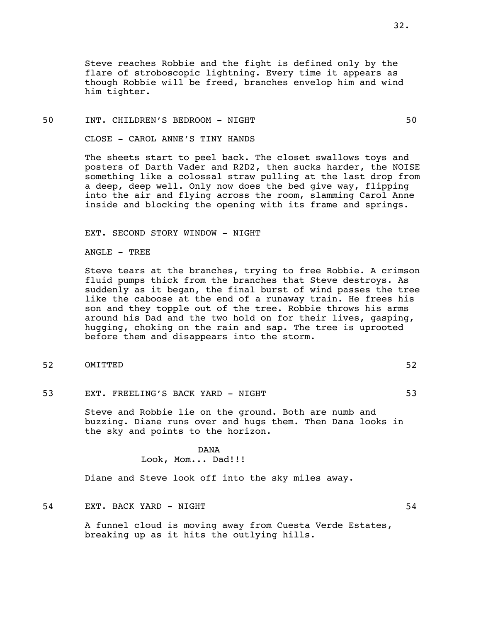Steve reaches Robbie and the fight is defined only by the flare of stroboscopic lightning. Every time it appears as though Robbie will be freed, branches envelop him and wind him tighter.

#### 50 INT. CHILDREN'S BEDROOM - NIGHT 50

CLOSE - CAROL ANNE'S TINY HANDS

The sheets start to peel back. The closet swallows toys and posters of Darth Vader and R2D2, then sucks harder, the NOISE something like a colossal straw pulling at the last drop from a deep, deep well. Only now does the bed give way, flipping into the air and flying across the room, slamming Carol Anne inside and blocking the opening with its frame and springs.

EXT. SECOND STORY WINDOW - NIGHT

ANGLE - TREE

Steve tears at the branches, trying to free Robbie. A crimson fluid pumps thick from the branches that Steve destroys. As suddenly as it began, the final burst of wind passes the tree like the caboose at the end of a runaway train. He frees his son and they topple out of the tree. Robbie throws his arms around his Dad and the two hold on for their lives, gasping, hugging, choking on the rain and sap. The tree is uprooted before them and disappears into the storm.

- 52 OMITTED 52
- 53 EXT. FREELING'S BACK YARD NIGHT 53

Steve and Robbie lie on the ground. Both are numb and buzzing. Diane runs over and hugs them. Then Dana looks in the sky and points to the horizon.

> DANA Look, Mom... Dad!!!

Diane and Steve look off into the sky miles away.

54 EXT. BACK YARD - NIGHT 54

A funnel cloud is moving away from Cuesta Verde Estates, breaking up as it hits the outlying hills.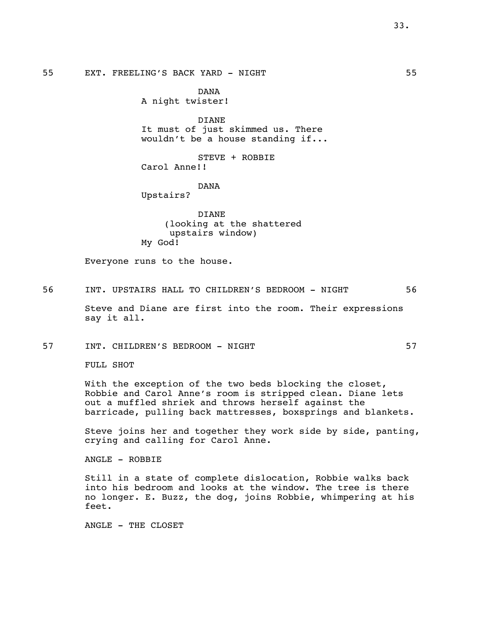# 55 EXT. FREELING'S BACK YARD - NIGHT 55

DANA A night twister!

DIANE It must of just skimmed us. There wouldn't be a house standing if...

STEVE + ROBBIE Carol Anne!!

DANA

Upstairs?

DIANE (looking at the shattered upstairs window) My God!

Everyone runs to the house.

56 INT. UPSTAIRS HALL TO CHILDREN'S BEDROOM - NIGHT 56 Steve and Diane are first into the room. Their expressions say it all.

57 INT. CHILDREN'S BEDROOM - NIGHT 57

FULL SHOT

With the exception of the two beds blocking the closet, Robbie and Carol Anne's room is stripped clean. Diane lets out a muffled shriek and throws herself against the barricade, pulling back mattresses, boxsprings and blankets.

Steve joins her and together they work side by side, panting, crying and calling for Carol Anne.

ANGLE - ROBBIE

Still in a state of complete dislocation, Robbie walks back into his bedroom and looks at the window. The tree is there no longer. E. Buzz, the dog, joins Robbie, whimpering at his feet.

ANGLE - THE CLOSET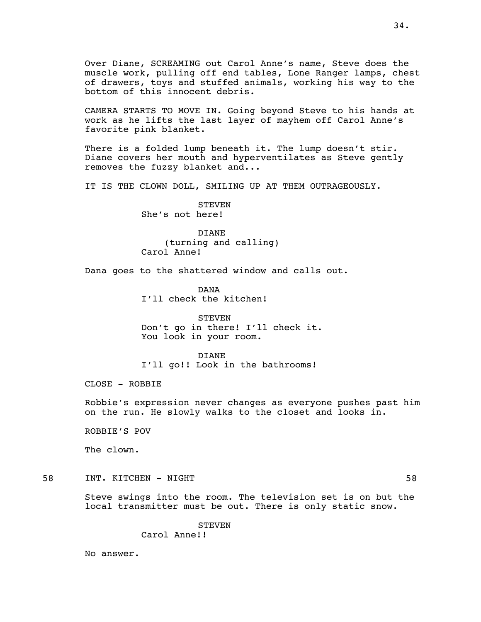Over Diane, SCREAMING out Carol Anne's name, Steve does the muscle work, pulling off end tables, Lone Ranger lamps, chest of drawers, toys and stuffed animals, working his way to the bottom of this innocent debris.

CAMERA STARTS TO MOVE IN. Going beyond Steve to his hands at work as he lifts the last layer of mayhem off Carol Anne's favorite pink blanket.

There is a folded lump beneath it. The lump doesn't stir. Diane covers her mouth and hyperventilates as Steve gently removes the fuzzy blanket and...

IT IS THE CLOWN DOLL, SMILING UP AT THEM OUTRAGEOUSLY.

STEVEN She's not here!

DIANE (turning and calling) Carol Anne!

Dana goes to the shattered window and calls out.

DANA I'll check the kitchen!

**STEVEN** Don't go in there! I'll check it. You look in your room.

DIANE

I'll go!! Look in the bathrooms!

CLOSE - ROBBIE

Robbie's expression never changes as everyone pushes past him on the run. He slowly walks to the closet and looks in.

ROBBIE'S POV

The clown.

58 INT. KITCHEN - NIGHT 58

Steve swings into the room. The television set is on but the local transmitter must be out. There is only static snow.

**STEVEN** 

Carol Anne!!

No answer.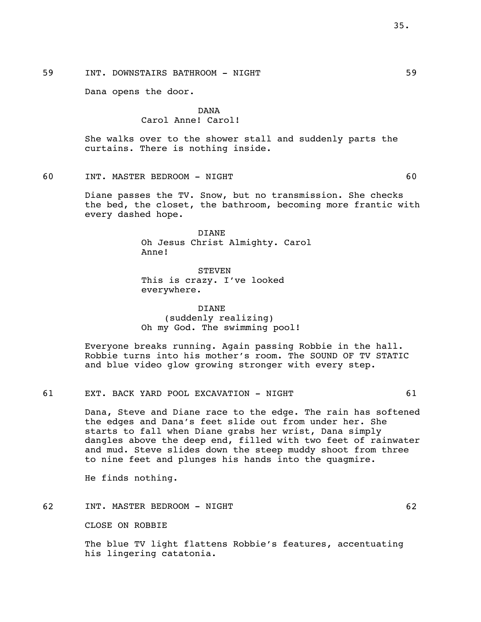59 INT. DOWNSTAIRS BATHROOM - NIGHT 59

Dana opens the door.

DANA Carol Anne! Carol!

She walks over to the shower stall and suddenly parts the curtains. There is nothing inside.

60 INT. MASTER BEDROOM - NIGHT 60

Diane passes the TV. Snow, but no transmission. She checks the bed, the closet, the bathroom, becoming more frantic with every dashed hope.

> DIANE Oh Jesus Christ Almighty. Carol Anne!

**STEVEN** This is crazy. I've looked everywhere.

DIANE (suddenly realizing) Oh my God. The swimming pool!

Everyone breaks running. Again passing Robbie in the hall. Robbie turns into his mother's room. The SOUND OF TV STATIC and blue video glow growing stronger with every step.

61 EXT. BACK YARD POOL EXCAVATION - NIGHT 61

Dana, Steve and Diane race to the edge. The rain has softened the edges and Dana's feet slide out from under her. She starts to fall when Diane grabs her wrist, Dana simply dangles above the deep end, filled with two feet of rainwater and mud. Steve slides down the steep muddy shoot from three to nine feet and plunges his hands into the quagmire.

He finds nothing.

62 INT. MASTER BEDROOM - NIGHT 62

CLOSE ON ROBBIE

The blue TV light flattens Robbie's features, accentuating his lingering catatonia.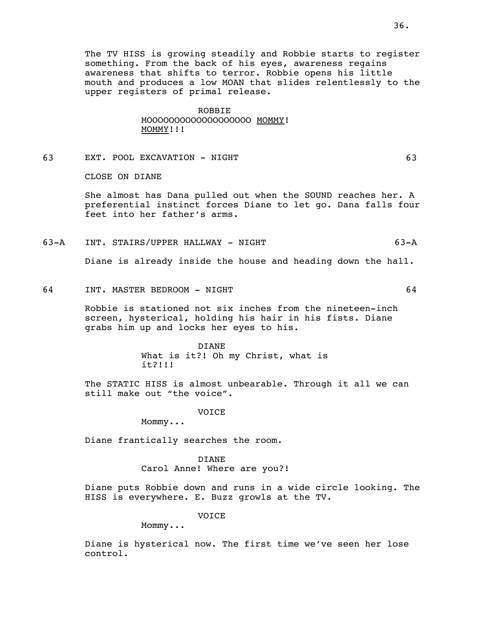The TV HISS is growing steadily and Robbie starts to register something. From the back of his eyes, awareness regains awareness that shifts to terror. Robbie opens his little mouth and produces a low MOAN that slides relentlessly to the upper registers of primal release.

#### ROBBIE

MOOOOOOOOOOOOOOOOOOO MOMMY! MOMMY!!!

63 EXT. POOL EXCAVATION - NIGHT 63

CLOSE ON DIANE

She almost has Dana pulled out when the SOUND reaches her. A preferential instinct forces Diane to let go. Dana falls four feet into her father's arms.

63-A INT. STAIRS/UPPER HALLWAY - NIGHT 63-A

Diane is already inside the house and heading down the hall.

64 INT. MASTER BEDROOM - NIGHT 64

Robbie is stationed not six inches from the nineteen-inch screen, hysterical, holding his hair in his fists. Diane grabs him up and locks her eyes to his.

> DIANE What is it?! Oh my Christ, what is it?!!!

The STATIC HISS is almost unbearable. Through it all we can still make out "the voice".

VOICE

Mommy...

Diane frantically searches the room.

# DIANE

Carol Anne! Where are you?!

Diane puts Robbie down and runs in a wide circle looking. The HISS is everywhere. E. Buzz growls at the TV.

VOICE

Mommy...

Diane is hysterical now. The first time we've seen her lose control.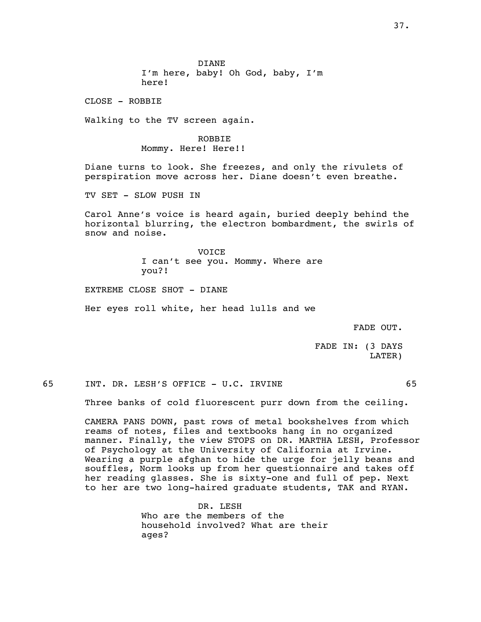DIANE I'm here, baby! Oh God, baby, I'm here!

CLOSE - ROBBIE

Walking to the TV screen again.

ROBBIE Mommy. Here! Here!!

Diane turns to look. She freezes, and only the rivulets of perspiration move across her. Diane doesn't even breathe.

TV SET - SLOW PUSH IN

Carol Anne's voice is heard again, buried deeply behind the horizontal blurring, the electron bombardment, the swirls of snow and noise.

> VOICE I can't see you. Mommy. Where are you?!

EXTREME CLOSE SHOT - DIANE

Her eyes roll white, her head lulls and we

FADE OUT.

FADE IN: (3 DAYS LATER)

65 INT. DR. LESH'S OFFICE - U.C. IRVINE 65

Three banks of cold fluorescent purr down from the ceiling.

CAMERA PANS DOWN, past rows of metal bookshelves from which reams of notes, files and textbooks hang in no organized manner. Finally, the view STOPS on DR. MARTHA LESH, Professor of Psychology at the University of California at Irvine. Wearing a purple afghan to hide the urge for jelly beans and souffles, Norm looks up from her questionnaire and takes off her reading glasses. She is sixty-one and full of pep. Next to her are two long-haired graduate students, TAK and RYAN.

> DR. LESH Who are the members of the household involved? What are their ages?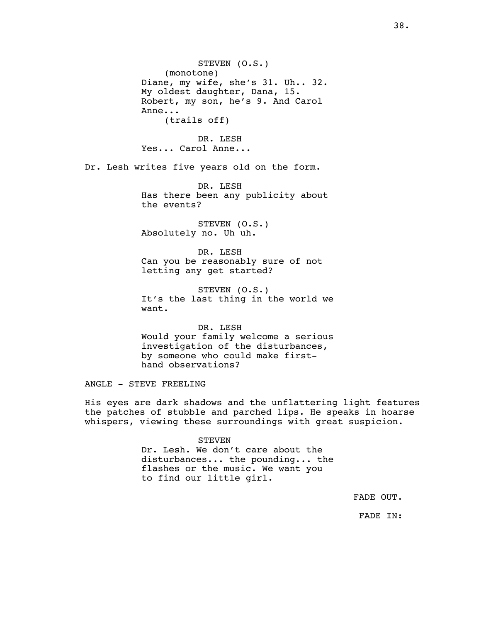STEVEN (O.S.) (monotone) Diane, my wife, she's 31. Uh.. 32. My oldest daughter, Dana, 15. Robert, my son, he's 9. And Carol Anne... (trails off)

DR. LESH Yes... Carol Anne...

Dr. Lesh writes five years old on the form.

DR. LESH Has there been any publicity about the events?

STEVEN (O.S.) Absolutely no. Uh uh.

DR. LESH Can you be reasonably sure of not letting any get started?

STEVEN (O.S.) It's the last thing in the world we want.

DR. LESH Would your family welcome a serious investigation of the disturbances, by someone who could make firsthand observations?

ANGLE - STEVE FREELING

His eyes are dark shadows and the unflattering light features the patches of stubble and parched lips. He speaks in hoarse whispers, viewing these surroundings with great suspicion.

#### **STEVEN**

Dr. Lesh. We don't care about the disturbances... the pounding... the flashes or the music. We want you to find our little girl.

FADE OUT.

FADE IN: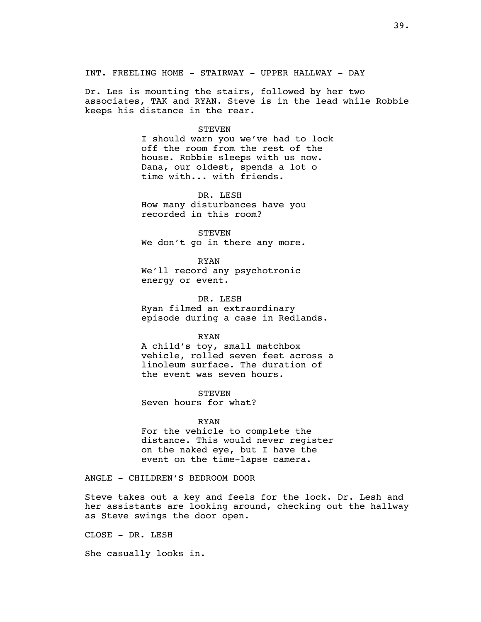INT. FREELING HOME - STAIRWAY - UPPER HALLWAY - DAY

Dr. Les is mounting the stairs, followed by her two associates, TAK and RYAN. Steve is in the lead while Robbie keeps his distance in the rear.

#### STEVEN

I should warn you we've had to lock off the room from the rest of the house. Robbie sleeps with us now. Dana, our oldest, spends a lot o time with... with friends.

DR. LESH How many disturbances have you recorded in this room?

**STEVEN** We don't go in there any more.

RYAN We'll record any psychotronic energy or event.

DR. LESH Ryan filmed an extraordinary episode during a case in Redlands.

### RYAN

A child's toy, small matchbox vehicle, rolled seven feet across a linoleum surface. The duration of the event was seven hours.

**STEVEN** Seven hours for what?

#### RYAN

For the vehicle to complete the distance. This would never register on the naked eye, but I have the event on the time-lapse camera.

ANGLE - CHILDREN'S BEDROOM DOOR

Steve takes out a key and feels for the lock. Dr. Lesh and her assistants are looking around, checking out the hallway as Steve swings the door open.

CLOSE - DR. LESH

She casually looks in.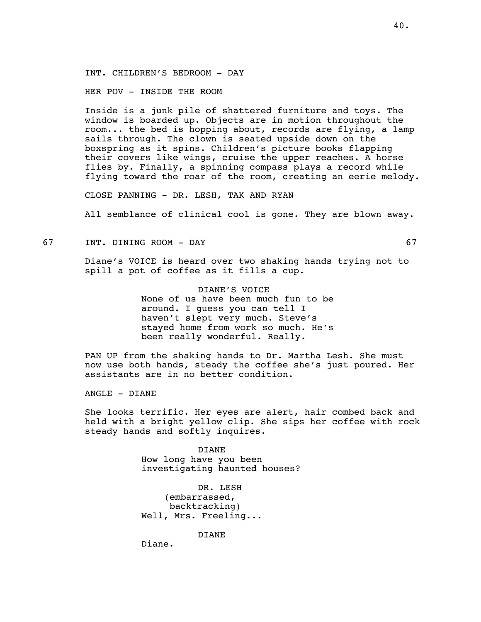INT. CHILDREN'S BEDROOM - DAY

HER POV - INSIDE THE ROOM

Inside is a junk pile of shattered furniture and toys. The window is boarded up. Objects are in motion throughout the room... the bed is hopping about, records are flying, a lamp sails through. The clown is seated upside down on the boxspring as it spins. Children's picture books flapping their covers like wings, cruise the upper reaches. A horse flies by. Finally, a spinning compass plays a record while flying toward the roar of the room, creating an eerie melody.

CLOSE PANNING - DR. LESH, TAK AND RYAN

All semblance of clinical cool is gone. They are blown away.

67 INT. DINING ROOM - DAY 67

Diane's VOICE is heard over two shaking hands trying not to spill a pot of coffee as it fills a cup.

> DIANE'S VOICE None of us have been much fun to be around. I guess you can tell I haven't slept very much. Steve's stayed home from work so much. He's been really wonderful. Really.

PAN UP from the shaking hands to Dr. Martha Lesh. She must now use both hands, steady the coffee she's just poured. Her assistants are in no better condition.

ANGLE - DIANE

She looks terrific. Her eyes are alert, hair combed back and held with a bright yellow clip. She sips her coffee with rock steady hands and softly inquires.

> DIANE How long have you been investigating haunted houses?

DR. LESH (embarrassed, backtracking) Well, Mrs. Freeling...

DIANE

Diane.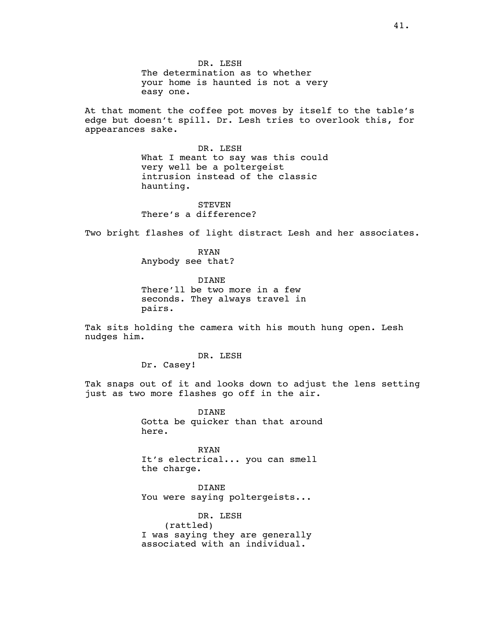DR. LESH The determination as to whether your home is haunted is not a very easy one.

At that moment the coffee pot moves by itself to the table's edge but doesn't spill. Dr. Lesh tries to overlook this, for appearances sake.

> DR. LESH What I meant to say was this could very well be a poltergeist intrusion instead of the classic haunting.

STEVEN There's a difference?

Two bright flashes of light distract Lesh and her associates.

RYAN Anybody see that?

DIANE There'll be two more in a few seconds. They always travel in pairs.

Tak sits holding the camera with his mouth hung open. Lesh nudges him.

DR. LESH

Dr. Casey!

Tak snaps out of it and looks down to adjust the lens setting just as two more flashes go off in the air.

> DIANE Gotta be quicker than that around here.

RYAN It's electrical... you can smell the charge.

DIANE You were saying poltergeists...

DR. LESH (rattled) I was saying they are generally associated with an individual.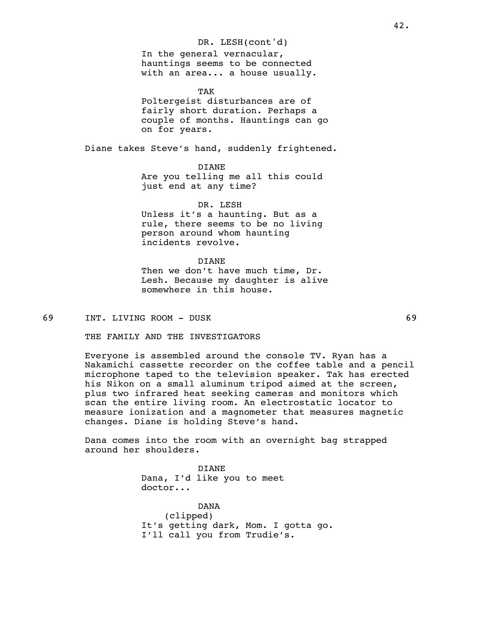DR. LESH(cont'd) In the general vernacular, hauntings seems to be connected with an area... a house usually.

TAK Poltergeist disturbances are of fairly short duration. Perhaps a couple of months. Hauntings can go on for years.

Diane takes Steve's hand, suddenly frightened.

DIANE

Are you telling me all this could just end at any time?

DR. LESH

Unless it's a haunting. But as a rule, there seems to be no living person around whom haunting incidents revolve.

DIANE Then we don't have much time, Dr. Lesh. Because my daughter is alive somewhere in this house.

69 INT. LIVING ROOM - DUSK 69

THE FAMILY AND THE INVESTIGATORS

Everyone is assembled around the console TV. Ryan has a Nakamichi cassette recorder on the coffee table and a pencil microphone taped to the television speaker. Tak has erected his Nikon on a small aluminum tripod aimed at the screen, plus two infrared heat seeking cameras and monitors which scan the entire living room. An electrostatic locator to measure ionization and a magnometer that measures magnetic changes. Diane is holding Steve's hand.

Dana comes into the room with an overnight bag strapped around her shoulders.

> DIANE Dana, I'd like you to meet doctor...

DANA (clipped) It's getting dark, Mom. I gotta go. I'll call you from Trudie's.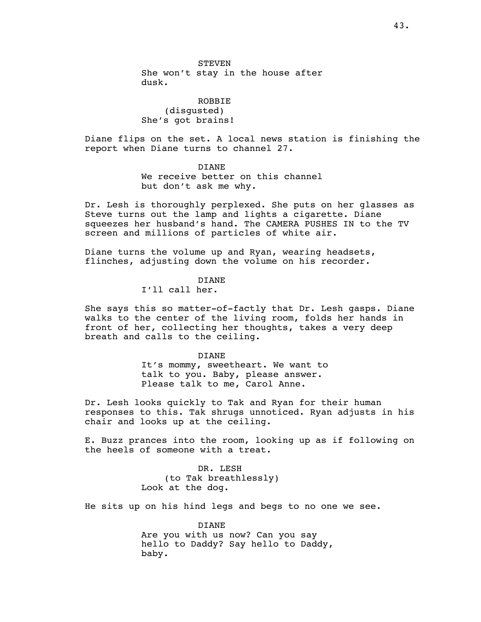STEVEN She won't stay in the house after dusk.

ROBBIE (disgusted) She's got brains!

Diane flips on the set. A local news station is finishing the report when Diane turns to channel 27.

## DIANE

We receive better on this channel but don't ask me why.

Dr. Lesh is thoroughly perplexed. She puts on her glasses as Steve turns out the lamp and lights a cigarette. Diane squeezes her husband's hand. The CAMERA PUSHES IN to the TV screen and millions of particles of white air.

Diane turns the volume up and Ryan, wearing headsets, flinches, adjusting down the volume on his recorder.

# DIANE

I'll call her.

She says this so matter-of-factly that Dr. Lesh gasps. Diane walks to the center of the living room, folds her hands in front of her, collecting her thoughts, takes a very deep breath and calls to the ceiling.

#### DIANE

It's mommy, sweetheart. We want to talk to you. Baby, please answer. Please talk to me, Carol Anne.

Dr. Lesh looks quickly to Tak and Ryan for their human responses to this. Tak shrugs unnoticed. Ryan adjusts in his chair and looks up at the ceiling.

E. Buzz prances into the room, looking up as if following on the heels of someone with a treat.

> DR. LESH (to Tak breathlessly) Look at the dog.

He sits up on his hind legs and begs to no one we see.

DIANE Are you with us now? Can you say hello to Daddy? Say hello to Daddy, baby.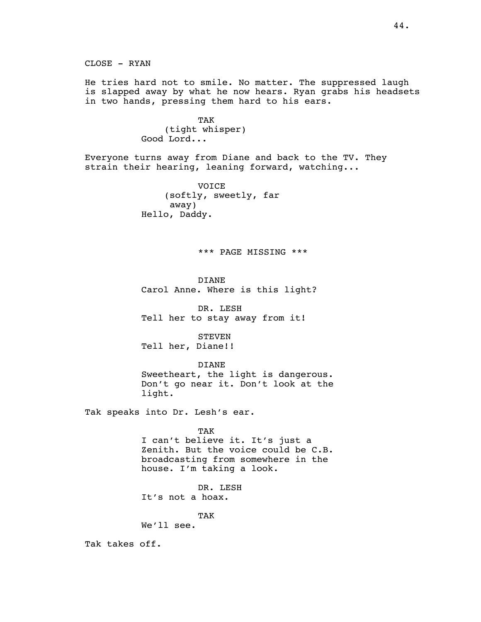He tries hard not to smile. No matter. The suppressed laugh is slapped away by what he now hears. Ryan grabs his headsets in two hands, pressing them hard to his ears.

> TAK (tight whisper) Good Lord...

Everyone turns away from Diane and back to the TV. They strain their hearing, leaning forward, watching...

> VOICE (softly, sweetly, far away) Hello, Daddy.

## \*\*\* PAGE MISSING \*\*\*

DIANE Carol Anne. Where is this light?

DR. LESH Tell her to stay away from it!

**STEVEN** Tell her, Diane!!

DIANE Sweetheart, the light is dangerous. Don't go near it. Don't look at the light.

Tak speaks into Dr. Lesh's ear.

TAK

I can't believe it. It's just a Zenith. But the voice could be C.B. broadcasting from somewhere in the house. I'm taking a look.

DR. LESH It's not a hoax.

TAK

We'll see.

Tak takes off.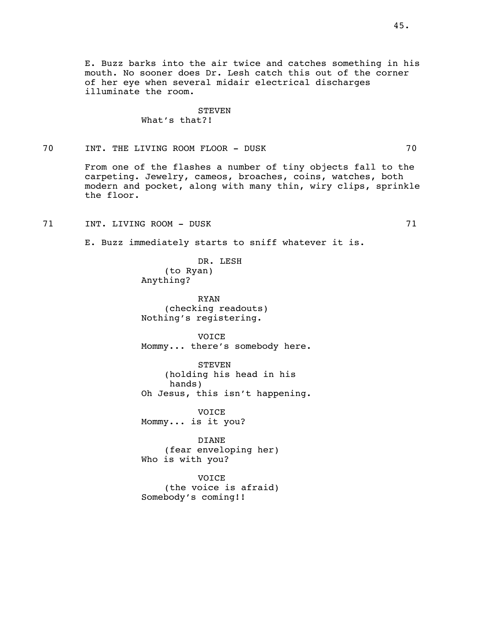E. Buzz barks into the air twice and catches something in his mouth. No sooner does Dr. Lesh catch this out of the corner of her eye when several midair electrical discharges illuminate the room.

### **STEVEN** What's that?!

70 INT. THE LIVING ROOM FLOOR - DUSK 70

From one of the flashes a number of tiny objects fall to the carpeting. Jewelry, cameos, broaches, coins, watches, both modern and pocket, along with many thin, wiry clips, sprinkle the floor.

71 INT. LIVING ROOM - DUSK 71

E. Buzz immediately starts to sniff whatever it is.

DR. LESH (to Ryan) Anything?

RYAN (checking readouts) Nothing's registering.

VOICE Mommy... there's somebody here.

STEVEN (holding his head in his hands) Oh Jesus, this isn't happening.

VOICE Mommy... is it you?

DIANE (fear enveloping her) Who is with you?

VOICE (the voice is afraid) Somebody's coming!!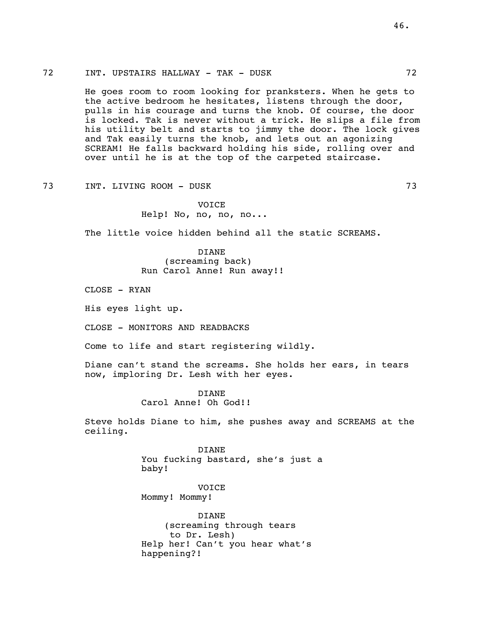## 72 INT. UPSTAIRS HALLWAY - TAK - DUSK 72

He goes room to room looking for pranksters. When he gets to the active bedroom he hesitates, listens through the door, pulls in his courage and turns the knob. Of course, the door is locked. Tak is never without a trick. He slips a file from his utility belt and starts to jimmy the door. The lock gives and Tak easily turns the knob, and lets out an agonizing SCREAM! He falls backward holding his side, rolling over and over until he is at the top of the carpeted staircase.

73 INT. LIVING ROOM - DUSK 73

VOICE Help! No, no, no, no...

The little voice hidden behind all the static SCREAMS.

DIANE (screaming back) Run Carol Anne! Run away!!

CLOSE - RYAN

His eyes light up.

CLOSE - MONITORS AND READBACKS

Come to life and start registering wildly.

Diane can't stand the screams. She holds her ears, in tears now, imploring Dr. Lesh with her eyes.

> DIANE Carol Anne! Oh God!!

Steve holds Diane to him, she pushes away and SCREAMS at the ceiling.

DIANE

You fucking bastard, she's just a baby!

VOICE Mommy! Mommy!

DIANE (screaming through tears to Dr. Lesh) Help her! Can't you hear what's happening?!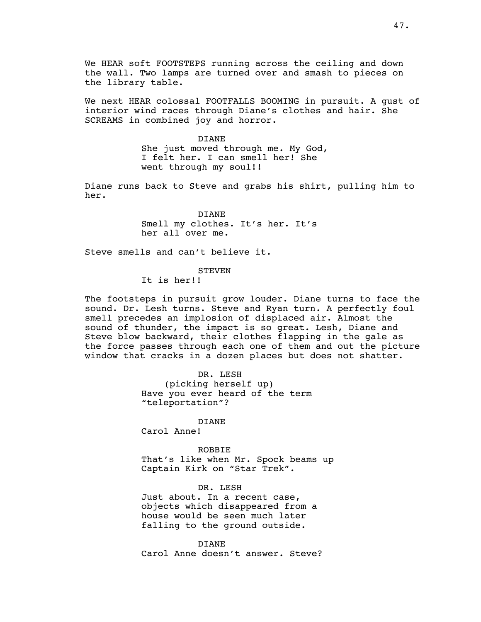We HEAR soft FOOTSTEPS running across the ceiling and down the wall. Two lamps are turned over and smash to pieces on the library table.

We next HEAR colossal FOOTFALLS BOOMING in pursuit. A gust of interior wind races through Diane's clothes and hair. She SCREAMS in combined joy and horror.

#### DIANE

She just moved through me. My God, I felt her. I can smell her! She went through my soul!!

Diane runs back to Steve and grabs his shirt, pulling him to her.

> DIANE Smell my clothes. It's her. It's her all over me.

Steve smells and can't believe it.

#### STEVEN

It is her!!

The footsteps in pursuit grow louder. Diane turns to face the sound. Dr. Lesh turns. Steve and Ryan turn. A perfectly foul smell precedes an implosion of displaced air. Almost the sound of thunder, the impact is so great. Lesh, Diane and Steve blow backward, their clothes flapping in the gale as the force passes through each one of them and out the picture window that cracks in a dozen places but does not shatter.

> DR. LESH (picking herself up) Have you ever heard of the term "teleportation"?

#### DIANE

Carol Anne!

## ROBBIE

That's like when Mr. Spock beams up Captain Kirk on "Star Trek".

DR. LESH

Just about. In a recent case, objects which disappeared from a house would be seen much later falling to the ground outside.

DIANE Carol Anne doesn't answer. Steve?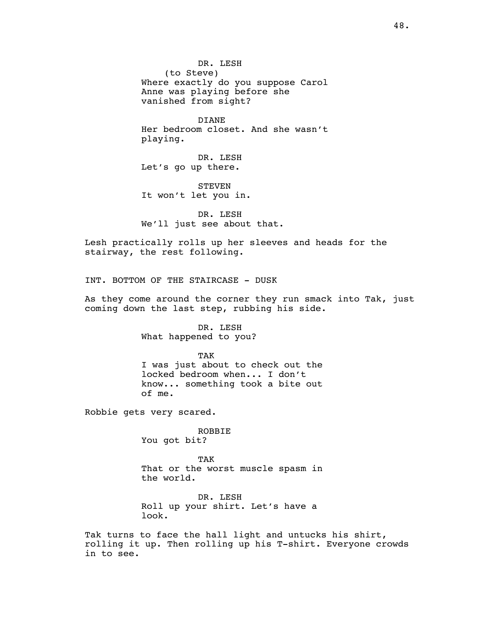DR. LESH (to Steve) Where exactly do you suppose Carol Anne was playing before she vanished from sight?

DIANE Her bedroom closet. And she wasn't playing.

DR. LESH Let's go up there.

STEVEN It won't let you in.

DR. LESH We'll just see about that.

Lesh practically rolls up her sleeves and heads for the stairway, the rest following.

INT. BOTTOM OF THE STAIRCASE - DUSK

As they come around the corner they run smack into Tak, just coming down the last step, rubbing his side.

> DR. LESH What happened to you?

TAK I was just about to check out the locked bedroom when... I don't know... something took a bite out of me.

Robbie gets very scared.

ROBBIE You got bit?

TAK That or the worst muscle spasm in the world.

DR. LESH Roll up your shirt. Let's have a look.

Tak turns to face the hall light and untucks his shirt, rolling it up. Then rolling up his T-shirt. Everyone crowds in to see.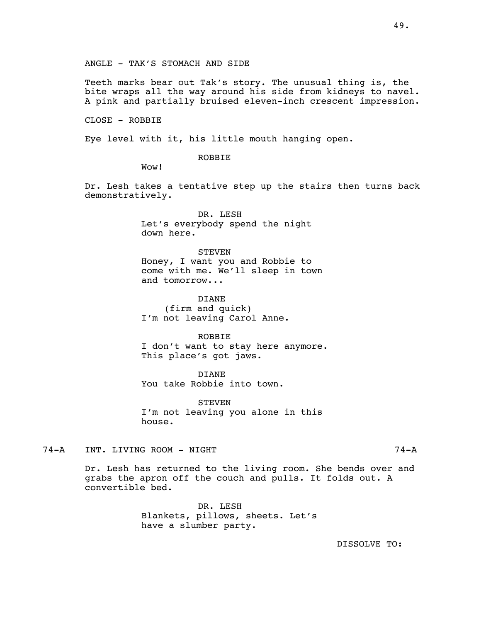ANGLE - TAK'S STOMACH AND SIDE

Teeth marks bear out Tak's story. The unusual thing is, the bite wraps all the way around his side from kidneys to navel. A pink and partially bruised eleven-inch crescent impression.

CLOSE - ROBBIE

Eye level with it, his little mouth hanging open.

ROBBIE

Wow!

Dr. Lesh takes a tentative step up the stairs then turns back demonstratively.

> DR. LESH Let's everybody spend the night down here.

**STEVEN** Honey, I want you and Robbie to come with me. We'll sleep in town and tomorrow...

DIANE (firm and quick) I'm not leaving Carol Anne.

ROBBIE

I don't want to stay here anymore. This place's got jaws.

DIANE You take Robbie into town.

**STEVEN** I'm not leaving you alone in this house.

74-A INT. LIVING ROOM - NIGHT 74-A

Dr. Lesh has returned to the living room. She bends over and grabs the apron off the couch and pulls. It folds out. A convertible bed.

> DR. LESH Blankets, pillows, sheets. Let's have a slumber party.

> > DISSOLVE TO: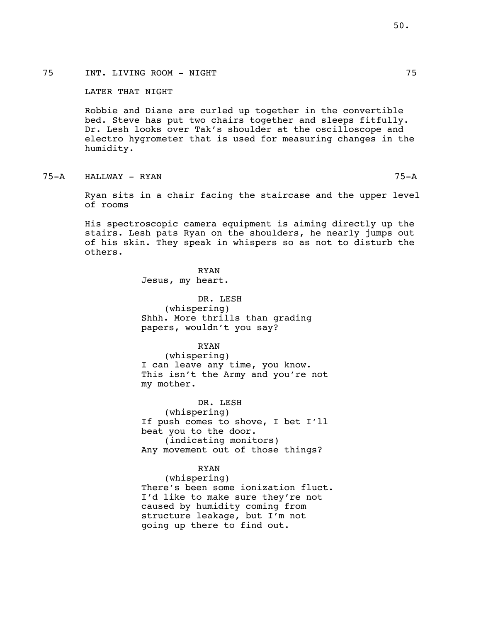LATER THAT NIGHT

Robbie and Diane are curled up together in the convertible bed. Steve has put two chairs together and sleeps fitfully. Dr. Lesh looks over Tak's shoulder at the oscilloscope and electro hygrometer that is used for measuring changes in the humidity.

75-A HALLWAY - RYAN 75-A

Ryan sits in a chair facing the staircase and the upper level of rooms

His spectroscopic camera equipment is aiming directly up the stairs. Lesh pats Ryan on the shoulders, he nearly jumps out of his skin. They speak in whispers so as not to disturb the others.

> RYAN Jesus, my heart.

DR. LESH (whispering) Shhh. More thrills than grading papers, wouldn't you say?

## RYAN

(whispering) I can leave any time, you know. This isn't the Army and you're not my mother.

DR. LESH (whispering) If push comes to shove, I bet I'll beat you to the door. (indicating monitors) Any movement out of those things?

# RYAN

(whispering) There's been some ionization fluct. I'd like to make sure they're not caused by humidity coming from structure leakage, but I'm not going up there to find out.

50.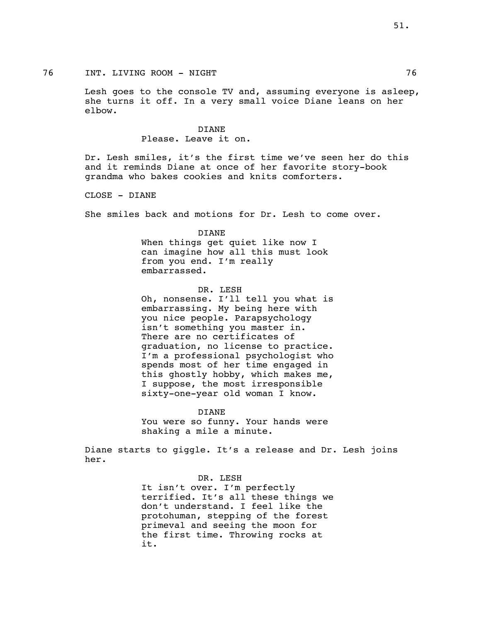## 76 INT. LIVING ROOM - NIGHT 76

Lesh goes to the console TV and, assuming everyone is asleep, she turns it off. In a very small voice Diane leans on her elbow.

# DIANE Please. Leave it on.

Dr. Lesh smiles, it's the first time we've seen her do this and it reminds Diane at once of her favorite story-book grandma who bakes cookies and knits comforters.

CLOSE - DIANE

She smiles back and motions for Dr. Lesh to come over.

# DIANE When things get quiet like now I can imagine how all this must look from you end. I'm really embarrassed.

DR. LESH Oh, nonsense. I'll tell you what is embarrassing. My being here with you nice people. Parapsychology isn't something you master in. There are no certificates of graduation, no license to practice. I'm a professional psychologist who spends most of her time engaged in this ghostly hobby, which makes me, I suppose, the most irresponsible sixty-one-year old woman I know.

DIANE You were so funny. Your hands were shaking a mile a minute.

Diane starts to giggle. It's a release and Dr. Lesh joins her.

DR. LESH

It isn't over. I'm perfectly terrified. It's all these things we don't understand. I feel like the protohuman, stepping of the forest primeval and seeing the moon for the first time. Throwing rocks at it.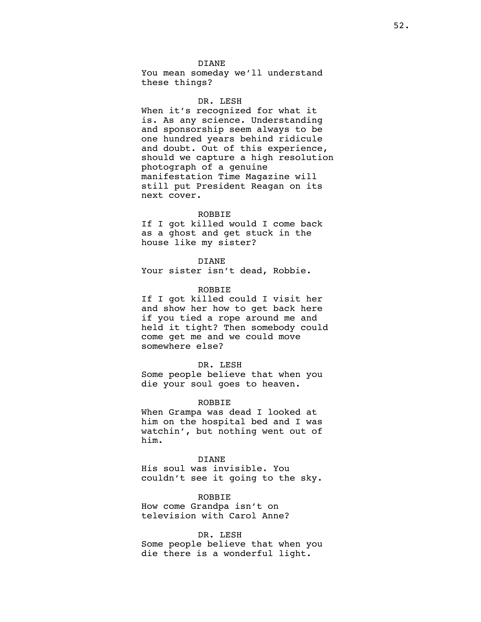#### DIANE

You mean someday we'll understand these things?

#### DR. LESH

When it's recognized for what it is. As any science. Understanding and sponsorship seem always to be one hundred years behind ridicule and doubt. Out of this experience, should we capture a high resolution photograph of a genuine manifestation Time Magazine will still put President Reagan on its next cover.

#### ROBBIE

If I got killed would I come back as a ghost and get stuck in the house like my sister?

DIANE Your sister isn't dead, Robbie.

## ROBBIE

If I got killed could I visit her and show her how to get back here if you tied a rope around me and held it tight? Then somebody could come get me and we could move somewhere else?

#### DR. LESH

Some people believe that when you die your soul goes to heaven.

#### ROBBIE

When Grampa was dead I looked at him on the hospital bed and I was watchin', but nothing went out of him.

DIANE His soul was invisible. You couldn't see it going to the sky.

### ROBBIE

How come Grandpa isn't on television with Carol Anne?

## DR. LESH

Some people believe that when you die there is a wonderful light.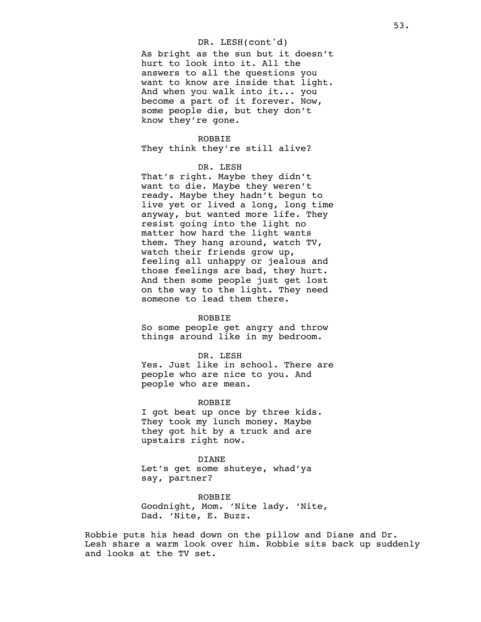## DR. LESH(cont'd)

As bright as the sun but it doesn't hurt to look into it. All the answers to all the questions you want to know are inside that light. And when you walk into it... you become a part of it forever. Now, some people die, but they don't know they're gone.

### ROBBIE

They think they're still alive?

## DR. LESH

That's right. Maybe they didn't want to die. Maybe they weren't ready. Maybe they hadn't begun to live yet or lived a long, long time anyway, but wanted more life. They resist going into the light no matter how hard the light wants them. They hang around, watch TV, watch their friends grow up, feeling all unhappy or jealous and those feelings are bad, they hurt. And then some people just get lost on the way to the light. They need someone to lead them there.

#### **ROBBIE**

So some people get angry and throw things around like in my bedroom.

DR. LESH

Yes. Just like in school. There are people who are nice to you. And people who are mean.

#### ROBBIE

I got beat up once by three kids. They took my lunch money. Maybe they got hit by a truck and are upstairs right now.

DIANE Let's get some shuteye, whad'ya say, partner?

ROBBIE Goodnight, Mom. 'Nite lady. 'Nite, Dad. 'Nite, E. Buzz.

Robbie puts his head down on the pillow and Diane and Dr. Lesh share a warm look over him. Robbie sits back up suddenly and looks at the TV set.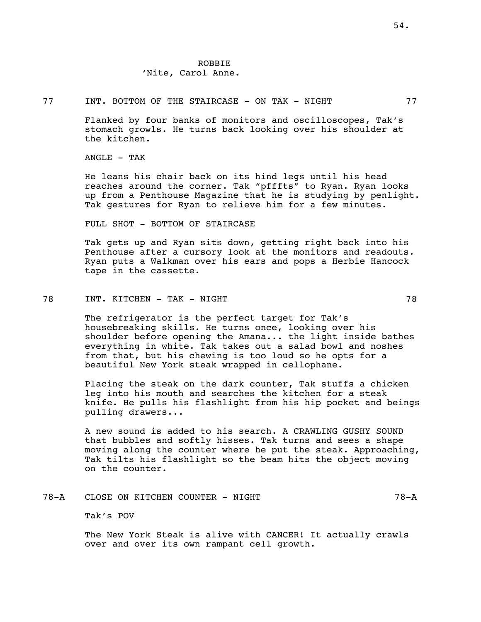# ROBBIE 'Nite, Carol Anne.

### 77 INT. BOTTOM OF THE STAIRCASE - ON TAK - NIGHT 77

Flanked by four banks of monitors and oscilloscopes, Tak's stomach growls. He turns back looking over his shoulder at the kitchen.

 $ANGLE$  - TAK

He leans his chair back on its hind legs until his head reaches around the corner. Tak "pfffts" to Ryan. Ryan looks up from a Penthouse Magazine that he is studying by penlight. Tak gestures for Ryan to relieve him for a few minutes.

FULL SHOT - BOTTOM OF STAIRCASE

Tak gets up and Ryan sits down, getting right back into his Penthouse after a cursory look at the monitors and readouts. Ryan puts a Walkman over his ears and pops a Herbie Hancock tape in the cassette.

78 INT. KITCHEN – TAK – NIGHT 78

The refrigerator is the perfect target for Tak's housebreaking skills. He turns once, looking over his shoulder before opening the Amana... the light inside bathes everything in white. Tak takes out a salad bowl and noshes from that, but his chewing is too loud so he opts for a beautiful New York steak wrapped in cellophane.

Placing the steak on the dark counter, Tak stuffs a chicken leg into his mouth and searches the kitchen for a steak knife. He pulls his flashlight from his hip pocket and beings pulling drawers...

A new sound is added to his search. A CRAWLING GUSHY SOUND that bubbles and softly hisses. Tak turns and sees a shape moving along the counter where he put the steak. Approaching, Tak tilts his flashlight so the beam hits the object moving on the counter.

78-A CLOSE ON KITCHEN COUNTER - NIGHT 78-A 78-A

Tak's POV

The New York Steak is alive with CANCER! It actually crawls over and over its own rampant cell growth.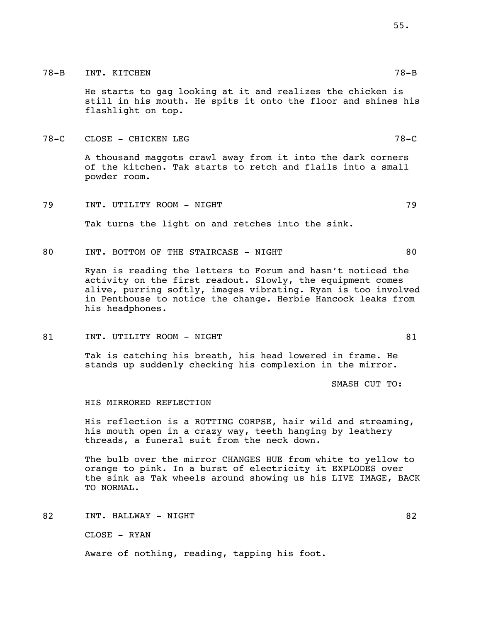# 78-B INT. KITCHEN 78-B

He starts to gag looking at it and realizes the chicken is still in his mouth. He spits it onto the floor and shines his flashlight on top.

78-C CLOSE - CHICKEN LEG 78-C

A thousand maggots crawl away from it into the dark corners of the kitchen. Tak starts to retch and flails into a small powder room.

79 INT. UTILITY ROOM - NIGHT 79

Tak turns the light on and retches into the sink.

80 INT. BOTTOM OF THE STAIRCASE - NIGHT 80

Ryan is reading the letters to Forum and hasn't noticed the activity on the first readout. Slowly, the equipment comes alive, purring softly, images vibrating. Ryan is too involved in Penthouse to notice the change. Herbie Hancock leaks from his headphones.

81 INT. UTILITY ROOM - NIGHT SALL SOFIE AND RESERVE ASSESSED.

Tak is catching his breath, his head lowered in frame. He stands up suddenly checking his complexion in the mirror.

SMASH CUT TO:

### HIS MIRRORED REFLECTION

His reflection is a ROTTING CORPSE, hair wild and streaming, his mouth open in a crazy way, teeth hanging by leathery threads, a funeral suit from the neck down.

The bulb over the mirror CHANGES HUE from white to yellow to orange to pink. In a burst of electricity it EXPLODES over the sink as Tak wheels around showing us his LIVE IMAGE, BACK TO NORMAL.

82 INT. HALLWAY – NIGHT SOLOMON SOLOMON SOLOMON SOLOMON SOLOMON SOLOMON SOLOMON SOLOMON SOLOMON SOLOMON SOLOMON

CLOSE - RYAN

Aware of nothing, reading, tapping his foot.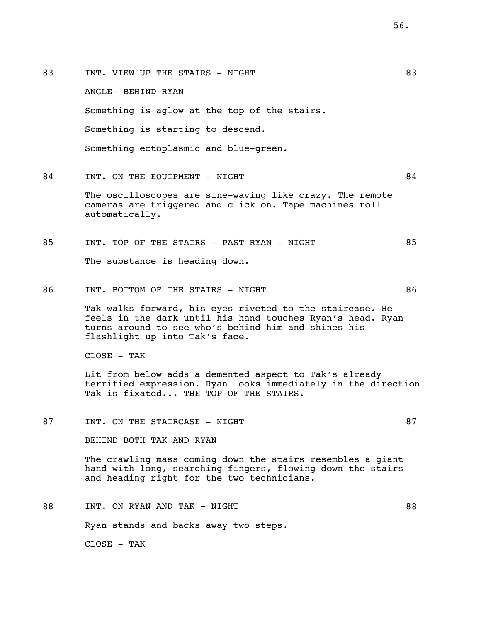83 INT. VIEW UP THE STAIRS - NIGHT 83 ANGLE- BEHIND RYAN Something is aglow at the top of the stairs. Something is starting to descend. Something ectoplasmic and blue-green. 84 INT. ON THE EOUIPMENT - NIGHT 84

The oscilloscopes are sine-waving like crazy. The remote cameras are triggered and click on. Tape machines roll automatically.

- 85 INT. TOP OF THE STAIRS PAST RYAN NIGHT 85 The substance is heading down.
- 86 INT. BOTTOM OF THE STAIRS NIGHT 86 Tak walks forward, his eyes riveted to the staircase. He feels in the dark until his hand touches Ryan's head. Ryan turns around to see who's behind him and shines his flashlight up into Tak's face.

CLOSE - TAK

Lit from below adds a demented aspect to Tak's already terrified expression. Ryan looks immediately in the direction Tak is fixated... THE TOP OF THE STAIRS.

87 INT. ON THE STAIRCASE - NIGHT 87

BEHIND BOTH TAK AND RYAN

The crawling mass coming down the stairs resembles a giant hand with long, searching fingers, flowing down the stairs and heading right for the two technicians.

88 INT. ON RYAN AND TAK - NIGHT 88 Ryan stands and backs away two steps. CLOSE - TAK

56.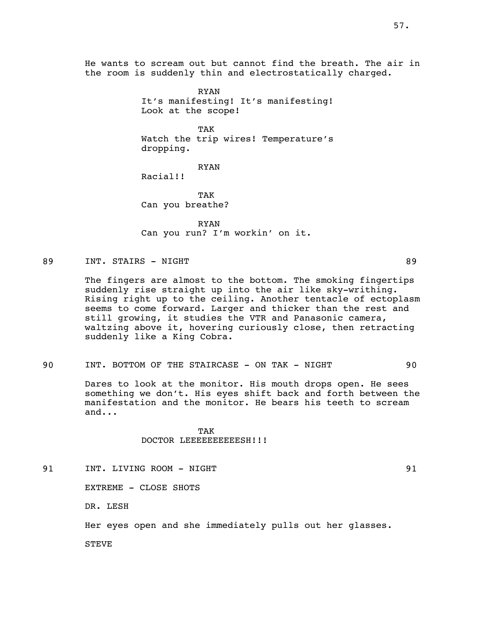He wants to scream out but cannot find the breath. The air in the room is suddenly thin and electrostatically charged.

> RYAN It's manifesting! It's manifesting! Look at the scope!

> TAK Watch the trip wires! Temperature's dropping.

> > RYAN

Racial!!

TAK Can you breathe?

RYAN Can you run? I'm workin' on it.

### 89 INT. STAIRS – NIGHT 89

The fingers are almost to the bottom. The smoking fingertips suddenly rise straight up into the air like sky-writhing. Rising right up to the ceiling. Another tentacle of ectoplasm seems to come forward. Larger and thicker than the rest and still growing, it studies the VTR and Panasonic camera, waltzing above it, hovering curiously close, then retracting suddenly like a King Cobra.

### 90 INT. BOTTOM OF THE STAIRCASE - ON TAK - NIGHT 90

Dares to look at the monitor. His mouth drops open. He sees something we don't. His eyes shift back and forth between the manifestation and the monitor. He bears his teeth to scream and...

## TAK DOCTOR LEEEEEEEEEESH!!!

91 INT. LIVING ROOM – NIGHT 1991

EXTREME - CLOSE SHOTS

DR. LESH

Her eyes open and she immediately pulls out her glasses.

STEVE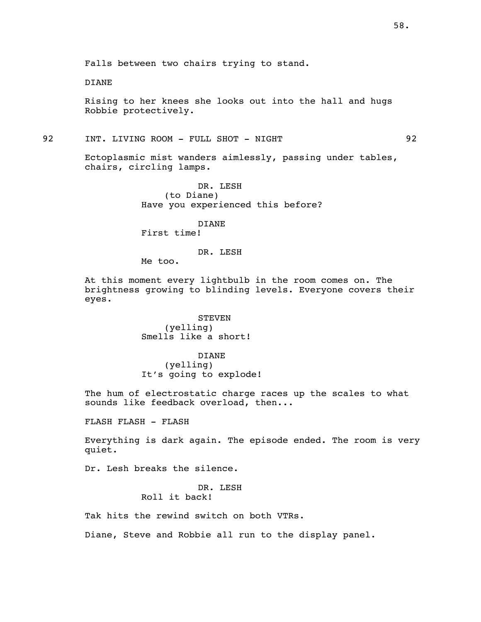DIANE

Rising to her knees she looks out into the hall and hugs Robbie protectively.

92 INT. LIVING ROOM - FULL SHOT - NIGHT 92

Ectoplasmic mist wanders aimlessly, passing under tables, chairs, circling lamps.

> DR. LESH (to Diane) Have you experienced this before?

DIANE First time!

## DR. LESH

Me too.

At this moment every lightbulb in the room comes on. The brightness growing to blinding levels. Everyone covers their eyes.

> **STEVEN** (yelling) Smells like a short!

DIANE (yelling) It's going to explode!

The hum of electrostatic charge races up the scales to what sounds like feedback overload, then...

FLASH FLASH - FLASH

Everything is dark again. The episode ended. The room is very quiet.

Dr. Lesh breaks the silence.

DR. LESH Roll it back!

Tak hits the rewind switch on both VTRs.

Diane, Steve and Robbie all run to the display panel.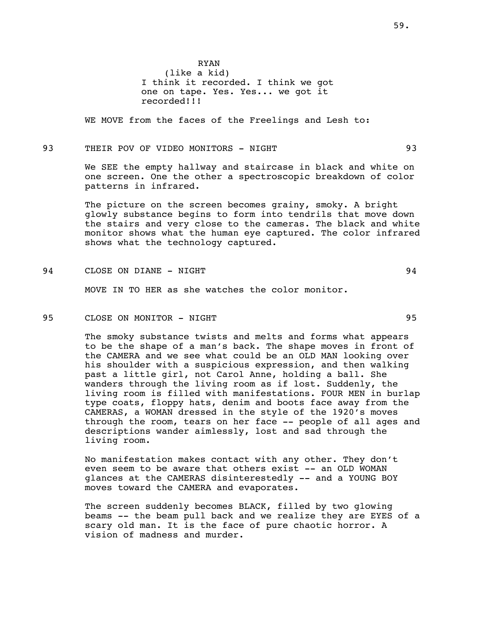RYAN (like a kid) I think it recorded. I think we got one on tape. Yes. Yes... we got it recorded!!!

WE MOVE from the faces of the Freelings and Lesh to:

93 THEIR POV OF VIDEO MONITORS - NIGHT 93

We SEE the empty hallway and staircase in black and white on one screen. One the other a spectroscopic breakdown of color patterns in infrared.

The picture on the screen becomes grainy, smoky. A bright glowly substance begins to form into tendrils that move down the stairs and very close to the cameras. The black and white monitor shows what the human eye captured. The color infrared shows what the technology captured.

94 CLOSE ON DIANE - NIGHT 94

MOVE IN TO HER as she watches the color monitor.

95 CLOSE ON MONITOR - NIGHT 95

The smoky substance twists and melts and forms what appears to be the shape of a man's back. The shape moves in front of the CAMERA and we see what could be an OLD MAN looking over his shoulder with a suspicious expression, and then walking past a little girl, not Carol Anne, holding a ball. She wanders through the living room as if lost. Suddenly, the living room is filled with manifestations. FOUR MEN in burlap type coats, floppy hats, denim and boots face away from the CAMERAS, a WOMAN dressed in the style of the 1920's moves through the room, tears on her face -- people of all ages and descriptions wander aimlessly, lost and sad through the living room.

No manifestation makes contact with any other. They don't even seem to be aware that others exist -- an OLD WOMAN glances at the CAMERAS disinterestedly -- and a YOUNG BOY moves toward the CAMERA and evaporates.

The screen suddenly becomes BLACK, filled by two glowing beams -- the beam pull back and we realize they are EYES of a scary old man. It is the face of pure chaotic horror. A vision of madness and murder.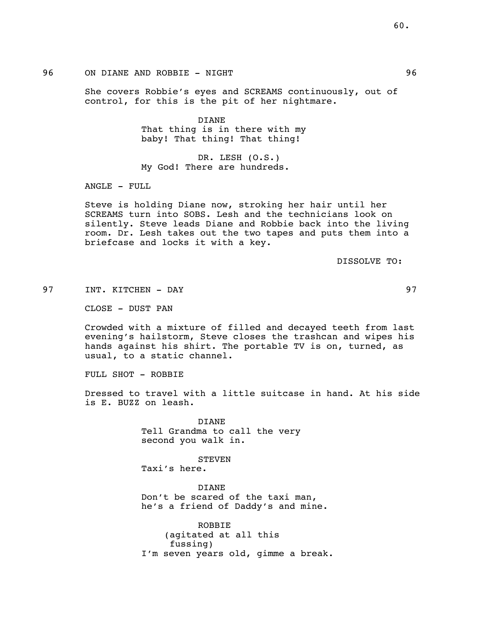She covers Robbie's eyes and SCREAMS continuously, out of control, for this is the pit of her nightmare.

> DIANE That thing is in there with my baby! That thing! That thing!

DR. LESH (O.S.) My God! There are hundreds.

ANGLE - FULL

Steve is holding Diane now, stroking her hair until her SCREAMS turn into SOBS. Lesh and the technicians look on silently. Steve leads Diane and Robbie back into the living room. Dr. Lesh takes out the two tapes and puts them into a briefcase and locks it with a key.

DISSOLVE TO:

97 INT. KITCHEN - DAY 97

CLOSE - DUST PAN

Crowded with a mixture of filled and decayed teeth from last evening's hailstorm, Steve closes the trashcan and wipes his hands against his shirt. The portable TV is on, turned, as usual, to a static channel.

FULL SHOT - ROBBIE

Dressed to travel with a little suitcase in hand. At his side is E. BUZZ on leash.

> DIANE Tell Grandma to call the very second you walk in.

### **STEVEN**

Taxi's here.

DIANE Don't be scared of the taxi man, he's a friend of Daddy's and mine.

ROBBIE (agitated at all this fussing) I'm seven years old, gimme a break.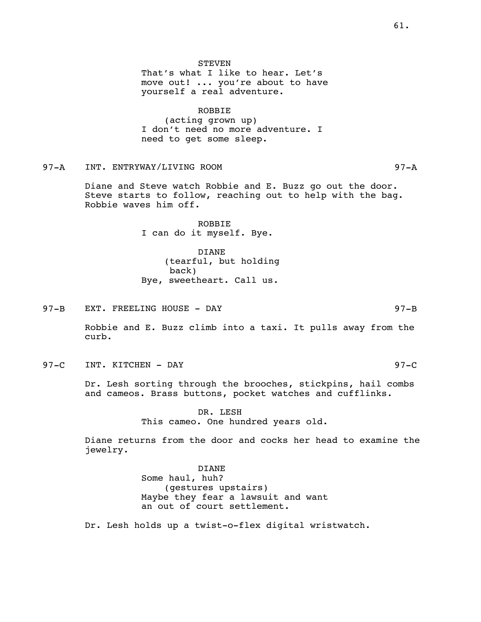STEVEN

That's what I like to hear. Let's move out! ... you're about to have yourself a real adventure.

ROBBIE (acting grown up) I don't need no more adventure. I need to get some sleep.

97-A INT. ENTRYWAY/LIVING ROOM 97-A

Diane and Steve watch Robbie and E. Buzz go out the door. Steve starts to follow, reaching out to help with the bag. Robbie waves him off.

> ROBBIE I can do it myself. Bye.

DIANE (tearful, but holding back) Bye, sweetheart. Call us.

97-B EXT. FREELING HOUSE - DAY 67-B 97-B

Robbie and E. Buzz climb into a taxi. It pulls away from the curb.

97-C INT. KITCHEN - DAY 97-C

Dr. Lesh sorting through the brooches, stickpins, hail combs and cameos. Brass buttons, pocket watches and cufflinks.

> DR. LESH This cameo. One hundred years old.

Diane returns from the door and cocks her head to examine the jewelry.

> DIANE Some haul, huh? (gestures upstairs) Maybe they fear a lawsuit and want an out of court settlement.

Dr. Lesh holds up a twist-o-flex digital wristwatch.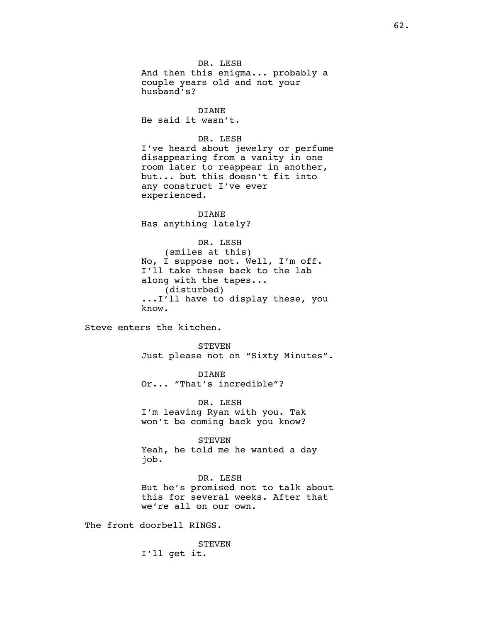DR. LESH And then this enigma... probably a couple years old and not your husband's?

DIANE He said it wasn't.

DR. LESH

I've heard about jewelry or perfume disappearing from a vanity in one room later to reappear in another, but... but this doesn't fit into any construct I've ever experienced.

DIANE Has anything lately?

DR. LESH (smiles at this) No, I suppose not. Well, I'm off. I'll take these back to the lab along with the tapes... (disturbed) ...I'll have to display these, you know.

Steve enters the kitchen.

STEVEN Just please not on "Sixty Minutes".

DIANE Or... "That's incredible"?

DR. LESH I'm leaving Ryan with you. Tak won't be coming back you know?

STEVEN Yeah, he told me he wanted a day job.

DR. LESH But he's promised not to talk about this for several weeks. After that we're all on our own.

The front doorbell RINGS.

**STEVEN** I'll get it.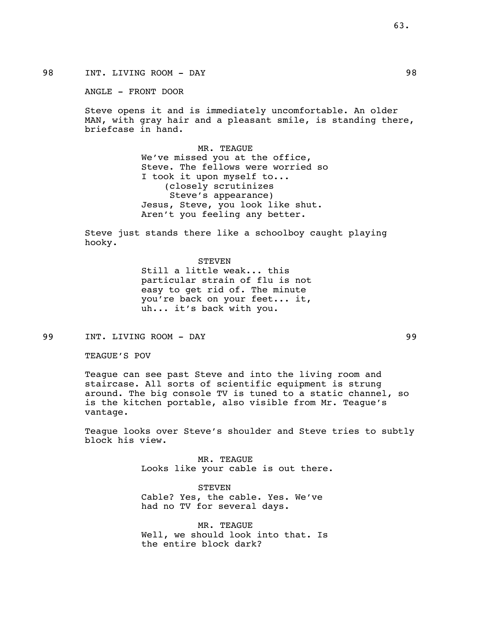98 INT. LIVING ROOM - DAY 98

ANGLE - FRONT DOOR

Steve opens it and is immediately uncomfortable. An older MAN, with gray hair and a pleasant smile, is standing there, briefcase in hand.

> MR. TEAGUE We've missed you at the office, Steve. The fellows were worried so I took it upon myself to... (closely scrutinizes Steve's appearance) Jesus, Steve, you look like shut. Aren't you feeling any better.

Steve just stands there like a schoolboy caught playing hooky.

> **STEVEN** Still a little weak... this particular strain of flu is not easy to get rid of. The minute you're back on your feet... it, uh... it's back with you.

99 INT. LIVING ROOM - DAY 99

TEAGUE'S POV

Teague can see past Steve and into the living room and staircase. All sorts of scientific equipment is strung around. The big console TV is tuned to a static channel, so is the kitchen portable, also visible from Mr. Teague's vantage.

Teague looks over Steve's shoulder and Steve tries to subtly block his view.

> MR. TEAGUE Looks like your cable is out there.

**STEVEN** Cable? Yes, the cable. Yes. We've had no TV for several days.

MR. TEAGUE Well, we should look into that. Is the entire block dark?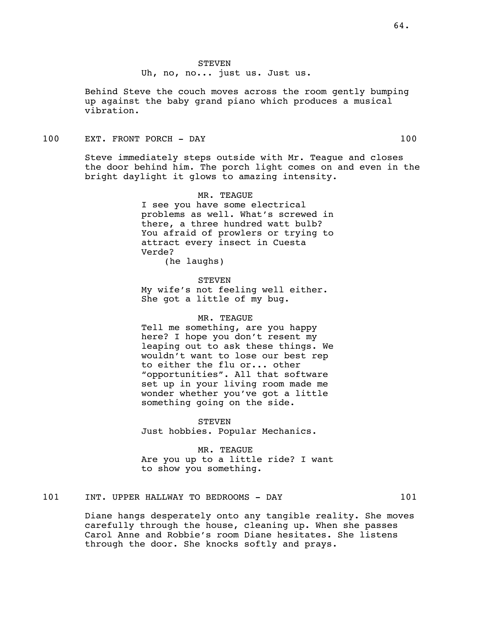Uh, no, no... just us. Just us.

Behind Steve the couch moves across the room gently bumping up against the baby grand piano which produces a musical vibration.

100 EXT. FRONT PORCH - DAY 100

Steve immediately steps outside with Mr. Teague and closes the door behind him. The porch light comes on and even in the bright daylight it glows to amazing intensity.

> MR. TEAGUE I see you have some electrical problems as well. What's screwed in there, a three hundred watt bulb? You afraid of prowlers or trying to attract every insect in Cuesta Verde? (he laughs)

STEVEN

My wife's not feeling well either. She got a little of my bug.

## MR. TEAGUE

Tell me something, are you happy here? I hope you don't resent my leaping out to ask these things. We wouldn't want to lose our best rep to either the flu or... other "opportunities". All that software set up in your living room made me wonder whether you've got a little something going on the side.

STEVEN Just hobbies. Popular Mechanics.

MR. TEAGUE Are you up to a little ride? I want to show you something.

# 101 INT. UPPER HALLWAY TO BEDROOMS - DAY 101

Diane hangs desperately onto any tangible reality. She moves carefully through the house, cleaning up. When she passes Carol Anne and Robbie's room Diane hesitates. She listens through the door. She knocks softly and prays.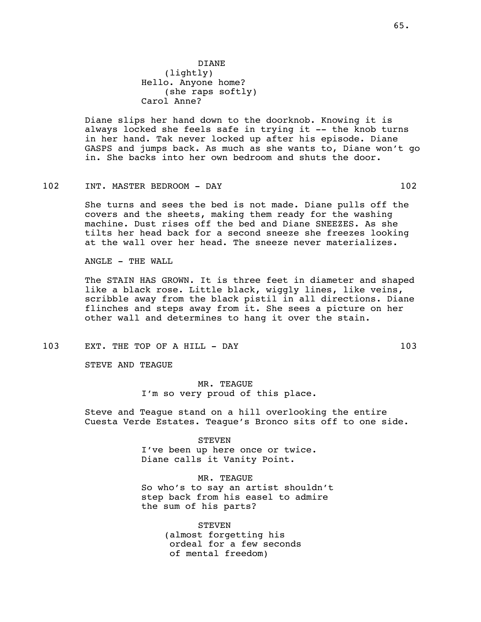Diane slips her hand down to the doorknob. Knowing it is always locked she feels safe in trying it -- the knob turns in her hand. Tak never locked up after his episode. Diane GASPS and jumps back. As much as she wants to, Diane won't go in. She backs into her own bedroom and shuts the door.

### 102 INT. MASTER BEDROOM - DAY 102

She turns and sees the bed is not made. Diane pulls off the covers and the sheets, making them ready for the washing machine. Dust rises off the bed and Diane SNEEZES. As she tilts her head back for a second sneeze she freezes looking at the wall over her head. The sneeze never materializes.

ANGLE - THE WALL

The STAIN HAS GROWN. It is three feet in diameter and shaped like a black rose. Little black, wiggly lines, like veins, scribble away from the black pistil in all directions. Diane flinches and steps away from it. She sees a picture on her other wall and determines to hang it over the stain.

103 EXT. THE TOP OF A HILL - DAY 103

STEVE AND TEAGUE

MR. TEAGUE I'm so very proud of this place.

Steve and Teague stand on a hill overlooking the entire Cuesta Verde Estates. Teague's Bronco sits off to one side.

> **STEVEN** I've been up here once or twice. Diane calls it Vanity Point.

MR. TEAGUE So who's to say an artist shouldn't step back from his easel to admire the sum of his parts?

> STEVEN (almost forgetting his ordeal for a few seconds of mental freedom)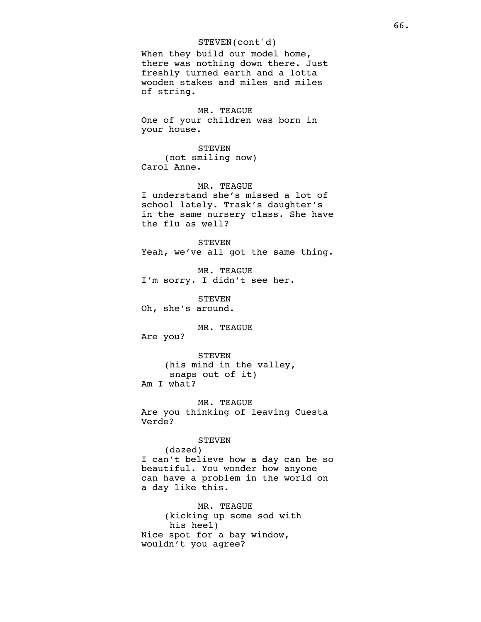## STEVEN(cont'd)

When they build our model home, there was nothing down there. Just freshly turned earth and a lotta wooden stakes and miles and miles of string.

MR. TEAGUE One of your children was born in your house.

STEVEN (not smiling now) Carol Anne.

MR. TEAGUE I understand she's missed a lot of school lately. Trask's daughter's in the same nursery class. She have the flu as well?

**STEVEN** Yeah, we've all got the same thing.

MR. TEAGUE I'm sorry. I didn't see her.

**STEVEN** Oh, she's around.

MR. TEAGUE

Are you?

STEVEN (his mind in the valley, snaps out of it) Am I what?

MR. TEAGUE Are you thinking of leaving Cuesta Verde?

**STEVEN** 

(dazed)

I can't believe how a day can be so beautiful. You wonder how anyone can have a problem in the world on a day like this.

MR. TEAGUE (kicking up some sod with his heel) Nice spot for a bay window, wouldn't you agree?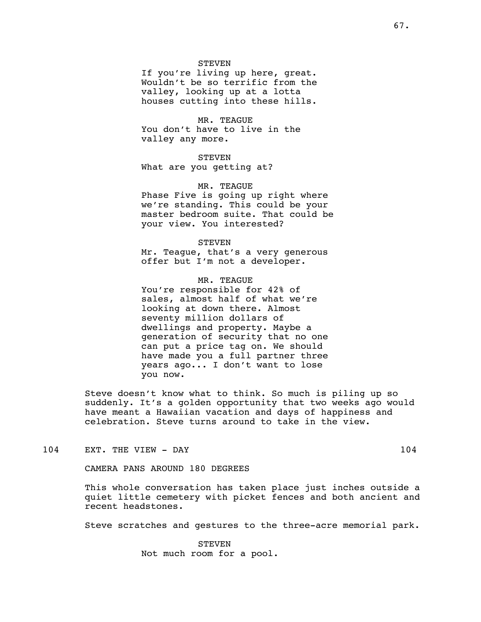#### STEVEN

If you're living up here, great. Wouldn't be so terrific from the valley, looking up at a lotta houses cutting into these hills.

### MR. TEAGUE

You don't have to live in the valley any more.

**STEVEN** What are you getting at?

MR. TEAGUE Phase Five is going up right where we're standing. This could be your master bedroom suite. That could be your view. You interested?

STEVEN Mr. Teague, that's a very generous offer but I'm not a developer.

MR. TEAGUE You're responsible for 42% of sales, almost half of what we're looking at down there. Almost seventy million dollars of dwellings and property. Maybe a generation of security that no one can put a price tag on. We should have made you a full partner three years ago... I don't want to lose you now.

Steve doesn't know what to think. So much is piling up so suddenly. It's a golden opportunity that two weeks ago would have meant a Hawaiian vacation and days of happiness and celebration. Steve turns around to take in the view.

104 EXT. THE VIEW - DAY 104

CAMERA PANS AROUND 180 DEGREES

This whole conversation has taken place just inches outside a quiet little cemetery with picket fences and both ancient and recent headstones.

Steve scratches and gestures to the three-acre memorial park.

STEVEN Not much room for a pool.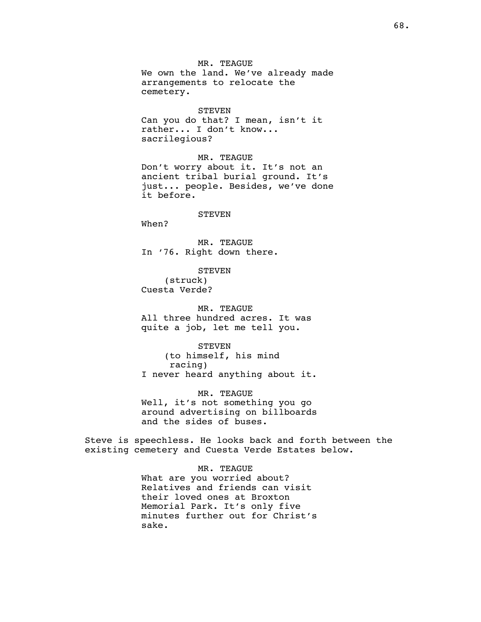MR. TEAGUE We own the land. We've already made arrangements to relocate the cemetery.

#### STEVEN

Can you do that? I mean, isn't it rather... I don't know... sacrilegious?

MR. TEAGUE

Don't worry about it. It's not an ancient tribal burial ground. It's just... people. Besides, we've done it before.

#### **STEVEN**

When?

MR. TEAGUE In '76. Right down there.

STEVEN (struck) Cuesta Verde?

MR. TEAGUE All three hundred acres. It was quite a job, let me tell you.

STEVEN (to himself, his mind racing)

I never heard anything about it.

MR. TEAGUE Well, it's not something you go around advertising on billboards and the sides of buses.

Steve is speechless. He looks back and forth between the existing cemetery and Cuesta Verde Estates below.

MR. TEAGUE

What are you worried about? Relatives and friends can visit their loved ones at Broxton Memorial Park. It's only five minutes further out for Christ's sake.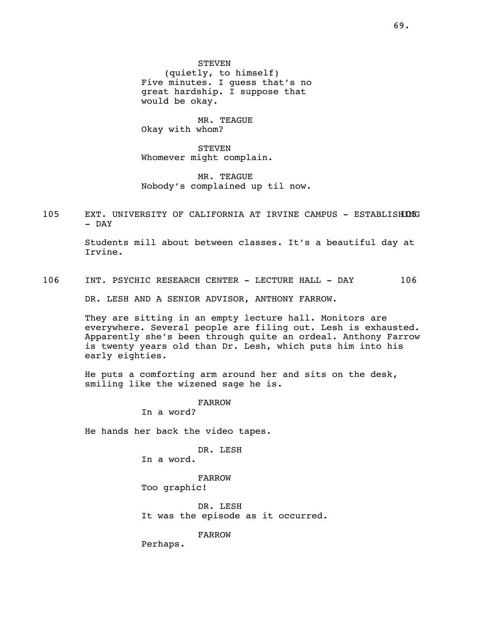STEVEN (quietly, to himself) Five minutes. I guess that's no great hardship. I suppose that would be okay.

MR. TEAGUE Okay with whom?

**STEVEN** Whomever might complain.

MR. TEAGUE Nobody's complained up til now.

105 EXT. UNIVERSITY OF CALIFORNIA AT IRVINE CAMPUS - ESTABLISHING - DAY

> Students mill about between classes. It's a beautiful day at Irvine.

106 INT. PSYCHIC RESEARCH CENTER - LECTURE HALL - DAY 106

DR. LESH AND A SENIOR ADVISOR, ANTHONY FARROW.

They are sitting in an empty lecture hall. Monitors are everywhere. Several people are filing out. Lesh is exhausted. Apparently she's been through quite an ordeal. Anthony Farrow is twenty years old than Dr. Lesh, which puts him into his early eighties.

He puts a comforting arm around her and sits on the desk, smiling like the wizened sage he is.

> FARROW In a word?

He hands her back the video tapes.

DR. LESH In a word.

FARROW Too graphic!

DR. LESH It was the episode as it occurred.

FARROW

Perhaps.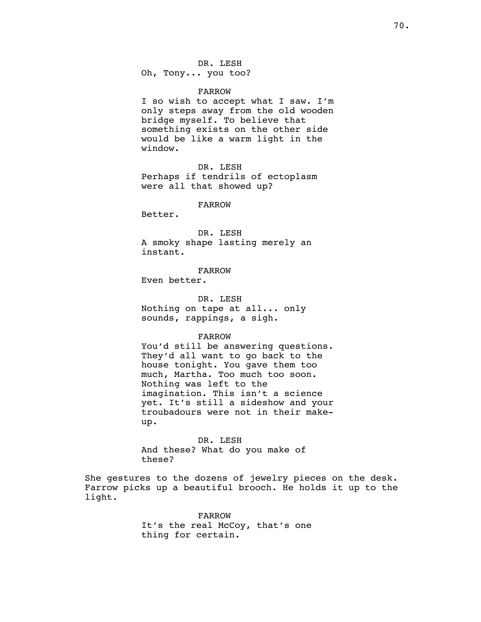DR. LESH

Oh, Tony... you too?

FARROW

I so wish to accept what I saw. I'm only steps away from the old wooden bridge myself. To believe that something exists on the other side would be like a warm light in the window.

DR. LESH Perhaps if tendrils of ectoplasm were all that showed up?

FARROW

Better.

DR. LESH A smoky shape lasting merely an instant.

FARROW

Even better.

DR. LESH Nothing on tape at all... only sounds, rappings, a sigh.

FARROW

You'd still be answering questions. They'd all want to go back to the house tonight. You gave them too much, Martha. Too much too soon. Nothing was left to the imagination. This isn't a science yet. It's still a sideshow and your troubadours were not in their makeup.

DR. LESH And these? What do you make of these?

She gestures to the dozens of jewelry pieces on the desk. Farrow picks up a beautiful brooch. He holds it up to the light.

> FARROW It's the real McCoy, that's one thing for certain.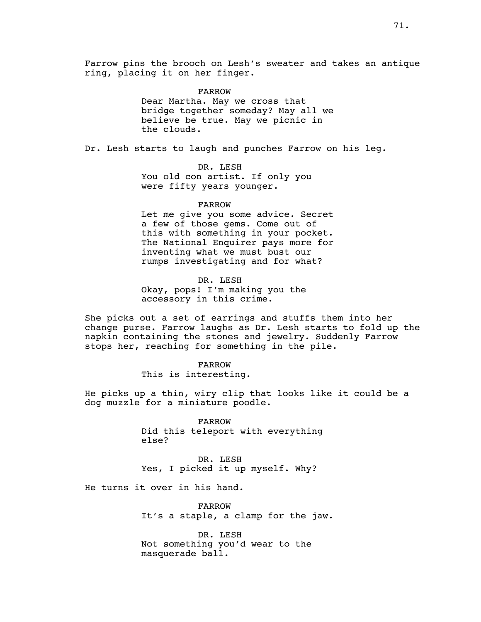Farrow pins the brooch on Lesh's sweater and takes an antique ring, placing it on her finger.

> FARROW Dear Martha. May we cross that bridge together someday? May all we believe be true. May we picnic in the clouds.

Dr. Lesh starts to laugh and punches Farrow on his leg.

DR. LESH You old con artist. If only you were fifty years younger.

FARROW

Let me give you some advice. Secret a few of those gems. Come out of this with something in your pocket. The National Enquirer pays more for inventing what we must bust our rumps investigating and for what?

DR. LESH Okay, pops! I'm making you the accessory in this crime.

She picks out a set of earrings and stuffs them into her change purse. Farrow laughs as Dr. Lesh starts to fold up the napkin containing the stones and jewelry. Suddenly Farrow stops her, reaching for something in the pile.

> FARROW This is interesting.

He picks up a thin, wiry clip that looks like it could be a dog muzzle for a miniature poodle.

> FARROW Did this teleport with everything else?

DR. LESH Yes, I picked it up myself. Why?

He turns it over in his hand.

FARROW It's a staple, a clamp for the jaw.

DR. LESH Not something you'd wear to the masquerade ball.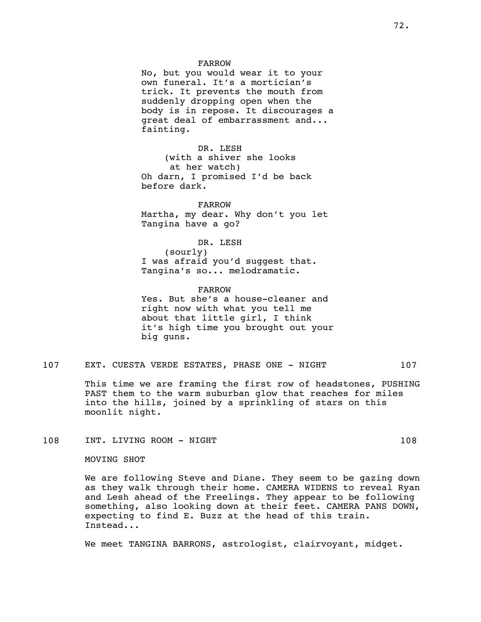#### FARROW

No, but you would wear it to your own funeral. It's a mortician's trick. It prevents the mouth from suddenly dropping open when the body is in repose. It discourages a great deal of embarrassment and... fainting.

DR. LESH (with a shiver she looks at her watch) Oh darn, I promised I'd be back before dark.

FARROW Martha, my dear. Why don't you let Tangina have a go?

DR. LESH (sourly) I was afraid you'd suggest that. Tangina's so... melodramatic.

FARROW Yes. But she's a house-cleaner and right now with what you tell me about that little girl, I think it's high time you brought out your big guns.

### 107 EXT. CUESTA VERDE ESTATES, PHASE ONE - NIGHT 107

This time we are framing the first row of headstones, PUSHING PAST them to the warm suburban glow that reaches for miles into the hills, joined by a sprinkling of stars on this moonlit night.

### 108 INT. LIVING ROOM - NIGHT 108 108

#### MOVING SHOT

We are following Steve and Diane. They seem to be gazing down as they walk through their home. CAMERA WIDENS to reveal Ryan and Lesh ahead of the Freelings. They appear to be following something, also looking down at their feet. CAMERA PANS DOWN, expecting to find E. Buzz at the head of this train. Instead...

We meet TANGINA BARRONS, astrologist, clairvoyant, midget.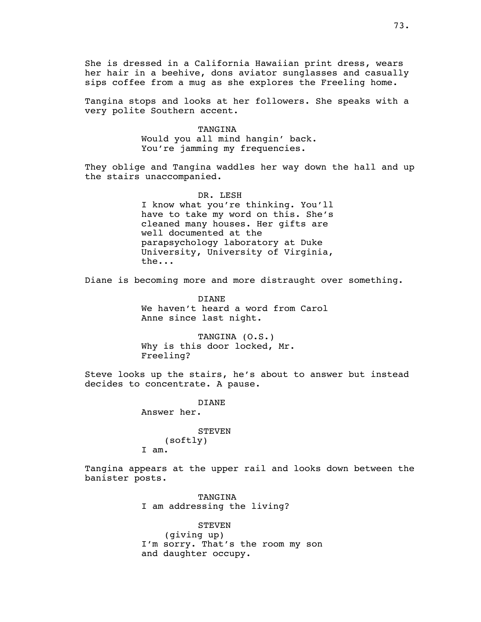She is dressed in a California Hawaiian print dress, wears her hair in a beehive, dons aviator sunglasses and casually sips coffee from a mug as she explores the Freeling home.

Tangina stops and looks at her followers. She speaks with a very polite Southern accent.

### TANGINA

Would you all mind hangin' back. You're jamming my frequencies.

They oblige and Tangina waddles her way down the hall and up the stairs unaccompanied.

> DR. LESH I know what you're thinking. You'll have to take my word on this. She's cleaned many houses. Her gifts are well documented at the parapsychology laboratory at Duke University, University of Virginia, the...

Diane is becoming more and more distraught over something.

DIANE We haven't heard a word from Carol Anne since last night.

TANGINA (O.S.) Why is this door locked, Mr. Freeling?

Steve looks up the stairs, he's about to answer but instead decides to concentrate. A pause.

> DIANE Answer her.

**STEVEN** (softly) I am.

Tangina appears at the upper rail and looks down between the banister posts.

> TANGINA I am addressing the living?

STEVEN (giving up) I'm sorry. That's the room my son and daughter occupy.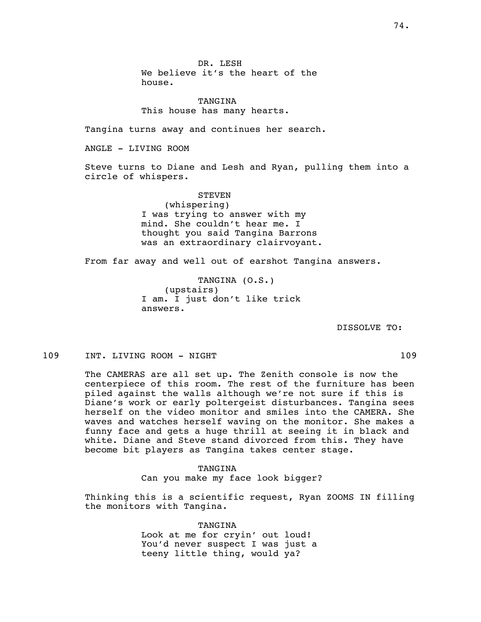DR. LESH We believe it's the heart of the house.

TANGINA This house has many hearts.

Tangina turns away and continues her search.

ANGLE - LIVING ROOM

Steve turns to Diane and Lesh and Ryan, pulling them into a circle of whispers.

> **STEVEN** (whispering) I was trying to answer with my mind. She couldn't hear me. I thought you said Tangina Barrons was an extraordinary clairvoyant.

From far away and well out of earshot Tangina answers.

TANGINA (O.S.) (upstairs) I am. I just don't like trick answers.

DISSOLVE TO:

109 INT. LIVING ROOM - NIGHT 109 109

The CAMERAS are all set up. The Zenith console is now the centerpiece of this room. The rest of the furniture has been piled against the walls although we're not sure if this is Diane's work or early poltergeist disturbances. Tangina sees herself on the video monitor and smiles into the CAMERA. She waves and watches herself waving on the monitor. She makes a funny face and gets a huge thrill at seeing it in black and white. Diane and Steve stand divorced from this. They have become bit players as Tangina takes center stage.

> TANGINA Can you make my face look bigger?

Thinking this is a scientific request, Ryan ZOOMS IN filling the monitors with Tangina.

> TANGINA Look at me for cryin' out loud! You'd never suspect I was just a teeny little thing, would ya?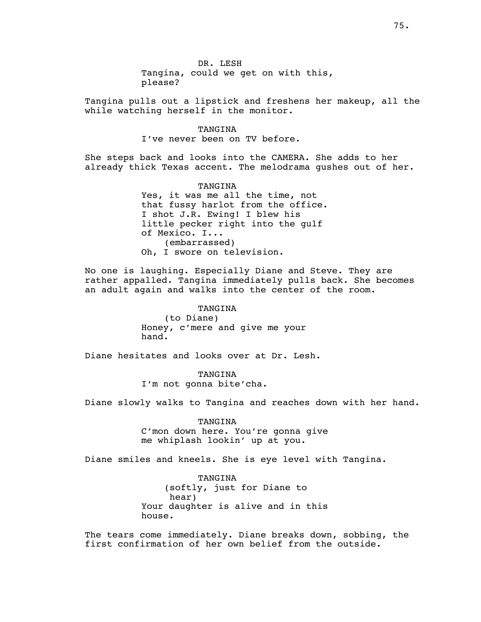DR. LESH Tangina, could we get on with this, please?

Tangina pulls out a lipstick and freshens her makeup, all the while watching herself in the monitor.

> TANGINA I've never been on TV before.

She steps back and looks into the CAMERA. She adds to her already thick Texas accent. The melodrama gushes out of her.

> TANGINA Yes, it was me all the time, not that fussy harlot from the office. I shot J.R. Ewing! I blew his little pecker right into the gulf of Mexico. I... (embarrassed) Oh, I swore on television.

No one is laughing. Especially Diane and Steve. They are rather appalled. Tangina immediately pulls back. She becomes an adult again and walks into the center of the room.

> TANGINA (to Diane) Honey, c'mere and give me your hand.

Diane hesitates and looks over at Dr. Lesh.

TANGINA I'm not gonna bite'cha.

Diane slowly walks to Tangina and reaches down with her hand.

TANGINA C'mon down here. You're gonna give me whiplash lookin' up at you.

Diane smiles and kneels. She is eye level with Tangina.

TANGINA (softly, just for Diane to hear) Your daughter is alive and in this house.

The tears come immediately. Diane breaks down, sobbing, the first confirmation of her own belief from the outside.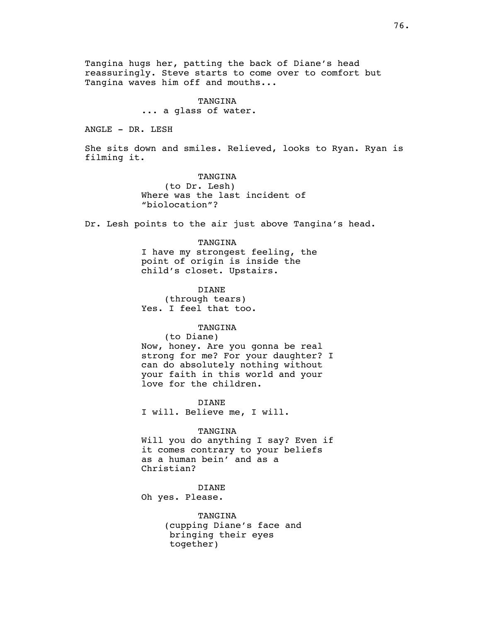Tangina hugs her, patting the back of Diane's head reassuringly. Steve starts to come over to comfort but Tangina waves him off and mouths...

#### TANGINA

... a glass of water.

ANGLE - DR. LESH

She sits down and smiles. Relieved, looks to Ryan. Ryan is filming it.

> TANGINA (to Dr. Lesh) Where was the last incident of "biolocation"?

Dr. Lesh points to the air just above Tangina's head.

#### TANGINA

I have my strongest feeling, the point of origin is inside the child's closet. Upstairs.

DIANE (through tears) Yes. I feel that too.

#### TANGINA

(to Diane)

Now, honey. Are you gonna be real strong for me? For your daughter? I can do absolutely nothing without your faith in this world and your love for the children.

DIANE I will. Believe me, I will.

#### TANGINA

Will you do anything I say? Even if it comes contrary to your beliefs as a human bein' and as a Christian?

DIANE Oh yes. Please.

> TANGINA (cupping Diane's face and bringing their eyes together)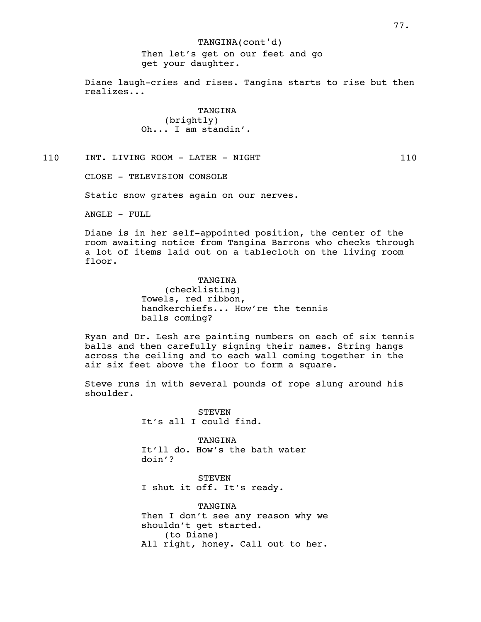# TANGINA(cont'd) Then let's get on our feet and go get your daughter.

Diane laugh-cries and rises. Tangina starts to rise but then realizes...

> **TANGINA** (brightly) Oh... I am standin'.

110 INT. LIVING ROOM - LATER - NIGHT 110

CLOSE - TELEVISION CONSOLE

Static snow grates again on our nerves.

ANGLE - FULL

Diane is in her self-appointed position, the center of the room awaiting notice from Tangina Barrons who checks through a lot of items laid out on a tablecloth on the living room floor.

> TANGINA (checklisting) Towels, red ribbon, handkerchiefs... How're the tennis balls coming?

Ryan and Dr. Lesh are painting numbers on each of six tennis balls and then carefully signing their names. String hangs across the ceiling and to each wall coming together in the air six feet above the floor to form a square.

Steve runs in with several pounds of rope slung around his shoulder.

> **STEVEN** It's all I could find.

TANGINA It'll do. How's the bath water doin'?

STEVEN I shut it off. It's ready.

TANGINA Then I don't see any reason why we shouldn't get started. (to Diane) All right, honey. Call out to her.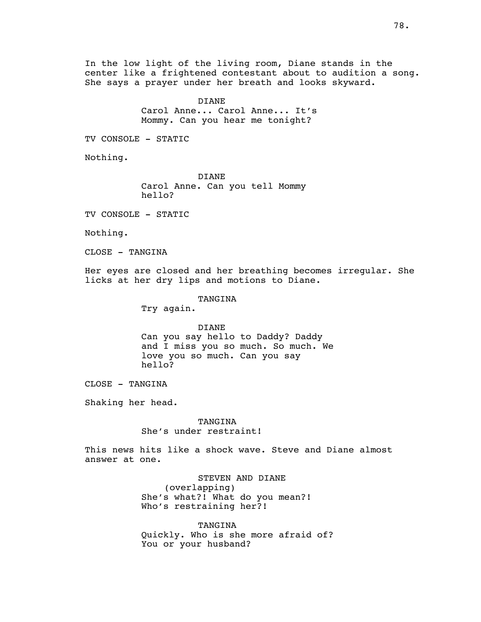In the low light of the living room, Diane stands in the center like a frightened contestant about to audition a song. She says a prayer under her breath and looks skyward.

> DIANE Carol Anne... Carol Anne... It's Mommy. Can you hear me tonight?

TV CONSOLE - STATIC

Nothing.

DIANE Carol Anne. Can you tell Mommy hello?

TV CONSOLE - STATIC

Nothing.

CLOSE - TANGINA

Her eyes are closed and her breathing becomes irregular. She licks at her dry lips and motions to Diane.

TANGINA

Try again.

DIANE Can you say hello to Daddy? Daddy and I miss you so much. So much. We love you so much. Can you say hello?

CLOSE - TANGINA

Shaking her head.

TANGINA She's under restraint!

This news hits like a shock wave. Steve and Diane almost answer at one.

> STEVEN AND DIANE (overlapping) She's what?! What do you mean?! Who's restraining her?!

TANGINA Quickly. Who is she more afraid of? You or your husband?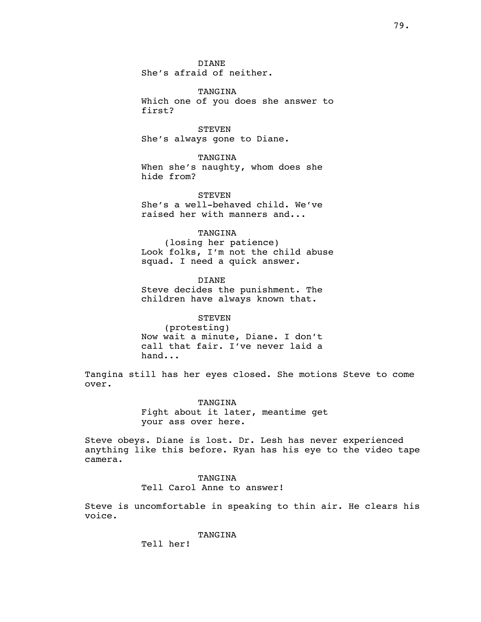DIANE She's afraid of neither.

TANGINA Which one of you does she answer to first?

**STEVEN** She's always gone to Diane.

TANGINA When she's naughty, whom does she hide from?

**STEVEN** She's a well-behaved child. We've raised her with manners and...

# TANGINA

(losing her patience) Look folks, I'm not the child abuse squad. I need a quick answer.

DIANE Steve decides the punishment. The children have always known that.

### **STEVEN**

(protesting) Now wait a minute, Diane. I don't call that fair. I've never laid a hand...

Tangina still has her eyes closed. She motions Steve to come over.

> TANGINA Fight about it later, meantime get your ass over here.

Steve obeys. Diane is lost. Dr. Lesh has never experienced anything like this before. Ryan has his eye to the video tape camera.

### TANGINA Tell Carol Anne to answer!

Steve is uncomfortable in speaking to thin air. He clears his voice.

TANGINA

Tell her!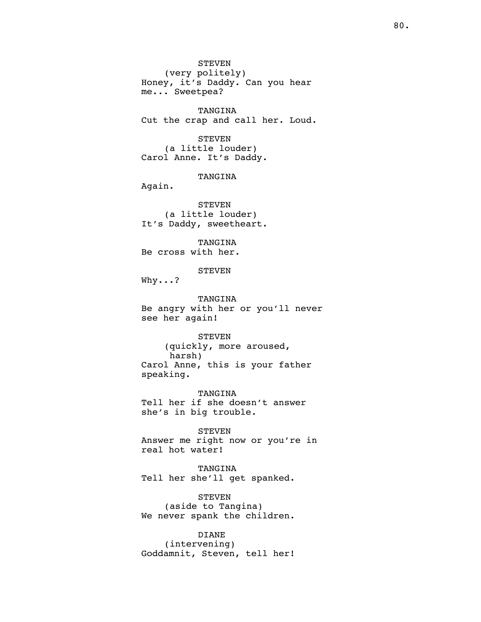STEVEN (very politely) Honey, it's Daddy. Can you hear me... Sweetpea?

TANGINA Cut the crap and call her. Loud.

STEVEN (a little louder) Carol Anne. It's Daddy.

TANGINA

Again.

STEVEN (a little louder) It's Daddy, sweetheart.

TANGINA Be cross with her.

STEVEN

Why...?

TANGINA Be angry with her or you'll never see her again!

STEVEN (quickly, more aroused, harsh) Carol Anne, this is your father speaking.

TANGINA Tell her if she doesn't answer she's in big trouble.

STEVEN Answer me right now or you're in real hot water!

TANGINA Tell her she'll get spanked.

STEVEN (aside to Tangina) We never spank the children.

DIANE (intervening) Goddamnit, Steven, tell her!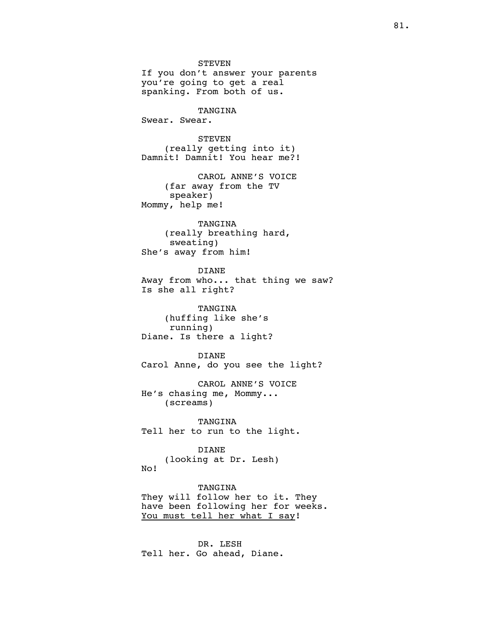STEVEN If you don't answer your parents you're going to get a real spanking. From both of us. TANGINA Swear. Swear. STEVEN (really getting into it) Damnit! Damnit! You hear me?! CAROL ANNE'S VOICE (far away from the TV speaker) Mommy, help me! TANGINA (really breathing hard,

sweating) She's away from him!

DIANE Away from who... that thing we saw? Is she all right?

TANGINA (huffing like she's running) Diane. Is there a light?

DIANE Carol Anne, do you see the light?

CAROL ANNE'S VOICE He's chasing me, Mommy... (screams)

TANGINA Tell her to run to the light.

#### DIANE

(looking at Dr. Lesh) No!

TANGINA They will follow her to it. They have been following her for weeks. You must tell her what I say!

DR. LESH Tell her. Go ahead, Diane.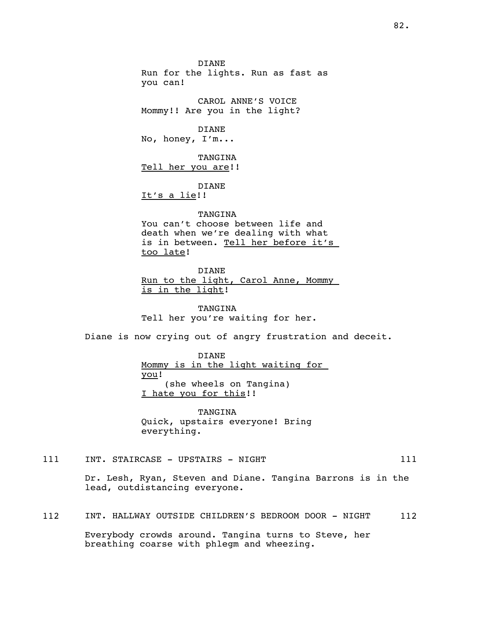DIANE Run for the lights. Run as fast as you can!

CAROL ANNE'S VOICE Mommy!! Are you in the light?

DIANE No, honey, I'm...

TANGINA Tell her you are!!

DIANE It's a lie!!

### **TANGINA**

You can't choose between life and death when we're dealing with what is in between. Tell her before it's too late!

DIANE Run to the light, Carol Anne, Mommy is in the light!

TANGINA Tell her you're waiting for her.

Diane is now crying out of angry frustration and deceit.

DIANE Mommy is in the light waiting for you! (she wheels on Tangina) I hate you for this!!

TANGINA Quick, upstairs everyone! Bring everything.

111 INT. STAIRCASE - UPSTAIRS - NIGHT 111

Dr. Lesh, Ryan, Steven and Diane. Tangina Barrons is in the lead, outdistancing everyone.

112 INT. HALLWAY OUTSIDE CHILDREN'S BEDROOM DOOR - NIGHT 112

Everybody crowds around. Tangina turns to Steve, her breathing coarse with phlegm and wheezing.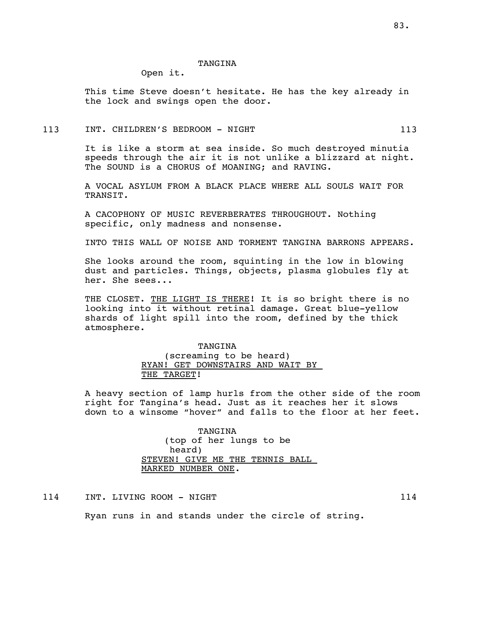#### TANGINA

Open it.

This time Steve doesn't hesitate. He has the key already in the lock and swings open the door.

### 113 INT. CHILDREN'S BEDROOM - NIGHT 113 113

It is like a storm at sea inside. So much destroyed minutia speeds through the air it is not unlike a blizzard at night. The SOUND is a CHORUS of MOANING; and RAVING.

A VOCAL ASYLUM FROM A BLACK PLACE WHERE ALL SOULS WAIT FOR TRANSIT.

A CACOPHONY OF MUSIC REVERBERATES THROUGHOUT. Nothing specific, only madness and nonsense.

INTO THIS WALL OF NOISE AND TORMENT TANGINA BARRONS APPEARS.

She looks around the room, squinting in the low in blowing dust and particles. Things, objects, plasma globules fly at her. She sees...

THE CLOSET. THE LIGHT IS THERE! It is so bright there is no looking into it without retinal damage. Great blue-yellow shards of light spill into the room, defined by the thick atmosphere.

# TANGINA (screaming to be heard) RYAN! GET DOWNSTAIRS AND WAIT BY THE TARGET!

A heavy section of lamp hurls from the other side of the room right for Tangina's head. Just as it reaches her it slows down to a winsome "hover" and falls to the floor at her feet.

> TANGINA (top of her lungs to be heard) STEVEN! GIVE ME THE TENNIS BALL MARKED NUMBER ONE.

114 INT. LIVING ROOM - NIGHT 114 114

Ryan runs in and stands under the circle of string.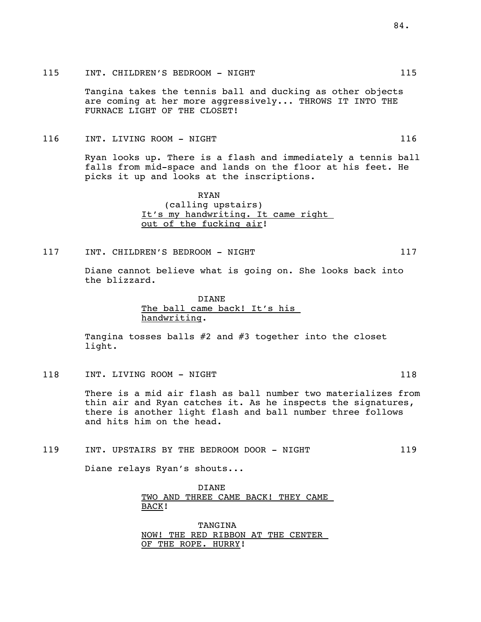# 115 INT. CHILDREN'S BEDROOM - NIGHT 115

Tangina takes the tennis ball and ducking as other objects are coming at her more aggressively... THROWS IT INTO THE FURNACE LIGHT OF THE CLOSET!

# 116 INT. LIVING ROOM - NIGHT 116 116

Ryan looks up. There is a flash and immediately a tennis ball falls from mid-space and lands on the floor at his feet. He picks it up and looks at the inscriptions.

> RYAN (calling upstairs) It's my handwriting. It came right out of the fucking air!

# 117 INT. CHILDREN'S BEDROOM - NIGHT 117 117

Diane cannot believe what is going on. She looks back into the blizzard.

> DIANE The ball came back! It's his handwriting.

Tangina tosses balls #2 and #3 together into the closet light.

118 INT. LIVING ROOM - NIGHT 118 118

There is a mid air flash as ball number two materializes from thin air and Ryan catches it. As he inspects the signatures, there is another light flash and ball number three follows and hits him on the head.

# 119 INT. UPSTAIRS BY THE BEDROOM DOOR - NIGHT 119

Diane relays Ryan's shouts...

DIANE TWO AND THREE CAME BACK! THEY CAME BACK!

TANGINA NOW! THE RED RIBBON AT THE CENTER OF THE ROPE. HURRY!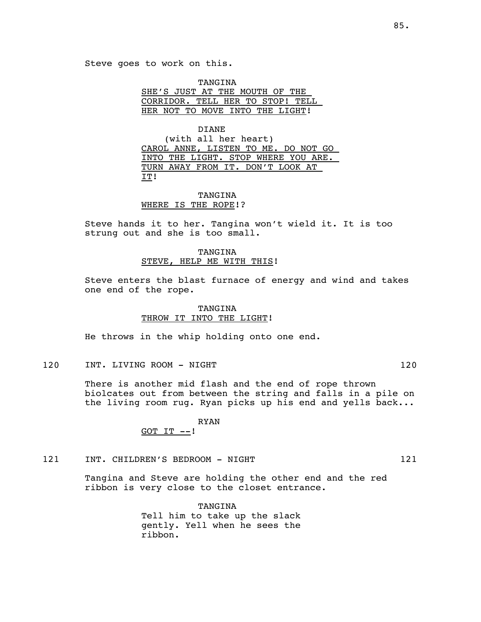TANGINA SHE'S JUST AT THE MOUTH OF THE CORRIDOR. TELL HER TO STOP! TELL HER NOT TO MOVE INTO THE LIGHT!

DIANE (with all her heart) CAROL ANNE, LISTEN TO ME. DO NOT GO INTO THE LIGHT. STOP WHERE YOU ARE. TURN AWAY FROM IT. DON'T LOOK AT IT!

# TANGINA WHERE IS THE ROPE!?

Steve hands it to her. Tangina won't wield it. It is too strung out and she is too small.

# TANGINA STEVE, HELP ME WITH THIS!

Steve enters the blast furnace of energy and wind and takes one end of the rope.

# TANGINA THROW IT INTO THE LIGHT!

He throws in the whip holding onto one end.

120 INT. LIVING ROOM - NIGHT 120 120

There is another mid flash and the end of rope thrown biolcates out from between the string and falls in a pile on the living room rug. Ryan picks up his end and yells back...

### RYAN GOT  $IT$   $--!$

121 INT. CHILDREN'S BEDROOM - NIGHT 121 121

Tangina and Steve are holding the other end and the red ribbon is very close to the closet entrance.

> TANGINA Tell him to take up the slack gently. Yell when he sees the ribbon.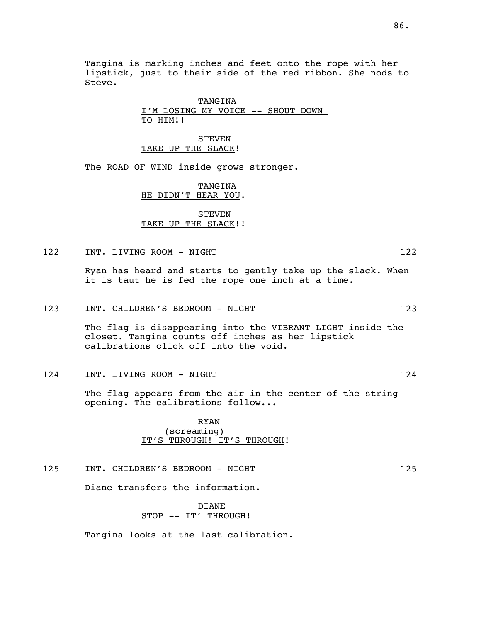Tangina is marking inches and feet onto the rope with her lipstick, just to their side of the red ribbon. She nods to Steve.

# TANGINA I'M LOSING MY VOICE -- SHOUT DOWN TO HIM!!

STEVEN TAKE UP THE SLACK!

The ROAD OF WIND inside grows stronger.

# TANGINA HE DIDN'T HEAR YOU.

# STEVEN TAKE UP THE SLACK!!

122 INT. LIVING ROOM - NIGHT 122

Ryan has heard and starts to gently take up the slack. When it is taut he is fed the rope one inch at a time.

123 INT. CHILDREN'S BEDROOM - NIGHT 123 123

The flag is disappearing into the VIBRANT LIGHT inside the closet. Tangina counts off inches as her lipstick calibrations click off into the void.

124 INT. LIVING ROOM - NIGHT 124 124

The flag appears from the air in the center of the string opening. The calibrations follow...

> RYAN (screaming) IT'S THROUGH! IT'S THROUGH!

125 INT. CHILDREN'S BEDROOM - NIGHT 125

Diane transfers the information.

DIANE STOP -- IT' THROUGH!

Tangina looks at the last calibration.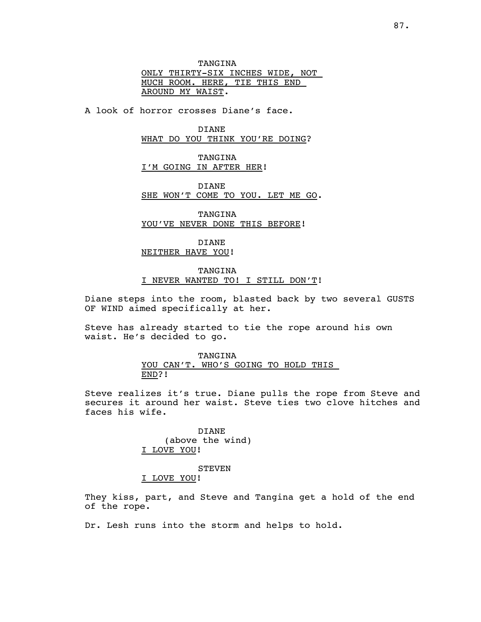TANGINA ONLY THIRTY-SIX INCHES WIDE, NOT MUCH ROOM. HERE, TIE THIS END AROUND MY WAIST.

A look of horror crosses Diane's face.

DIANE WHAT DO YOU THINK YOU'RE DOING?

TANGINA I'M GOING IN AFTER HER!

DIANE SHE WON'T COME TO YOU. LET ME GO.

TANGINA YOU'VE NEVER DONE THIS BEFORE!

DIANE NEITHER HAVE YOU!

TANGINA

# I NEVER WANTED TO! I STILL DON'T!

Diane steps into the room, blasted back by two several GUSTS OF WIND aimed specifically at her.

Steve has already started to tie the rope around his own waist. He's decided to go.

> TANGINA YOU CAN'T. WHO'S GOING TO HOLD THIS END?!

Steve realizes it's true. Diane pulls the rope from Steve and secures it around her waist. Steve ties two clove hitches and faces his wife.

> DIANE (above the wind) I LOVE YOU!

**STEVEN** I LOVE YOU!

They kiss, part, and Steve and Tangina get a hold of the end of the rope.

Dr. Lesh runs into the storm and helps to hold.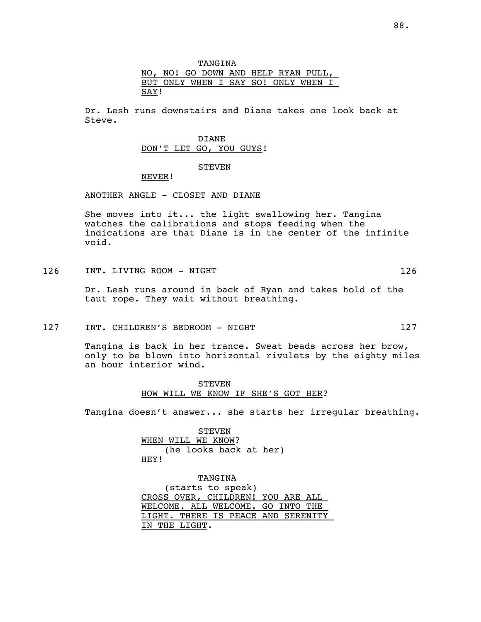TANGINA NO, NO! GO DOWN AND HELP RYAN PULL, BUT ONLY WHEN I SAY SO! ONLY WHEN I SAY!

Dr. Lesh runs downstairs and Diane takes one look back at Steve.

> DIANE DON'T LET GO, YOU GUYS!

# STEVEN

NEVER!

ANOTHER ANGLE - CLOSET AND DIANE

She moves into it... the light swallowing her. Tangina watches the calibrations and stops feeding when the indications are that Diane is in the center of the infinite void.

126 INT. LIVING ROOM - NIGHT 126 126

Dr. Lesh runs around in back of Ryan and takes hold of the taut rope. They wait without breathing.

127 INT. CHILDREN'S BEDROOM - NIGHT 127 127

Tangina is back in her trance. Sweat beads across her brow, only to be blown into horizontal rivulets by the eighty miles an hour interior wind.

> **STEVEN** HOW WILL WE KNOW IF SHE'S GOT HER?

Tangina doesn't answer... she starts her irregular breathing.

STEVEN WHEN WILL WE KNOW? (he looks back at her) HEY!

TANGINA (starts to speak) CROSS OVER, CHILDREN! YOU ARE ALL WELCOME. ALL WELCOME. GO INTO THE LIGHT. THERE IS PEACE AND SERENITY IN THE LIGHT.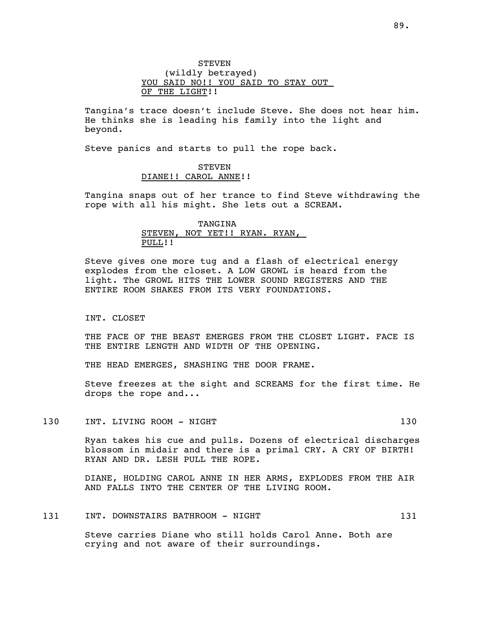Tangina's trace doesn't include Steve. She does not hear him. He thinks she is leading his family into the light and beyond.

Steve panics and starts to pull the rope back.

# STEVEN DIANE!! CAROL ANNE!!

Tangina snaps out of her trance to find Steve withdrawing the rope with all his might. She lets out a SCREAM.

# TANGINA STEVEN, NOT YET!! RYAN. RYAN, PULL!!

Steve gives one more tug and a flash of electrical energy explodes from the closet. A LOW GROWL is heard from the light. The GROWL HITS THE LOWER SOUND REGISTERS AND THE ENTIRE ROOM SHAKES FROM ITS VERY FOUNDATIONS.

INT. CLOSET

THE FACE OF THE BEAST EMERGES FROM THE CLOSET LIGHT. FACE IS THE ENTIRE LENGTH AND WIDTH OF THE OPENING.

THE HEAD EMERGES, SMASHING THE DOOR FRAME.

Steve freezes at the sight and SCREAMS for the first time. He drops the rope and...

#### 130 INT. LIVING ROOM - NIGHT 130

Ryan takes his cue and pulls. Dozens of electrical discharges blossom in midair and there is a primal CRY. A CRY OF BIRTH! RYAN AND DR. LESH PULL THE ROPE.

DIANE, HOLDING CAROL ANNE IN HER ARMS, EXPLODES FROM THE AIR AND FALLS INTO THE CENTER OF THE LIVING ROOM.

# 131 INT. DOWNSTAIRS BATHROOM - NIGHT 131

Steve carries Diane who still holds Carol Anne. Both are crying and not aware of their surroundings.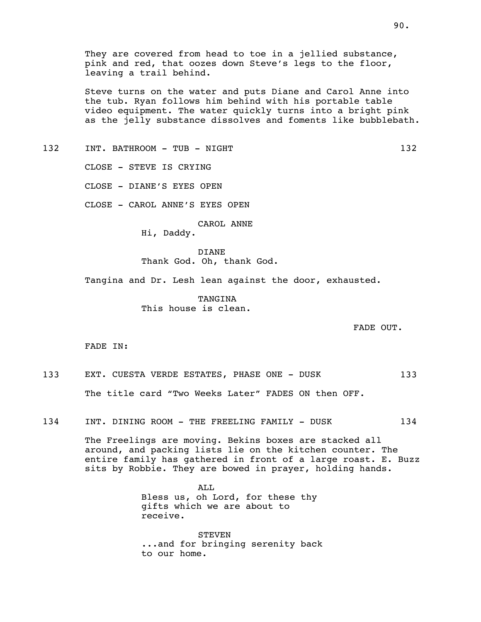They are covered from head to toe in a jellied substance, pink and red, that oozes down Steve's legs to the floor, leaving a trail behind.

Steve turns on the water and puts Diane and Carol Anne into the tub. Ryan follows him behind with his portable table video equipment. The water quickly turns into a bright pink as the jelly substance dissolves and foments like bubblebath.

132 INT. BATHROOM - TUB - NIGHT 132

CLOSE - STEVE IS CRYING

CLOSE - DIANE'S EYES OPEN

CLOSE - CAROL ANNE'S EYES OPEN

CAROL ANNE

Hi, Daddy.

DIANE Thank God. Oh, thank God.

Tangina and Dr. Lesh lean against the door, exhausted.

TANGINA This house is clean.

FADE OUT.

FADE IN:

133 EXT. CUESTA VERDE ESTATES, PHASE ONE - DUSK 133 The title card "Two Weeks Later" FADES ON then OFF.

134 INT. DINING ROOM - THE FREELING FAMILY - DUSK 134

The Freelings are moving. Bekins boxes are stacked all around, and packing lists lie on the kitchen counter. The entire family has gathered in front of a large roast. E. Buzz sits by Robbie. They are bowed in prayer, holding hands.

> ALL Bless us, oh Lord, for these thy gifts which we are about to receive.

**STEVEN** ...and for bringing serenity back to our home.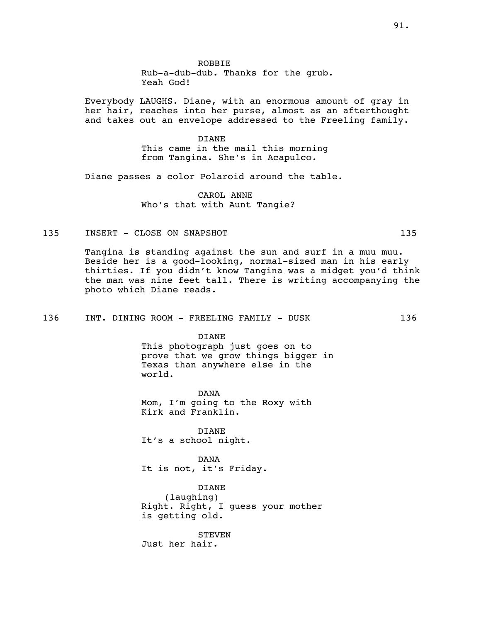ROBBIE Rub-a-dub-dub. Thanks for the grub. Yeah God!

Everybody LAUGHS. Diane, with an enormous amount of gray in her hair, reaches into her purse, almost as an afterthought and takes out an envelope addressed to the Freeling family.

> DIANE This came in the mail this morning from Tangina. She's in Acapulco.

Diane passes a color Polaroid around the table.

CAROL ANNE Who's that with Aunt Tangie?

# 135 INSERT - CLOSE ON SNAPSHOT 135

Tangina is standing against the sun and surf in a muu muu. Beside her is a good-looking, normal-sized man in his early thirties. If you didn't know Tangina was a midget you'd think the man was nine feet tall. There is writing accompanying the photo which Diane reads.

#### 136 INT. DINING ROOM - FREELING FAMILY - DUSK 136

DIANE

This photograph just goes on to prove that we grow things bigger in Texas than anywhere else in the world.

DANA Mom, I'm going to the Roxy with Kirk and Franklin.

DIANE It's a school night.

DANA It is not, it's Friday.

DIANE (laughing) Right. Right, I guess your mother is getting old.

**STEVEN** Just her hair.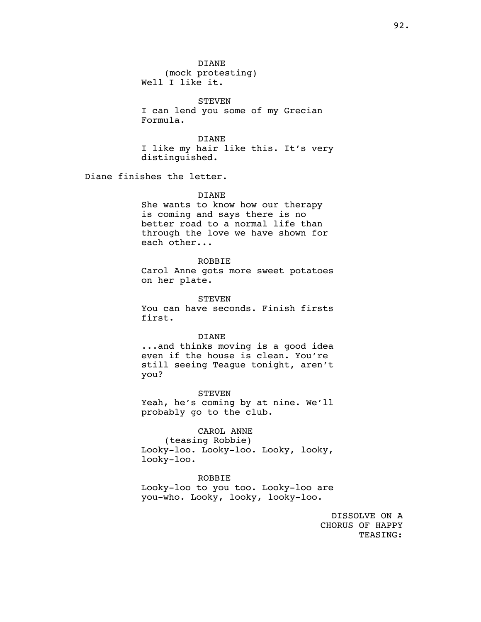**STEVEN** I can lend you some of my Grecian Formula.

DIANE I like my hair like this. It's very distinguished.

Diane finishes the letter.

### DIANE

She wants to know how our therapy is coming and says there is no better road to a normal life than through the love we have shown for each other...

#### ROBBIE

Carol Anne gots more sweet potatoes on her plate.

STEVEN

You can have seconds. Finish firsts first.

### DIANE

...and thinks moving is a good idea even if the house is clean. You're still seeing Teague tonight, aren't you?

STEVEN Yeah, he's coming by at nine. We'll probably go to the club.

### CAROL ANNE

(teasing Robbie) Looky-loo. Looky-loo. Looky, looky, looky-loo.

#### ROBBIE

Looky-loo to you too. Looky-loo are you-who. Looky, looky, looky-loo.

> DISSOLVE ON A CHORUS OF HAPPY TEASING: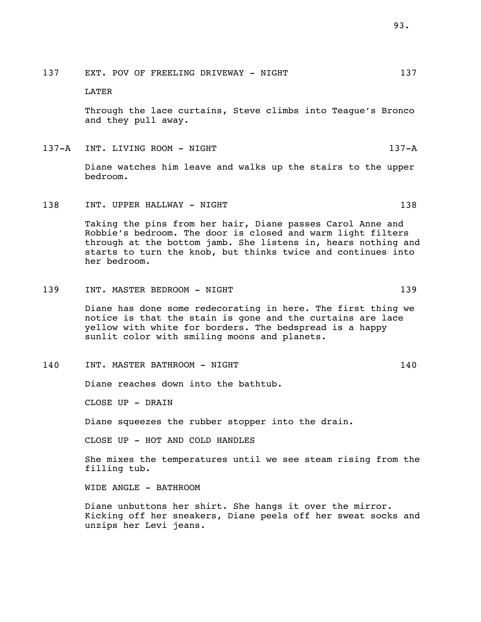137 EXT. POV OF FREELING DRIVEWAY - NIGHT 137

LATER

Through the lace curtains, Steve climbs into Teague's Bronco and they pull away.

137-A INT. LIVING ROOM - NIGHT 137-A 137-A

Diane watches him leave and walks up the stairs to the upper bedroom.

138 INT. UPPER HALLWAY - NIGHT 138

Taking the pins from her hair, Diane passes Carol Anne and Robbie's bedroom. The door is closed and warm light filters through at the bottom jamb. She listens in, hears nothing and starts to turn the knob, but thinks twice and continues into her bedroom.

# 139 INT. MASTER BEDROOM - NIGHT 139 139

Diane has done some redecorating in here. The first thing we notice is that the stain is gone and the curtains are lace yellow with white for borders. The bedspread is a happy sunlit color with smiling moons and planets.

140 INT. MASTER BATHROOM - NIGHT 140

Diane reaches down into the bathtub.

CLOSE UP - DRAIN

Diane squeezes the rubber stopper into the drain.

CLOSE UP - HOT AND COLD HANDLES

She mixes the temperatures until we see steam rising from the filling tub.

WIDE ANGLE - BATHROOM

Diane unbuttons her shirt. She hangs it over the mirror. Kicking off her sneakers, Diane peels off her sweat socks and unzips her Levi jeans.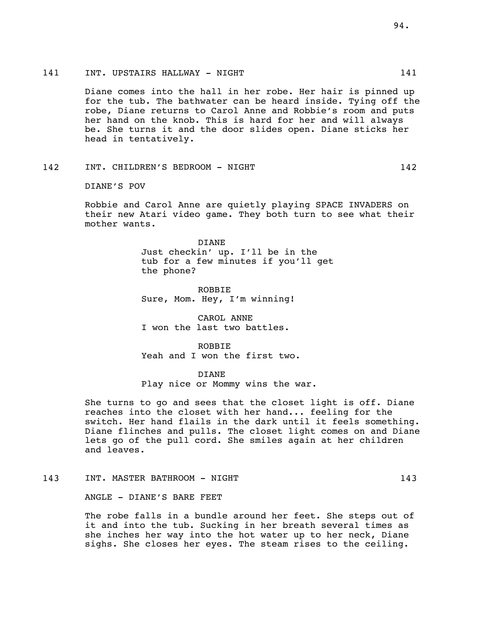# 141 INT. UPSTAIRS HALLWAY - NIGHT 141

Diane comes into the hall in her robe. Her hair is pinned up for the tub. The bathwater can be heard inside. Tying off the robe, Diane returns to Carol Anne and Robbie's room and puts her hand on the knob. This is hard for her and will always be. She turns it and the door slides open. Diane sticks her head in tentatively.

# 142 INT. CHILDREN'S BEDROOM - NIGHT 142

DIANE'S POV

Robbie and Carol Anne are quietly playing SPACE INVADERS on their new Atari video game. They both turn to see what their mother wants.

> DIANE Just checkin' up. I'll be in the tub for a few minutes if you'll get the phone?

ROBBIE Sure, Mom. Hey, I'm winning!

CAROL ANNE I won the last two battles.

ROBBIE Yeah and I won the first two.

DIANE

Play nice or Mommy wins the war.

She turns to go and sees that the closet light is off. Diane reaches into the closet with her hand... feeling for the switch. Her hand flails in the dark until it feels something. Diane flinches and pulls. The closet light comes on and Diane lets go of the pull cord. She smiles again at her children and leaves.

143 INT. MASTER BATHROOM - NIGHT 143

ANGLE - DIANE'S BARE FEET

The robe falls in a bundle around her feet. She steps out of it and into the tub. Sucking in her breath several times as she inches her way into the hot water up to her neck, Diane sighs. She closes her eyes. The steam rises to the ceiling.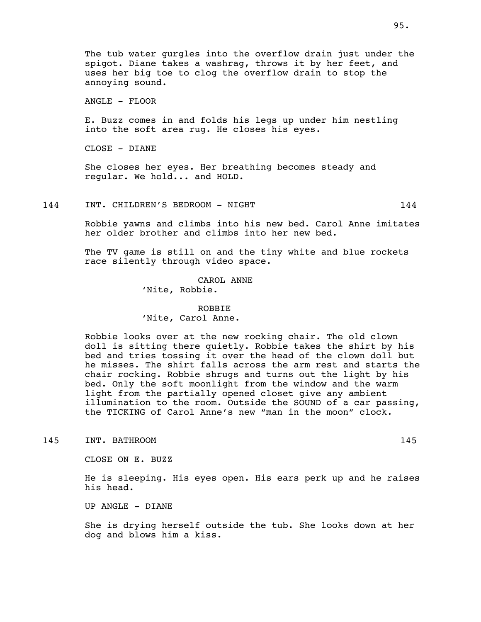The tub water gurgles into the overflow drain just under the spigot. Diane takes a washrag, throws it by her feet, and uses her big toe to clog the overflow drain to stop the annoying sound.

ANGLE - FLOOR

E. Buzz comes in and folds his legs up under him nestling into the soft area rug. He closes his eyes.

CLOSE - DIANE

She closes her eyes. Her breathing becomes steady and regular. We hold... and HOLD.

144 INT. CHILDREN'S BEDROOM - NIGHT 144

Robbie yawns and climbs into his new bed. Carol Anne imitates her older brother and climbs into her new bed.

The TV game is still on and the tiny white and blue rockets race silently through video space.

> CAROL ANNE 'Nite, Robbie.

### ROBBIE 'Nite, Carol Anne.

Robbie looks over at the new rocking chair. The old clown doll is sitting there quietly. Robbie takes the shirt by his bed and tries tossing it over the head of the clown doll but he misses. The shirt falls across the arm rest and starts the chair rocking. Robbie shrugs and turns out the light by his bed. Only the soft moonlight from the window and the warm light from the partially opened closet give any ambient illumination to the room. Outside the SOUND of a car passing, the TICKING of Carol Anne's new "man in the moon" clock.

145 INT. BATHROOM 145

CLOSE ON E. BUZZ

He is sleeping. His eyes open. His ears perk up and he raises his head.

UP ANGLE - DIANE

She is drying herself outside the tub. She looks down at her dog and blows him a kiss.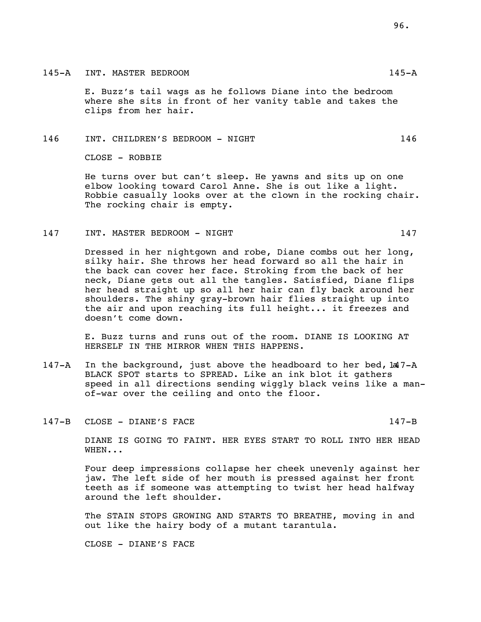E. Buzz's tail wags as he follows Diane into the bedroom where she sits in front of her vanity table and takes the clips from her hair.

#### 146 INT. CHILDREN'S BEDROOM - NIGHT 146

CLOSE - ROBBIE

He turns over but can't sleep. He yawns and sits up on one elbow looking toward Carol Anne. She is out like a light. Robbie casually looks over at the clown in the rocking chair. The rocking chair is empty.

# 147 INT. MASTER BEDROOM - NIGHT 147

Dressed in her nightgown and robe, Diane combs out her long, silky hair. She throws her head forward so all the hair in the back can cover her face. Stroking from the back of her neck, Diane gets out all the tangles. Satisfied, Diane flips her head straight up so all her hair can fly back around her shoulders. The shiny gray-brown hair flies straight up into the air and upon reaching its full height... it freezes and doesn't come down.

E. Buzz turns and runs out of the room. DIANE IS LOOKING AT HERSELF IN THE MIRROR WHEN THIS HAPPENS.

- 147-A In the background, just above the headboard to her bed, la 1-A BLACK SPOT starts to SPREAD. Like an ink blot it gathers speed in all directions sending wiggly black veins like a manof-war over the ceiling and onto the floor.
- 147-B CLOSE DIANE'S FACE 147-B

DIANE IS GOING TO FAINT. HER EYES START TO ROLL INTO HER HEAD WHEN...

Four deep impressions collapse her cheek unevenly against her jaw. The left side of her mouth is pressed against her front teeth as if someone was attempting to twist her head halfway around the left shoulder.

The STAIN STOPS GROWING AND STARTS TO BREATHE, moving in and out like the hairy body of a mutant tarantula.

CLOSE - DIANE'S FACE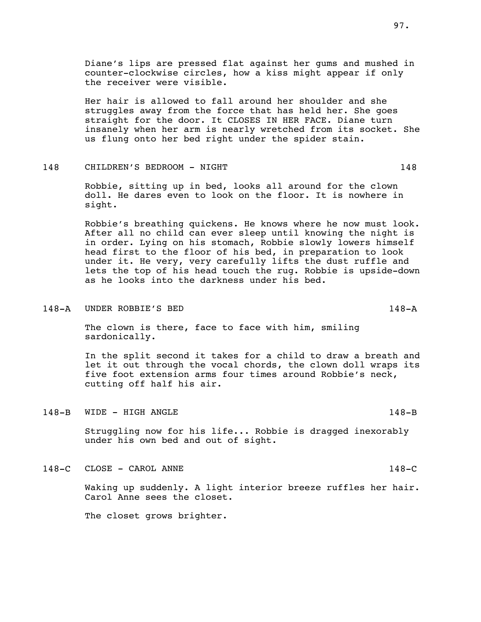Her hair is allowed to fall around her shoulder and she struggles away from the force that has held her. She goes straight for the door. It CLOSES IN HER FACE. Diane turn insanely when her arm is nearly wretched from its socket. She us flung onto her bed right under the spider stain.

### 148 CHILDREN'S BEDROOM - NIGHT 148 148

Robbie, sitting up in bed, looks all around for the clown doll. He dares even to look on the floor. It is nowhere in sight.

Robbie's breathing quickens. He knows where he now must look. After all no child can ever sleep until knowing the night is in order. Lying on his stomach, Robbie slowly lowers himself head first to the floor of his bed, in preparation to look under it. He very, very carefully lifts the dust ruffle and lets the top of his head touch the rug. Robbie is upside-down as he looks into the darkness under his bed.

#### 148-A UNDER ROBBIE'S BED 148-A

The clown is there, face to face with him, smiling sardonically.

In the split second it takes for a child to draw a breath and let it out through the vocal chords, the clown doll wraps its five foot extension arms four times around Robbie's neck, cutting off half his air.

148-B WIDE - HIGH ANGLE 148-B

Struggling now for his life... Robbie is dragged inexorably under his own bed and out of sight.

148-C CLOSE - CAROL ANNE 148-C

Waking up suddenly. A light interior breeze ruffles her hair. Carol Anne sees the closet.

The closet grows brighter.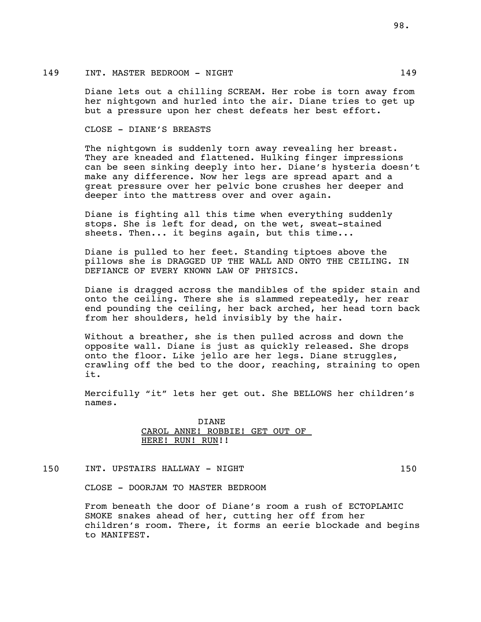# 149 INT. MASTER BEDROOM - NIGHT 149

Diane lets out a chilling SCREAM. Her robe is torn away from her nightgown and hurled into the air. Diane tries to get up but a pressure upon her chest defeats her best effort.

# CLOSE - DIANE'S BREASTS

The nightgown is suddenly torn away revealing her breast. They are kneaded and flattened. Hulking finger impressions can be seen sinking deeply into her. Diane's hysteria doesn't make any difference. Now her legs are spread apart and a great pressure over her pelvic bone crushes her deeper and deeper into the mattress over and over again.

Diane is fighting all this time when everything suddenly stops. She is left for dead, on the wet, sweat-stained sheets. Then... it begins again, but this time...

Diane is pulled to her feet. Standing tiptoes above the pillows she is DRAGGED UP THE WALL AND ONTO THE CEILING. IN DEFIANCE OF EVERY KNOWN LAW OF PHYSICS.

Diane is dragged across the mandibles of the spider stain and onto the ceiling. There she is slammed repeatedly, her rear end pounding the ceiling, her back arched, her head torn back from her shoulders, held invisibly by the hair.

Without a breather, she is then pulled across and down the opposite wall. Diane is just as quickly released. She drops onto the floor. Like jello are her legs. Diane struggles, crawling off the bed to the door, reaching, straining to open it.

Mercifully "it" lets her get out. She BELLOWS her children's names.

# DIANE CAROL ANNE! ROBBIE! GET OUT OF HERE! RUN! RUN!!

150 INT. UPSTAIRS HALLWAY - NIGHT 150

CLOSE - DOORJAM TO MASTER BEDROOM

From beneath the door of Diane's room a rush of ECTOPLAMIC SMOKE snakes ahead of her, cutting her off from her children's room. There, it forms an eerie blockade and begins to MANIFEST.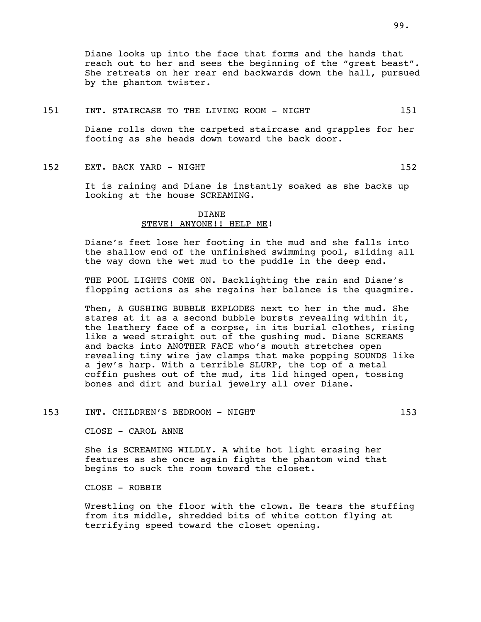Diane looks up into the face that forms and the hands that reach out to her and sees the beginning of the "great beast". She retreats on her rear end backwards down the hall, pursued by the phantom twister.

### 151 INT. STAIRCASE TO THE LIVING ROOM - NIGHT 151

Diane rolls down the carpeted staircase and grapples for her footing as she heads down toward the back door.

152 EXT. BACK YARD - NIGHT 152 152

It is raining and Diane is instantly soaked as she backs up looking at the house SCREAMING.

# DIANE STEVE! ANYONE!! HELP ME!

Diane's feet lose her footing in the mud and she falls into the shallow end of the unfinished swimming pool, sliding all the way down the wet mud to the puddle in the deep end.

THE POOL LIGHTS COME ON. Backlighting the rain and Diane's flopping actions as she regains her balance is the quagmire.

Then, A GUSHING BUBBLE EXPLODES next to her in the mud. She stares at it as a second bubble bursts revealing within it, the leathery face of a corpse, in its burial clothes, rising like a weed straight out of the gushing mud. Diane SCREAMS and backs into ANOTHER FACE who's mouth stretches open revealing tiny wire jaw clamps that make popping SOUNDS like a jew's harp. With a terrible SLURP, the top of a metal coffin pushes out of the mud, its lid hinged open, tossing bones and dirt and burial jewelry all over Diane.

# 153 INT. CHILDREN'S BEDROOM - NIGHT 153

CLOSE - CAROL ANNE

She is SCREAMING WILDLY. A white hot light erasing her features as she once again fights the phantom wind that begins to suck the room toward the closet.

CLOSE - ROBBIE

Wrestling on the floor with the clown. He tears the stuffing from its middle, shredded bits of white cotton flying at terrifying speed toward the closet opening.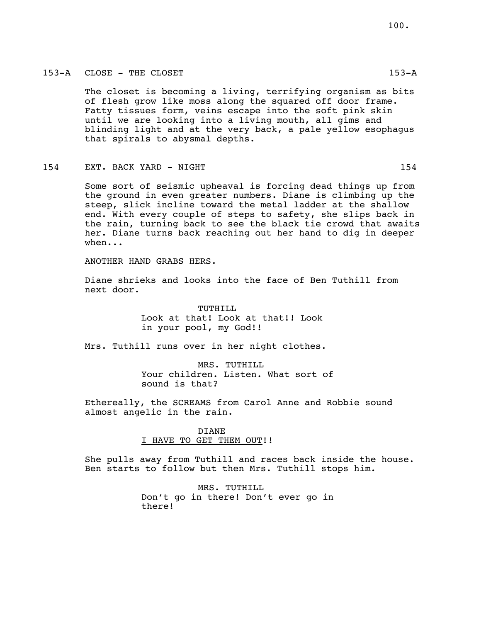The closet is becoming a living, terrifying organism as bits of flesh grow like moss along the squared off door frame. Fatty tissues form, veins escape into the soft pink skin until we are looking into a living mouth, all gims and blinding light and at the very back, a pale yellow esophagus that spirals to abysmal depths.

### 154 EXT. BACK YARD - NIGHT 154 EXT.

Some sort of seismic upheaval is forcing dead things up from the ground in even greater numbers. Diane is climbing up the steep, slick incline toward the metal ladder at the shallow end. With every couple of steps to safety, she slips back in the rain, turning back to see the black tie crowd that awaits her. Diane turns back reaching out her hand to dig in deeper when...

ANOTHER HAND GRABS HERS.

Diane shrieks and looks into the face of Ben Tuthill from next door.

> TUTHILL Look at that! Look at that!! Look in your pool, my God!!

Mrs. Tuthill runs over in her night clothes.

MRS. TUTHILL Your children. Listen. What sort of sound is that?

Ethereally, the SCREAMS from Carol Anne and Robbie sound almost angelic in the rain.

> DIANE I HAVE TO GET THEM OUT!!

She pulls away from Tuthill and races back inside the house. Ben starts to follow but then Mrs. Tuthill stops him.

> MRS. TUTHILL Don't go in there! Don't ever go in there!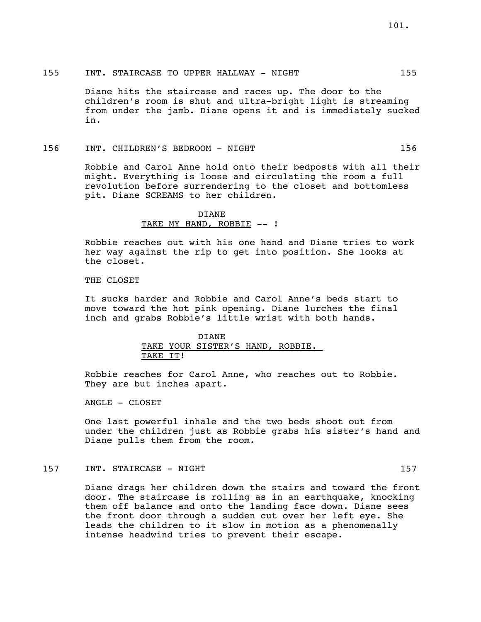### 155 INT. STAIRCASE TO UPPER HALLWAY - NIGHT 155

Diane hits the staircase and races up. The door to the children's room is shut and ultra-bright light is streaming from under the jamb. Diane opens it and is immediately sucked in.

### 156 INT. CHILDREN'S BEDROOM - NIGHT 156

Robbie and Carol Anne hold onto their bedposts with all their might. Everything is loose and circulating the room a full revolution before surrendering to the closet and bottomless pit. Diane SCREAMS to her children.

> DIANE TAKE MY HAND, ROBBIE -- !

Robbie reaches out with his one hand and Diane tries to work her way against the rip to get into position. She looks at the closet.

### THE CLOSET

It sucks harder and Robbie and Carol Anne's beds start to move toward the hot pink opening. Diane lurches the final inch and grabs Robbie's little wrist with both hands.

# DIANE TAKE YOUR SISTER'S HAND, ROBBIE. TAKE IT!

Robbie reaches for Carol Anne, who reaches out to Robbie. They are but inches apart.

ANGLE - CLOSET

One last powerful inhale and the two beds shoot out from under the children just as Robbie grabs his sister's hand and Diane pulls them from the room.

### 157 INT. STAIRCASE - NIGHT 157

Diane drags her children down the stairs and toward the front door. The staircase is rolling as in an earthquake, knocking them off balance and onto the landing face down. Diane sees the front door through a sudden cut over her left eye. She leads the children to it slow in motion as a phenomenally intense headwind tries to prevent their escape.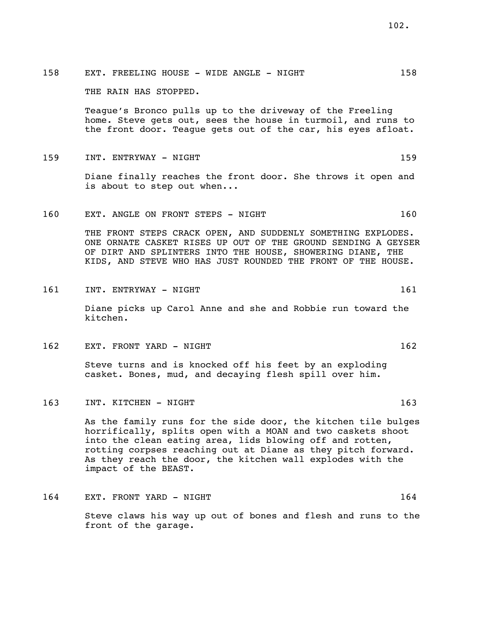158 EXT. FREELING HOUSE - WIDE ANGLE - NIGHT 158

THE RAIN HAS STOPPED.

Teague's Bronco pulls up to the driveway of the Freeling home. Steve gets out, sees the house in turmoil, and runs to the front door. Teague gets out of the car, his eyes afloat.

159 INT. ENTRYWAY - NIGHT 159

Diane finally reaches the front door. She throws it open and is about to step out when...

160 EXT. ANGLE ON FRONT STEPS - NIGHT 160

THE FRONT STEPS CRACK OPEN, AND SUDDENLY SOMETHING EXPLODES. ONE ORNATE CASKET RISES UP OUT OF THE GROUND SENDING A GEYSER OF DIRT AND SPLINTERS INTO THE HOUSE, SHOWERING DIANE, THE KIDS, AND STEVE WHO HAS JUST ROUNDED THE FRONT OF THE HOUSE.

161 INT. ENTRYWAY - NIGHT 161 161

Diane picks up Carol Anne and she and Robbie run toward the kitchen.

162 EXT. FRONT YARD - NIGHT 162 162

Steve turns and is knocked off his feet by an exploding casket. Bones, mud, and decaying flesh spill over him.

163 INT. KITCHEN - NIGHT 163

As the family runs for the side door, the kitchen tile bulges horrifically, splits open with a MOAN and two caskets shoot into the clean eating area, lids blowing off and rotten, rotting corpses reaching out at Diane as they pitch forward. As they reach the door, the kitchen wall explodes with the impact of the BEAST.

164 EXT. FRONT YARD - NIGHT 164 164

Steve claws his way up out of bones and flesh and runs to the front of the garage.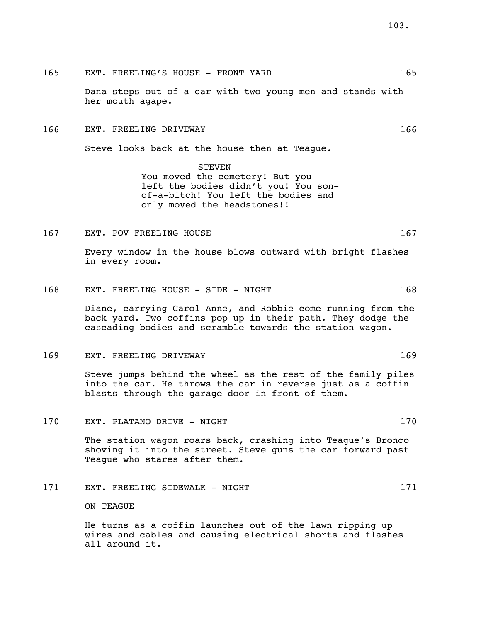165 EXT. FREELING'S HOUSE - FRONT YARD 165

Dana steps out of a car with two young men and stands with her mouth agape.

166 EXT. FREELING DRIVEWAY 166

Steve looks back at the house then at Teague.

STEVEN You moved the cemetery! But you left the bodies didn't you! You sonof-a-bitch! You left the bodies and only moved the headstones!!

167 EXT. POV FREELING HOUSE 167

Every window in the house blows outward with bright flashes in every room.

168 EXT. FREELING HOUSE - SIDE - NIGHT 168

Diane, carrying Carol Anne, and Robbie come running from the back yard. Two coffins pop up in their path. They dodge the cascading bodies and scramble towards the station wagon.

169 EXT. FREELING DRIVEWAY 169

Steve jumps behind the wheel as the rest of the family piles into the car. He throws the car in reverse just as a coffin blasts through the garage door in front of them.

170 EXT. PLATANO DRIVE - NIGHT 170 170

The station wagon roars back, crashing into Teague's Bronco shoving it into the street. Steve guns the car forward past Teague who stares after them.

171 EXT. FREELING SIDEWALK - NIGHT 171

ON TEAGUE

He turns as a coffin launches out of the lawn ripping up wires and cables and causing electrical shorts and flashes all around it.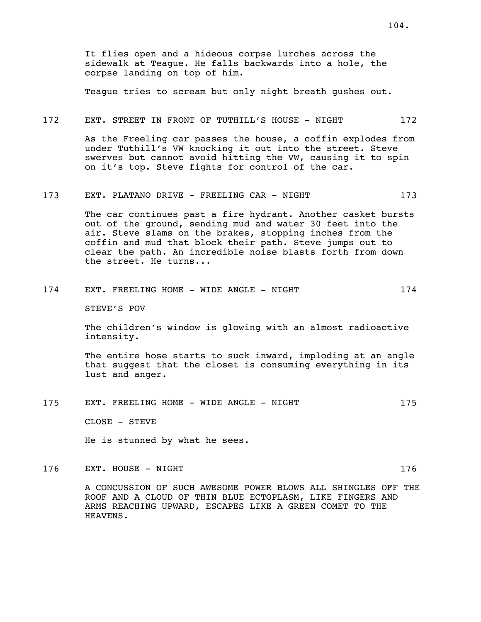It flies open and a hideous corpse lurches across the sidewalk at Teague. He falls backwards into a hole, the corpse landing on top of him.

Teague tries to scream but only night breath gushes out.

#### 172 EXT. STREET IN FRONT OF TUTHILL'S HOUSE - NIGHT 172

As the Freeling car passes the house, a coffin explodes from under Tuthill's VW knocking it out into the street. Steve swerves but cannot avoid hitting the VW, causing it to spin on it's top. Steve fights for control of the car.

### 173 EXT. PLATANO DRIVE - FREELING CAR - NIGHT 173

The car continues past a fire hydrant. Another casket bursts out of the ground, sending mud and water 30 feet into the air. Steve slams on the brakes, stopping inches from the coffin and mud that block their path. Steve jumps out to clear the path. An incredible noise blasts forth from down the street. He turns...

# 174 EXT. FREELING HOME - WIDE ANGLE - NIGHT 174

STEVE'S POV

The children's window is glowing with an almost radioactive intensity.

The entire hose starts to suck inward, imploding at an angle that suggest that the closet is consuming everything in its lust and anger.

175 EXT. FREELING HOME - WIDE ANGLE - NIGHT 175

CLOSE - STEVE

He is stunned by what he sees.

176 EXT. HOUSE - NIGHT 176

A CONCUSSION OF SUCH AWESOME POWER BLOWS ALL SHINGLES OFF THE ROOF AND A CLOUD OF THIN BLUE ECTOPLASM, LIKE FINGERS AND ARMS REACHING UPWARD, ESCAPES LIKE A GREEN COMET TO THE HEAVENS.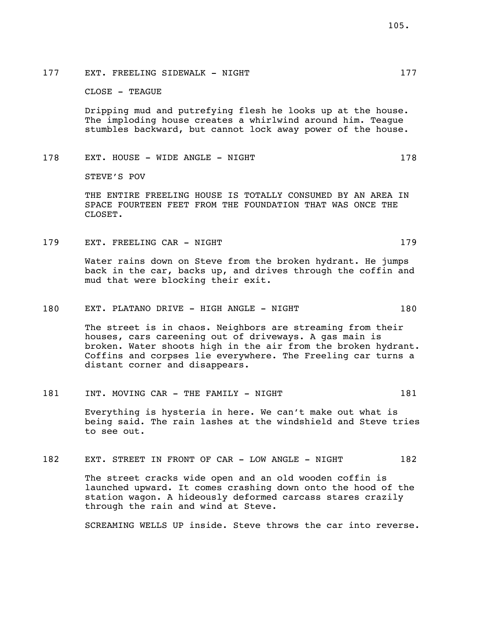177 EXT. FREELING SIDEWALK - NIGHT 177

CLOSE - TEAGUE

Dripping mud and putrefying flesh he looks up at the house. The imploding house creates a whirlwind around him. Teague stumbles backward, but cannot lock away power of the house.

# 178 EXT. HOUSE - WIDE ANGLE - NIGHT 178

STEVE'S POV

THE ENTIRE FREELING HOUSE IS TOTALLY CONSUMED BY AN AREA IN SPACE FOURTEEN FEET FROM THE FOUNDATION THAT WAS ONCE THE CLOSET.

179 EXT. FREELING CAR - NIGHT 179 179

Water rains down on Steve from the broken hydrant. He jumps back in the car, backs up, and drives through the coffin and mud that were blocking their exit.

180 EXT. PLATANO DRIVE - HIGH ANGLE - NIGHT 180

The street is in chaos. Neighbors are streaming from their houses, cars careening out of driveways. A gas main is broken. Water shoots high in the air from the broken hydrant. Coffins and corpses lie everywhere. The Freeling car turns a distant corner and disappears.

181 INT. MOVING CAR - THE FAMILY - NIGHT 181

Everything is hysteria in here. We can't make out what is being said. The rain lashes at the windshield and Steve tries to see out.

182 EXT. STREET IN FRONT OF CAR - LOW ANGLE - NIGHT 182

The street cracks wide open and an old wooden coffin is launched upward. It comes crashing down onto the hood of the station wagon. A hideously deformed carcass stares crazily through the rain and wind at Steve.

SCREAMING WELLS UP inside. Steve throws the car into reverse.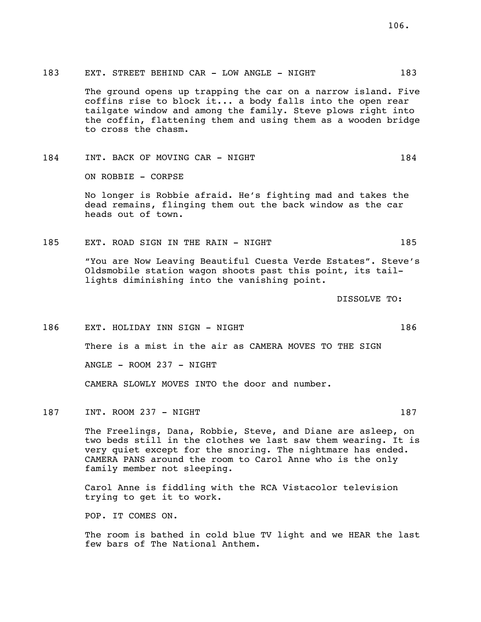### 183 EXT. STREET BEHIND CAR - LOW ANGLE - NIGHT 183

The ground opens up trapping the car on a narrow island. Five coffins rise to block it... a body falls into the open rear tailgate window and among the family. Steve plows right into the coffin, flattening them and using them as a wooden bridge to cross the chasm.

# 184 INT. BACK OF MOVING CAR - NIGHT 184

ON ROBBIE - CORPSE

No longer is Robbie afraid. He's fighting mad and takes the dead remains, flinging them out the back window as the car heads out of town.

### 185 EXT. ROAD SIGN IN THE RAIN - NIGHT 185

"You are Now Leaving Beautiful Cuesta Verde Estates". Steve's Oldsmobile station wagon shoots past this point, its taillights diminishing into the vanishing point.

DISSOLVE TO:

186 EXT. HOLIDAY INN SIGN - NIGHT 186 There is a mist in the air as CAMERA MOVES TO THE SIGN  $ANGLE$  - ROOM 237 - NIGHT CAMERA SLOWLY MOVES INTO the door and number.

187 INT. ROOM 237 - NIGHT 187 187

The Freelings, Dana, Robbie, Steve, and Diane are asleep, on two beds still in the clothes we last saw them wearing. It is very quiet except for the snoring. The nightmare has ended. CAMERA PANS around the room to Carol Anne who is the only family member not sleeping.

Carol Anne is fiddling with the RCA Vistacolor television trying to get it to work.

POP. IT COMES ON.

The room is bathed in cold blue TV light and we HEAR the last few bars of The National Anthem.